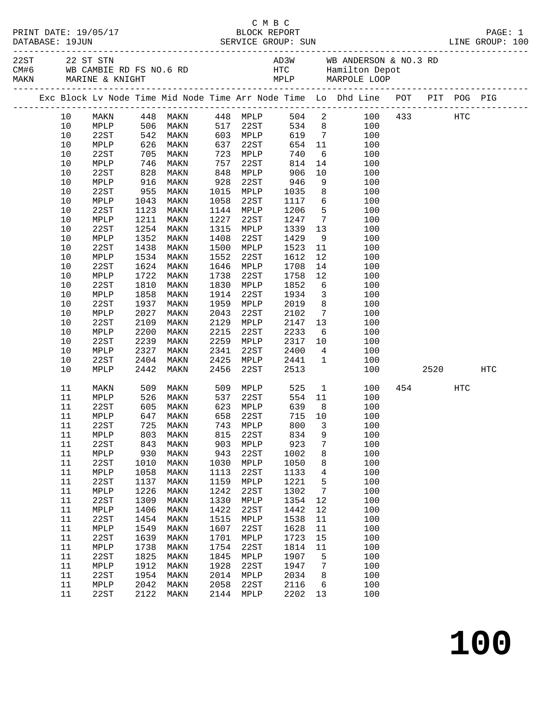|  |          |                         |              |                                  |                 |                                  |                 |                       | 22ST 22 ST STN AD3W WB ANDERSON & NO.3 RD<br>CM#6 WB CAMBIE RD FS NO.6 RD HTC Hamilton Depot<br>MAKN MARINE & KNIGHT STN ANDLP MARPOLE LOOP |         |      |     |
|--|----------|-------------------------|--------------|----------------------------------|-----------------|----------------------------------|-----------------|-----------------------|---------------------------------------------------------------------------------------------------------------------------------------------|---------|------|-----|
|  |          |                         |              |                                  |                 |                                  |                 |                       | Exc Block Lv Node Time Mid Node Time Arr Node Time Lo Dhd Line POT PIT POG PIG                                                              |         |      |     |
|  | 10       | MAKN                    |              |                                  |                 |                                  |                 |                       | MAKN 448 MAKN 448 MPLP 504 2 100<br>MPLP 506 MAKN 517 22ST 534 8 100<br>22ST 542 MAKN 603 MPLP 619 7 100                                    | 433 HTC |      |     |
|  | 10       |                         |              |                                  |                 |                                  |                 |                       |                                                                                                                                             |         |      |     |
|  | 10       |                         |              |                                  |                 |                                  |                 |                       |                                                                                                                                             |         |      |     |
|  | 10       | MPLP                    |              | 626 MAKN                         | 637             | 22ST                             | 654 11          |                       | 100                                                                                                                                         |         |      |     |
|  | 10       | 22ST                    | 705          | MAKN                             | 723             | MPLP 740<br>22ST 814<br>MPLP 906 |                 |                       | 6 <sup>6</sup><br>100                                                                                                                       |         |      |     |
|  | 10       | MPLP                    | 746<br>828   | MAKN                             | 757             |                                  |                 |                       | $\begin{array}{c} 14 \\ 10 \end{array}$<br>100                                                                                              |         |      |     |
|  | 10       | 22ST                    |              | MAKN                             | $\frac{1}{848}$ |                                  |                 |                       | 100                                                                                                                                         |         |      |     |
|  | 10       | MPLP                    | 916          | MAKN                             | 928             | 22ST                             | 946             |                       | 9<br>100                                                                                                                                    |         |      |     |
|  | 10       | 22ST                    | 955          | MAKN                             | 1015            | MPLP                             | 1035            |                       | $8\overline{)}$<br>100                                                                                                                      |         |      |     |
|  | 10       | MPLP                    | 1043         | MAKN                             | 1058            | 22ST                             | 1117            | $6\overline{6}$       | 100                                                                                                                                         |         |      |     |
|  | 10       | 22ST                    | 1123         | MAKN                             | 1144            | MPLP                             | 1206            | 5 <sub>5</sub>        | 100                                                                                                                                         |         |      |     |
|  | 10       | MPLP                    | 1211         | MAKN                             | 1227            | 22ST                             | 1247            |                       | $7\overline{ }$<br>100                                                                                                                      |         |      |     |
|  | 10       | 22ST                    | 1254         | MAKN                             | 1315            | MPLP                             | 1339            | 13                    | 100                                                                                                                                         |         |      |     |
|  | 10       | MPLP                    | 1352         | MAKN                             | 1408            | 22ST                             | 1429            | 9                     | 100                                                                                                                                         |         |      |     |
|  | 10       | 22ST                    | 1438         | MAKN                             | 1500            | MPLP                             | 1523            | 11                    | 100                                                                                                                                         |         |      |     |
|  | $10$     | MPLP                    | 1534         | MAKN                             | 1552            | 22ST                             | 1612            | 12                    | 100                                                                                                                                         |         |      |     |
|  | 10       | 22ST                    | 1624         | MAKN                             | 1646            | MPLP                             | 1708            | 14                    | 100                                                                                                                                         |         |      |     |
|  | 10<br>10 | MPLP<br>22ST            | 1722<br>1810 | MAKN                             | 1738<br>1830    | 22ST                             | 1758<br>1852    | 12<br>$6\overline{6}$ | 100                                                                                                                                         |         |      |     |
|  | 10       | MPLP                    | 1858         | MAKN<br>MAKN                     | 1914            | MPLP<br>22ST                     | 1934            |                       | 100<br>$\overline{\mathbf{3}}$<br>100                                                                                                       |         |      |     |
|  | 10       | 22ST                    | 1937         | MAKN                             | 1959            | MPLP                             | 2019            |                       | 8<br>100                                                                                                                                    |         |      |     |
|  | 10       | MPLP                    | 2027         | MAKN                             | 2043            | 22ST                             | 2102            |                       | $7\overline{ }$<br>100                                                                                                                      |         |      |     |
|  | 10       | 22ST                    | 2109         | MAKN                             | 2129            | MPLP                             | 2147            | 13                    | 100                                                                                                                                         |         |      |     |
|  | 10       | MPLP                    | 2200         | MAKN                             | 2215            | 22ST                             | 2233            | 6                     | 100                                                                                                                                         |         |      |     |
|  | 10       | 22ST                    | 2239         | MAKN                             | 2259            | MPLP                             | 2317            |                       | 10<br>100                                                                                                                                   |         |      |     |
|  | 10       | MPLP                    | 2327         | MAKN                             | 2341            | 22ST                             | 2400            |                       | $4\overline{ }$<br>100                                                                                                                      |         |      |     |
|  | 10       | 22ST                    | 2404         | MAKN                             | 2425            | MPLP                             | 2441            | 1                     | 100                                                                                                                                         |         |      |     |
|  | 10       | MPLP                    | 2442         | MAKN                             | 2456            | 22ST                             | 2513            |                       | 100                                                                                                                                         |         | 2520 | HTC |
|  | 11       | MAKN                    | 509          | MAKN                             |                 | 509 MPLP 525                     |                 |                       | $\mathbf 1$<br>100                                                                                                                          | 454 7   | HTC  |     |
|  | 11       | MPLP                    | 526<br>605   | MAKN                             |                 | 537 22ST<br>623 MPLP             | 554 11<br>639 8 |                       | 100                                                                                                                                         |         |      |     |
|  | 11       | 22ST                    |              | MAKN                             |                 |                                  |                 |                       | 100                                                                                                                                         |         |      |     |
|  |          |                         |              | 11 MPLP 647 MAKN 658 22ST 715 10 |                 |                                  |                 |                       | 100                                                                                                                                         |         |      |     |
|  | 11       | 22ST                    | 725          | MAKN                             | 743             | MPLP                             | 800             | 3                     | 100                                                                                                                                         |         |      |     |
|  | 11       | $\texttt{MPLP}$         | 803          | MAKN                             | 815             | 22ST                             | 834             | 9                     | 100                                                                                                                                         |         |      |     |
|  | 11       | 22ST                    | 843          | MAKN                             | 903             | MPLP                             | 923             | 7                     | 100                                                                                                                                         |         |      |     |
|  | 11       | MPLP                    | 930          | MAKN                             | 943             | 22ST                             | 1002            | 8                     | 100                                                                                                                                         |         |      |     |
|  | 11       | 22ST                    | 1010         | MAKN                             | 1030            | MPLP                             | 1050            | 8                     | 100                                                                                                                                         |         |      |     |
|  | 11       | $\texttt{MPLP}$         | 1058         | MAKN                             | 1113            | 22ST                             | 1133            | $\overline{4}$        | 100                                                                                                                                         |         |      |     |
|  | 11       | 22ST                    | 1137         | MAKN                             | 1159            | MPLP                             | 1221            | 5                     | 100                                                                                                                                         |         |      |     |
|  | 11       | MPLP                    | 1226         | MAKN                             | 1242            | 22ST                             | 1302            | $7\phantom{.0}$       | 100                                                                                                                                         |         |      |     |
|  | 11<br>11 | 22ST                    | 1309<br>1406 | MAKN                             | 1330<br>1422    | MPLP                             | 1354            | 12                    | 100<br>100                                                                                                                                  |         |      |     |
|  | 11       | $\texttt{MPLP}$<br>22ST | 1454         | MAKN<br>MAKN                     | 1515            | 22ST<br>MPLP                     | 1442<br>1538    | 12<br>11              | 100                                                                                                                                         |         |      |     |
|  | 11       | $\texttt{MPLP}$         | 1549         | MAKN                             | 1607            | 22ST                             | 1628            | 11                    | 100                                                                                                                                         |         |      |     |
|  | 11       | 22ST                    | 1639         | MAKN                             | 1701            | MPLP                             | 1723            | 15                    | 100                                                                                                                                         |         |      |     |
|  | 11       | MPLP                    | 1738         | MAKN                             | 1754            | 22ST                             | 1814            | 11                    | 100                                                                                                                                         |         |      |     |
|  | 11       | 22ST                    | 1825         | MAKN                             | 1845            | MPLP                             | 1907            | 5                     | 100                                                                                                                                         |         |      |     |
|  | 11       | MPLP                    | 1912         | MAKN                             | 1928            | 22ST                             | 1947            | $7\phantom{.0}$       | 100                                                                                                                                         |         |      |     |
|  | 11       | 22ST                    | 1954         | MAKN                             | 2014            | MPLP                             | 2034            | 8                     | 100                                                                                                                                         |         |      |     |
|  | 11       | MPLP                    | 2042         | MAKN                             | 2058            | 22ST                             | 2116            | 6                     | 100                                                                                                                                         |         |      |     |
|  | 11       | 22ST                    | 2122         | MAKN                             | 2144            | MPLP                             | 2202            | 13                    | 100                                                                                                                                         |         |      |     |
|  |          |                         |              |                                  |                 |                                  |                 |                       |                                                                                                                                             |         |      |     |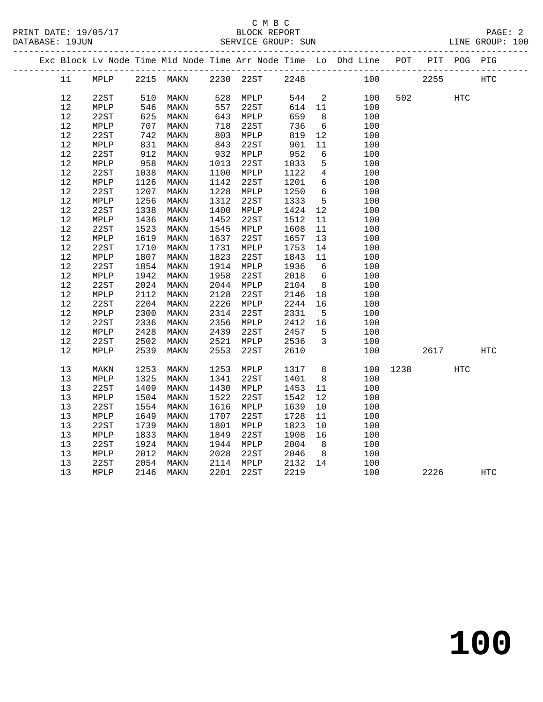PRINT DATE: 19/05/17 BLOCK REPORT PAGE: 2 DATABASE: 19JUN

### C M B C<br>BLOCK REPORT

|  | DAIABASE: 19JUN |      |     |           |      | SERVICE GROUP: SUN |      |      |                                                                |     |      |         | TINE GKOUL: TOO |  |
|--|-----------------|------|-----|-----------|------|--------------------|------|------|----------------------------------------------------------------|-----|------|---------|-----------------|--|
|  |                 |      |     |           |      |                    |      |      | Exc Block Lv Node Time Mid Node Time Arr Node Time Lo Dhd Line | POT | PIT  | POG PIG |                 |  |
|  | 11              | MPLP |     | 2215 MAKN | 2230 | 22ST               | 2248 |      | 100                                                            |     | 2255 |         | HTC.            |  |
|  | 12              | 22ST | 510 | MAKN      | 528  | MPLP               | 544  | 2    | 100                                                            | 502 |      | HTC     |                 |  |
|  | $12 \,$         | MPLP | 546 | MAKN      | 557  | 22ST               | 614  | - 11 | 100                                                            |     |      |         |                 |  |
|  | 12              | 22ST | 625 | MAKN      | 643  | MPLP               | 659  | - 8  | 100                                                            |     |      |         |                 |  |
|  |                 |      |     |           |      |                    |      |      |                                                                |     |      |         |                 |  |

| 12     | 22ST | 625  | MAKN | 643  | MPLP | 659  | 8              | 100 |      |      |               |            |  |
|--------|------|------|------|------|------|------|----------------|-----|------|------|---------------|------------|--|
| $12$   | MPLP | 707  | MAKN | 718  | 22ST | 736  | 6              | 100 |      |      |               |            |  |
| $12$   | 22ST | 742  | MAKN | 803  | MPLP | 819  | 12             | 100 |      |      |               |            |  |
| 12     | MPLP | 831  | MAKN | 843  | 22ST | 901  | 11             | 100 |      |      |               |            |  |
| $12\,$ | 22ST | 912  | MAKN | 932  | MPLP | 952  | 6              | 100 |      |      |               |            |  |
| $12$   | MPLP | 958  | MAKN | 1013 | 22ST | 1033 | 5              | 100 |      |      |               |            |  |
| 12     | 22ST | 1038 | MAKN | 1100 | MPLP | 1122 | $\overline{4}$ | 100 |      |      |               |            |  |
| $12$   | MPLP | 1126 | MAKN | 1142 | 22ST | 1201 | б              | 100 |      |      |               |            |  |
| $12\,$ | 22ST | 1207 | MAKN | 1228 | MPLP | 1250 | 6              | 100 |      |      |               |            |  |
| $12\,$ | MPLP | 1256 | MAKN | 1312 | 22ST | 1333 | 5              | 100 |      |      |               |            |  |
| 12     | 22ST | 1338 | MAKN | 1400 | MPLP | 1424 | 12             | 100 |      |      |               |            |  |
| 12     | MPLP | 1436 | MAKN | 1452 | 22ST | 1512 | 11             | 100 |      |      |               |            |  |
| 12     | 22ST | 1523 | MAKN | 1545 | MPLP | 1608 | 11             | 100 |      |      |               |            |  |
| $12\,$ | MPLP | 1619 | MAKN | 1637 | 22ST | 1657 | 13             | 100 |      |      |               |            |  |
| $1\,2$ | 22ST | 1710 | MAKN | 1731 | MPLP | 1753 | 14             | 100 |      |      |               |            |  |
| $12\,$ | MPLP | 1807 | MAKN | 1823 | 22ST | 1843 | 11             | 100 |      |      |               |            |  |
| 12     | 22ST | 1854 | MAKN | 1914 | MPLP | 1936 | 6              | 100 |      |      |               |            |  |
| $1\,2$ | MPLP | 1942 | MAKN | 1958 | 22ST | 2018 | 6              | 100 |      |      |               |            |  |
| $12\,$ | 22ST | 2024 | MAKN | 2044 | MPLP | 2104 | 8              | 100 |      |      |               |            |  |
| $12\,$ | MPLP | 2112 | MAKN | 2128 | 22ST | 2146 | 18             | 100 |      |      |               |            |  |
| $12\,$ | 22ST | 2204 | MAKN | 2226 | MPLP | 2244 | 16             | 100 |      |      |               |            |  |
| 12     | MPLP | 2300 | MAKN | 2314 | 22ST | 2331 | 5              | 100 |      |      |               |            |  |
| $12\,$ | 22ST | 2336 | MAKN | 2356 | MPLP | 2412 | 16             | 100 |      |      |               |            |  |
| $12\,$ | MPLP | 2428 | MAKN | 2439 | 22ST | 2457 | 5              | 100 |      |      |               |            |  |
| $12\,$ | 22ST | 2502 | MAKN | 2521 | MPLP | 2536 | 3              | 100 |      |      |               |            |  |
| 12     | MPLP | 2539 | MAKN | 2553 | 22ST | 2610 |                | 100 |      | 2617 |               | <b>HTC</b> |  |
|        |      |      |      |      |      |      |                |     |      |      |               |            |  |
| 13     | MAKN | 1253 | MAKN | 1253 | MPLP | 1317 | $\,8\,$        | 100 | 1238 |      | $_{\rm{HTC}}$ |            |  |
| 13     | MPLP | 1325 | MAKN | 1341 | 22ST | 1401 | 8              | 100 |      |      |               |            |  |
| 13     | 22ST | 1409 | MAKN | 1430 | MPLP | 1453 | 11             | 100 |      |      |               |            |  |
| 13     | MPLP | 1504 | MAKN | 1522 | 22ST | 1542 | 12             | 100 |      |      |               |            |  |
| 13     | 22ST | 1554 | MAKN | 1616 | MPLP | 1639 | $10$           | 100 |      |      |               |            |  |
| 13     | MPLP | 1649 | MAKN | 1707 | 22ST | 1728 | 11             | 100 |      |      |               |            |  |
| 13     | 22ST | 1739 | MAKN | 1801 | MPLP | 1823 | 10             | 100 |      |      |               |            |  |
| 13     | MPLP | 1833 | MAKN | 1849 | 22ST | 1908 | 16             | 100 |      |      |               |            |  |
| 13     | 22ST | 1924 | MAKN | 1944 | MPLP | 2004 | 8              | 100 |      |      |               |            |  |
| 13     | MPLP | 2012 | MAKN | 2028 | 22ST | 2046 | 8              | 100 |      |      |               |            |  |
| 13     | 22ST | 2054 | MAKN | 2114 | MPLP | 2132 | 14             | 100 |      |      |               |            |  |
| 13     | MPLP | 2146 | MAKN | 2201 | 22ST | 2219 |                | 100 |      | 2226 |               | <b>HTC</b> |  |
|        |      |      |      |      |      |      |                |     |      |      |               |            |  |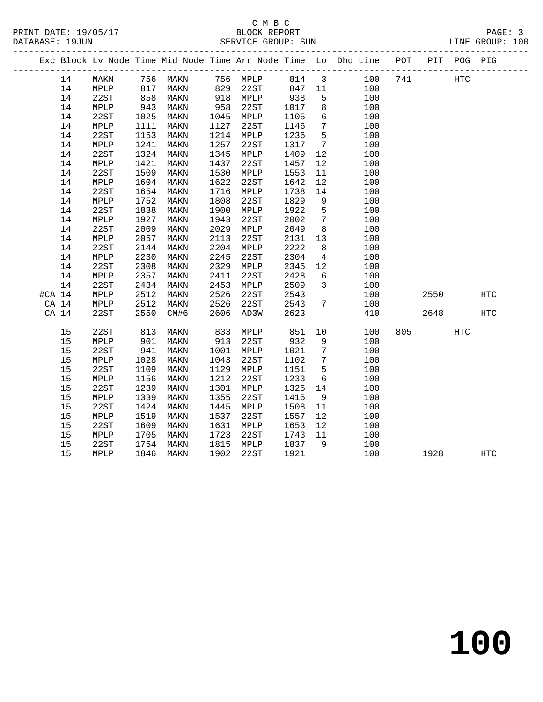### C M B C<br>BLOCK REPORT SERVICE GROUP: SUN

|          |    |              |      |          |      |          |      |                         | Exc Block Lv Node Time Mid Node Time Arr Node Time Lo Dhd Line POT |     |      | PIT POG PIG |            |  |
|----------|----|--------------|------|----------|------|----------|------|-------------------------|--------------------------------------------------------------------|-----|------|-------------|------------|--|
|          | 14 | MAKN         |      | 756 MAKN |      | 756 MPLP | 814  | $\overline{\mathbf{3}}$ | 100                                                                | 741 |      | HTC         |            |  |
|          | 14 | MPLP         | 817  | MAKN     | 829  | 22ST     | 847  | 11                      | 100                                                                |     |      |             |            |  |
|          | 14 | 22ST         | 858  | MAKN     | 918  | MPLP     | 938  | 5                       | 100                                                                |     |      |             |            |  |
|          | 14 | MPLP         | 943  | MAKN     | 958  | 22ST     | 1017 | 8                       | 100                                                                |     |      |             |            |  |
|          | 14 | 22ST         | 1025 | MAKN     | 1045 | MPLP     | 1105 | 6                       | 100                                                                |     |      |             |            |  |
|          | 14 | MPLP         | 1111 | MAKN     | 1127 | 22ST     | 1146 | $7\phantom{.0}$         | 100                                                                |     |      |             |            |  |
|          | 14 | 22ST         | 1153 | MAKN     | 1214 | MPLP     | 1236 | $5^{\circ}$             | 100                                                                |     |      |             |            |  |
|          | 14 | MPLP         | 1241 | MAKN     | 1257 | 22ST     | 1317 | $7\overline{ }$         | 100                                                                |     |      |             |            |  |
|          | 14 | 22ST         | 1324 | MAKN     | 1345 | MPLP     | 1409 | 12                      | 100                                                                |     |      |             |            |  |
|          | 14 | MPLP         | 1421 | MAKN     | 1437 | 22ST     | 1457 | 12                      | 100                                                                |     |      |             |            |  |
|          | 14 | 22ST         | 1509 | MAKN     | 1530 | MPLP     | 1553 | 11                      | 100                                                                |     |      |             |            |  |
|          | 14 | MPLP         | 1604 | MAKN     | 1622 | 22ST     | 1642 | 12                      | 100                                                                |     |      |             |            |  |
|          | 14 | 22ST         | 1654 | MAKN     | 1716 | MPLP     | 1738 | 14                      | 100                                                                |     |      |             |            |  |
|          | 14 | MPLP         | 1752 | MAKN     | 1808 | 22ST     | 1829 | 9                       | 100                                                                |     |      |             |            |  |
|          | 14 | 22ST         | 1838 | MAKN     | 1900 | MPLP     | 1922 | 5                       | 100                                                                |     |      |             |            |  |
|          | 14 | MPLP         | 1927 | MAKN     | 1943 | 22ST     | 2002 | $7\phantom{.0}$         | 100                                                                |     |      |             |            |  |
|          | 14 | 22ST         | 2009 | MAKN     | 2029 | MPLP     | 2049 | 8                       | 100                                                                |     |      |             |            |  |
|          | 14 | MPLP         | 2057 | MAKN     | 2113 | 22ST     | 2131 | 13                      | 100                                                                |     |      |             |            |  |
|          | 14 | 22ST         | 2144 | MAKN     | 2204 | MPLP     | 2222 | 8                       | 100                                                                |     |      |             |            |  |
|          | 14 | MPLP         | 2230 | MAKN     | 2245 | 22ST     | 2304 | $\overline{4}$          | 100                                                                |     |      |             |            |  |
|          | 14 | 22ST         | 2308 | MAKN     | 2329 | MPLP     | 2345 | 12                      | 100                                                                |     |      |             |            |  |
|          | 14 | MPLP         | 2357 | MAKN     | 2411 | 22ST     | 2428 | 6                       | 100                                                                |     |      |             |            |  |
|          | 14 | 22ST         | 2434 | MAKN     | 2453 | MPLP     | 2509 | $\mathbf{3}$            | 100                                                                |     |      |             |            |  |
| $#CA$ 14 |    | ${\tt MPLP}$ | 2512 | MAKN     | 2526 | 22ST     | 2543 |                         | 100                                                                |     | 2550 |             | HTC        |  |
| CA 14    |    | MPLP         | 2512 | MAKN     | 2526 | 22ST     | 2543 | 7                       | 100                                                                |     |      |             |            |  |
| CA 14    |    | 22ST         | 2550 | CM#6     | 2606 | AD3W     | 2623 |                         | 410                                                                |     | 2648 |             | <b>HTC</b> |  |
|          | 15 | 22ST         | 813  | MAKN     | 833  | MPLP     | 851  | 10                      | 100                                                                | 805 |      | HTC         |            |  |
|          | 15 | MPLP         | 901  | MAKN     | 913  | 22ST     | 932  | 9                       | 100                                                                |     |      |             |            |  |
|          | 15 | 22ST         | 941  | MAKN     | 1001 | MPLP     | 1021 | $7\phantom{.0}$         | 100                                                                |     |      |             |            |  |
|          | 15 | MPLP         | 1028 | MAKN     | 1043 | 22ST     | 1102 | $7\phantom{.0}$         | 100                                                                |     |      |             |            |  |
|          | 15 | 22ST         | 1109 | MAKN     | 1129 | MPLP     | 1151 | 5                       | 100                                                                |     |      |             |            |  |
|          | 15 | MPLP         | 1156 | MAKN     | 1212 | 22ST     | 1233 | 6                       | 100                                                                |     |      |             |            |  |
|          | 15 | 22ST         | 1239 | MAKN     | 1301 | MPLP     | 1325 | 14                      | 100                                                                |     |      |             |            |  |
|          | 15 | MPLP         | 1339 | MAKN     | 1355 | 22ST     | 1415 | - 9                     | 100                                                                |     |      |             |            |  |
|          | 15 | 22ST         | 1424 | MAKN     | 1445 | MPLP     | 1508 | 11                      | 100                                                                |     |      |             |            |  |
|          | 15 | MPLP         | 1519 | MAKN     | 1537 | 22ST     | 1557 | 12                      | 100                                                                |     |      |             |            |  |
|          | 15 | 22ST         | 1609 | MAKN     | 1631 | MPLP     | 1653 | 12                      | 100                                                                |     |      |             |            |  |
|          | 15 | MPLP         | 1705 | MAKN     | 1723 | 22ST     | 1743 | 11                      | 100                                                                |     |      |             |            |  |
|          | 15 | 22ST         | 1754 | MAKN     | 1815 | MPLP     | 1837 | 9                       | 100                                                                |     |      |             |            |  |
|          | 15 | MPLP         | 1846 | MAKN     | 1902 | 22ST     | 1921 |                         | 100                                                                |     | 1928 |             | <b>HTC</b> |  |

**100**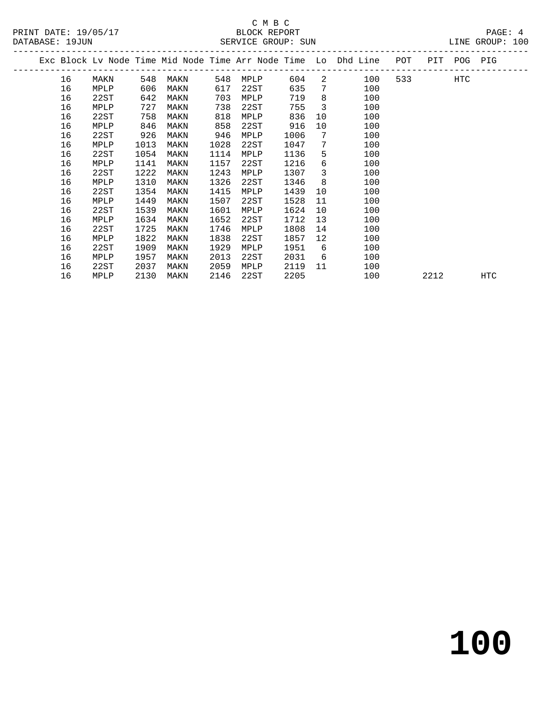# C M B C<br>BLOCK REPORT

DATABASE: 19JUN SERVICE GROUP: SUN LINE GROUP: 100

|  | DAIABASE JYJUN |      |      |      |      | SEKVICE GKOUP. SUN |      |                         |                                                                                |         | TIME GKOOR. IOO |  |
|--|----------------|------|------|------|------|--------------------|------|-------------------------|--------------------------------------------------------------------------------|---------|-----------------|--|
|  |                |      |      |      |      |                    |      |                         | Exc Block Lv Node Time Mid Node Time Arr Node Time Lo Dhd Line POT PIT POG PIG |         |                 |  |
|  | 16             | MAKN | 548  | MAKN | 548  | MPLP               | 604  |                         | 2 100                                                                          | 533 HTC |                 |  |
|  | 16             | MPLP | 606  | MAKN | 617  | 22ST               | 635  | $7\overline{ }$         | 100                                                                            |         |                 |  |
|  | 16             | 22ST | 642  | MAKN | 703  | MPLP               | 719  | 8                       | 100                                                                            |         |                 |  |
|  | 16             | MPLP | 727  | MAKN | 738  | 22ST               | 755  | $\overline{\mathbf{3}}$ | 100                                                                            |         |                 |  |
|  | 16             | 22ST | 758  | MAKN | 818  | MPLP               | 836  | 10                      | 100                                                                            |         |                 |  |
|  | 16             | MPLP | 846  | MAKN | 858  | 22ST               | 916  | 10                      | 100                                                                            |         |                 |  |
|  | 16             | 22ST | 926  | MAKN | 946  | MPLP               | 1006 | 7                       | 100                                                                            |         |                 |  |
|  | 16             | MPLP | 1013 | MAKN | 1028 | 22ST               | 1047 | $7\phantom{0}$          | 100                                                                            |         |                 |  |
|  | 16             | 22ST | 1054 | MAKN | 1114 | MPLP               | 1136 | 5                       | 100                                                                            |         |                 |  |
|  | 16             | MPLP | 1141 | MAKN | 1157 | 22ST               | 1216 | 6                       | 100                                                                            |         |                 |  |
|  | 16             | 22ST | 1222 | MAKN | 1243 | MPLP               | 1307 | $\overline{3}$          | 100                                                                            |         |                 |  |
|  | 16             | MPLP | 1310 | MAKN | 1326 | 22ST               | 1346 | 8                       | 100                                                                            |         |                 |  |
|  | 16             | 22ST | 1354 | MAKN | 1415 | MPLP               | 1439 | 10                      | 100                                                                            |         |                 |  |
|  | 16             | MPLP | 1449 | MAKN | 1507 | 22ST               | 1528 | 11                      | 100                                                                            |         |                 |  |
|  | 16             | 22ST | 1539 | MAKN | 1601 | MPLP               | 1624 | 10                      | 100                                                                            |         |                 |  |
|  | 16             | MPLP | 1634 | MAKN | 1652 | 22ST               | 1712 | 13                      | 100                                                                            |         |                 |  |
|  | 16             | 22ST | 1725 | MAKN | 1746 | MPLP               | 1808 | 14                      | 100                                                                            |         |                 |  |
|  | 16             | MPLP | 1822 | MAKN | 1838 | 22ST               | 1857 | 12                      | 100                                                                            |         |                 |  |
|  | 16             | 22ST | 1909 | MAKN | 1929 | MPLP               | 1951 | 6                       | 100                                                                            |         |                 |  |
|  | 16             | MPLP | 1957 | MAKN | 2013 | 22ST               | 2031 | 6                       | 100                                                                            |         |                 |  |

16 22ST 2037 MAKN 2059 MPLP 2119 11 100

16 MPLP 2130 MAKN 2146 22ST 2205 100 2212 HTC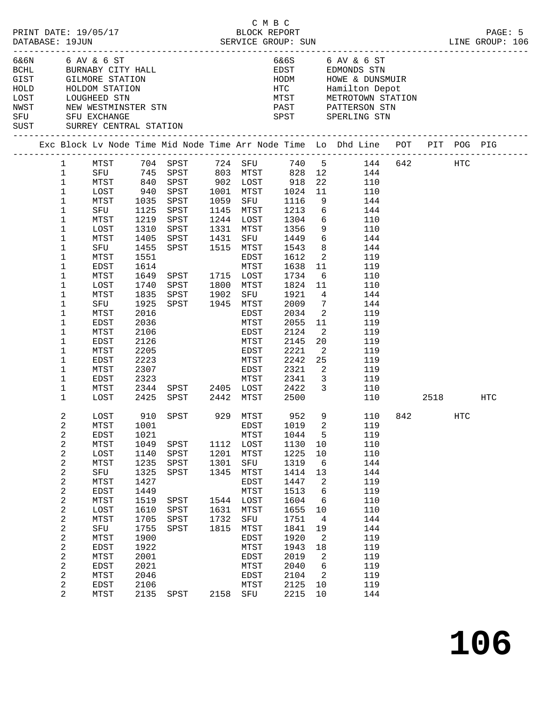|                              | DATABASE: 19JUN                                                                                                                                                                                                                                                       | PRINT DATE: 19/05/17                                                                                                                                                                                     |                                                                                                                                                                                     |                                                                                                                                                                                                                       |                                              | СМВС<br>BLOCK REPORT                                                                                                                                                         |                                                                                                                                                                              |                                                                                                                                                                                                                                                                     |                                                                                                                                                                                                                                                       |  |                   | PAGE: 5 |
|------------------------------|-----------------------------------------------------------------------------------------------------------------------------------------------------------------------------------------------------------------------------------------------------------------------|----------------------------------------------------------------------------------------------------------------------------------------------------------------------------------------------------------|-------------------------------------------------------------------------------------------------------------------------------------------------------------------------------------|-----------------------------------------------------------------------------------------------------------------------------------------------------------------------------------------------------------------------|----------------------------------------------|------------------------------------------------------------------------------------------------------------------------------------------------------------------------------|------------------------------------------------------------------------------------------------------------------------------------------------------------------------------|---------------------------------------------------------------------------------------------------------------------------------------------------------------------------------------------------------------------------------------------------------------------|-------------------------------------------------------------------------------------------------------------------------------------------------------------------------------------------------------------------------------------------------------|--|-------------------|---------|
| HOLD<br>LOST<br>NWST<br>SUST |                                                                                                                                                                                                                                                                       | 6&6N 6 AV & 6 ST<br>GIST GILMORE STATION<br>HOLDOM STATI<br>LOUGHEED STN<br>HOLDOM STATION<br>NEW WESTMINSTER STN<br>SFU SFU EXCHANGE<br>SURREY CENTRAL STATION                                          |                                                                                                                                                                                     | BCHL BURNABY CITY HALL                                                                                                                                                                                                |                                              |                                                                                                                                                                              | HODM                                                                                                                                                                         |                                                                                                                                                                                                                                                                     | 6&6S 6 AV & 6 ST<br>EDST EDMONDS STN<br>HOWE & DUNSMUIR<br>HTC Hamilton Depot<br>MTST METROTOWN STATION<br>PAST PATTERSON STN<br>SPST SPERLING STN                                                                                                    |  |                   |         |
|                              |                                                                                                                                                                                                                                                                       |                                                                                                                                                                                                          |                                                                                                                                                                                     |                                                                                                                                                                                                                       |                                              |                                                                                                                                                                              |                                                                                                                                                                              |                                                                                                                                                                                                                                                                     | Exc Block Lv Node Time Mid Node Time Arr Node Time Lo Dhd Line POT PIT POG PIG                                                                                                                                                                        |  |                   |         |
|                              | 1<br>$\mathbf{1}$<br>$\mathbf{1}$<br>$\mathbf{1}$<br>$\mathbf 1$<br>$\mathbf 1$<br>1<br>$\mathbf 1$<br>1<br>1<br>1<br>$\mathbf 1$<br>1<br>1<br>1<br>1<br>1<br>1<br>$\mathbf 1$<br>1<br>$\mathbf 1$<br>1<br>$\mathbf 1$<br>$\mathbf{1}$<br>$\mathbf 1$<br>$\mathbf{1}$ | MTST<br>SFU<br>MTST<br>LOST<br>MTST<br>SFU<br>MTST<br>LOST<br>MTST<br>SFU<br>MTST<br>EDST<br>MTST<br>LOST<br>MTST<br>SFU<br>MTST<br>EDST<br>MTST<br>EDST<br>MTST<br>EDST<br>MTST<br>EDST<br>MTST<br>LOST | 940<br>1035<br>1125<br>1219<br>1310<br>1405<br>1455<br>1551<br>1614<br>1649<br>1740<br>1835<br>1925<br>2016<br>2036<br>2106<br>2126<br>2205<br>2223<br>2307<br>2323<br>2344<br>2425 | $704$ $-1$<br>$745$ SPST<br>840 SPST 902 LOST 918<br>SPST<br>SPST<br>SPST<br>SPST<br>SPST<br>SPST<br>SPST 1515 MTST<br>SPST 1715 LOST<br>SPST<br>SPST<br>SPST 1945 MTST<br>SPST 2405 LOST 2422<br>SPST 2442 MTST 2500 | 1431<br>1902                                 | 1001 MTST<br>1059 SFU<br>1145 MTST<br>1244 LOST<br>1331 MTST<br>SFU<br>EDST<br>MTST<br>1800 MTST<br>SFU<br>EDST<br>MTST<br>EDST<br>MTST<br>EDST<br>MTST<br>EDST              | 1024<br>1116<br>1213<br>1304<br>1356<br>1449<br>1543<br>1612<br>1638<br>1734<br>1824 11<br>1921<br>2009<br>2034<br>2055<br>2124<br>2145<br>2221<br>2242<br>2321<br>MTST 2341 | 22<br>11<br>9<br>6<br>6<br>9<br>8 <sup>8</sup><br>$\overline{2}$<br>11<br>6<br>$\overline{4}$<br>$\overline{7}$<br>$\overline{\phantom{a}}^2$<br>11<br>$\overline{2}$<br>20<br>$\overline{\mathbf{2}}$<br>25<br>$\overline{\phantom{a}}$<br>$\overline{\mathbf{3}}$ | 740 5 144 642 HTC<br>828 12 144<br>110<br>110<br>144<br>144<br>110<br>110<br>$6\overline{6}$<br>144<br>144<br>119<br>119<br>110<br>110<br>144<br>144<br>119<br>119<br>119<br>119<br>119<br>119<br>119<br>119<br>$\overline{\mathbf{3}}$<br>110<br>110 |  | 2518 — 10         | HTC     |
|                              | 2<br>2<br>$\overline{\mathbf{c}}$<br>$\boldsymbol{2}$<br>2<br>$\overline{\mathbf{c}}$<br>2<br>$\boldsymbol{2}$<br>2<br>$\overline{c}$<br>2<br>$\boldsymbol{2}$<br>2<br>2<br>$\overline{\mathbf{c}}$<br>$\boldsymbol{2}$<br>$\overline{c}$<br>2<br>2<br>$\overline{2}$ | LOST<br>MTST<br>EDST<br>MTST<br>LOST<br>MTST<br>SFU<br>MTST<br>EDST<br>MTST<br>LOST<br>MTST<br>SFU<br>MTST<br>EDST<br>MTST<br>EDST<br>MTST<br>EDST<br>MTST                                               | 1001<br>1021<br>1049<br>1140<br>1235<br>1325<br>1427<br>1449<br>1519<br>1610<br>1705<br>1755<br>1900<br>1922<br>2001<br>2021<br>2046<br>2106<br>2135                                | 910 SPST<br>SPST<br>SPST<br>SPST<br>SPST<br>SPST<br>SPST<br>SPST<br>SPST<br>SPST                                                                                                                                      | 1201<br>1301<br>1345<br>1631<br>1732<br>1815 | 929 MTST<br>EDST<br>MTST<br>1112 LOST<br>MTST<br>SFU<br>MTST<br>EDST<br>MTST<br>1544 LOST<br>MTST<br>SFU<br>MTST<br>EDST<br>MTST<br>EDST<br>MTST<br>EDST<br>MTST<br>2158 SFU | 952<br>1019<br>1044<br>1130<br>1225<br>1319<br>1414<br>1447<br>1513<br>1604<br>1655<br>1751<br>1841<br>1920<br>1943<br>2019<br>2040<br>2104<br>2125<br>2215                  | 2<br>5<br>10<br>10<br>6<br>13<br>2<br>6<br>6<br>10<br>$\overline{4}$<br>19<br>2<br>18<br>2<br>6<br>$\overline{2}$<br>10<br>10                                                                                                                                       | 9 110 842<br>119<br>119<br>110<br>110<br>144<br>144<br>119<br>119<br>110<br>110<br>144<br>144<br>119<br>119<br>119<br>119<br>119<br>119<br>144                                                                                                        |  | $_{\mathrm{HTC}}$ |         |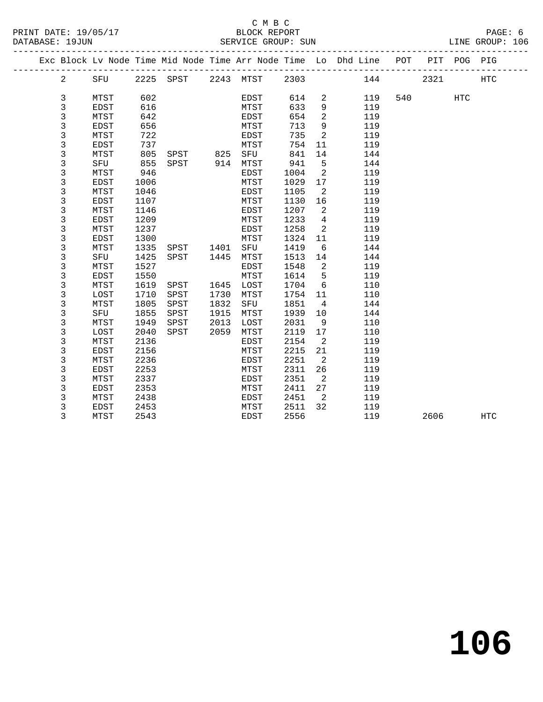#### C M B C<br>BLOCK REPORT SERVICE GROUP: SUN

|                                |         |      |                    |      |                     |         |                            | Exc Block Lv Node Time Mid Node Time Arr Node Time Lo Dhd Line POT PIT POG PIG |         |            |  |
|--------------------------------|---------|------|--------------------|------|---------------------|---------|----------------------------|--------------------------------------------------------------------------------|---------|------------|--|
| $2 \left( \frac{1}{2} \right)$ |         |      |                    |      |                     |         |                            | SFU 2225 SPST 2243 MTST 2303 144 2321                                          |         | <b>HTC</b> |  |
| 3                              | MTST    | 602  |                    |      | <b>EDST</b>         |         |                            | 614 2 119                                                                      | 540 HTC |            |  |
| 3                              | EDST    | 616  |                    |      | <b>MTST</b>         | 633     |                            | 9 119                                                                          |         |            |  |
| 3                              | MTST    | 642  |                    |      | EDST                | 654     |                            | $\overline{2}$<br>119                                                          |         |            |  |
| 3                              | EDST    | 656  |                    |      | MTST                | 713     | 9                          | 119                                                                            |         |            |  |
| $\overline{3}$                 | MTST    | 722  | <b>EDST</b>        |      |                     | 735     |                            | $\overline{2}$<br>119                                                          |         |            |  |
| 3                              | EDST    | 737  |                    |      | MTST                |         |                            | 754 11<br>119                                                                  |         |            |  |
| 3                              | MTST    |      | 805 SPST 825 SFU   |      |                     |         |                            | 841 14<br>144                                                                  |         |            |  |
| 3                              | SFU 855 |      |                    |      | SPST 914 MTST 941 5 |         |                            | 144                                                                            |         |            |  |
| $\mathsf 3$                    | MTST    | 946  |                    |      | EDST                | 1004    | $\overline{\phantom{0}}^2$ | 119                                                                            |         |            |  |
| 3                              | EDST    | 1006 |                    |      | MTST                |         |                            | 1029 17<br>119                                                                 |         |            |  |
| 3                              | MTST    | 1046 |                    |      | EDST                | 1105    |                            | $\overline{2}$<br>119                                                          |         |            |  |
| 3                              | EDST    | 1107 |                    |      | MTST                | 1130    |                            | 119                                                                            |         |            |  |
| 3                              | MTST    | 1146 |                    |      | EDST                | 1207    | $\overline{\mathbf{2}}$    | 119                                                                            |         |            |  |
| 3                              | EDST    | 1209 |                    |      | MTST                | 1233 4  |                            | 119                                                                            |         |            |  |
| 3                              | MTST    | 1237 |                    |      | EDST                | 1258    |                            | $\overline{2}$<br>119                                                          |         |            |  |
| 3                              | EDST    | 1300 |                    |      | MTST                | 1324 11 |                            | 119                                                                            |         |            |  |
| 3                              | MTST    |      | 1335 SPST 1401 SFU |      |                     | 1419 6  |                            | 144                                                                            |         |            |  |
| 3                              | SFU     | 1425 | SPST 1445 MTST     |      |                     | 1513 14 |                            | 144                                                                            |         |            |  |
| 3                              | MTST    | 1527 |                    |      | EDST                |         |                            | 1548 2<br>119                                                                  |         |            |  |
| 3                              | EDST    | 1550 |                    |      | MTST                | 1614    |                            | 5 <sub>5</sub><br>119                                                          |         |            |  |
| 3                              | MTST    | 1619 | SPST 1645          |      | LOST                | 1704    |                            | $6\degree$<br>110                                                              |         |            |  |
| 3                              | LOST    | 1710 | SPST               | 1730 | MTST                | 1754 11 |                            | 110                                                                            |         |            |  |
| 3                              | MTST    | 1805 | SPST               | 1832 | SFU                 | 1851    | $\overline{4}$             | 144                                                                            |         |            |  |
| 3                              | SFU     | 1855 | SPST               | 1915 | MTST                | 1939 10 |                            | 144                                                                            |         |            |  |
| 3                              | MTST    | 1949 | SPST               | 2013 | LOST                | 2031    |                            | 9<br>110                                                                       |         |            |  |
| 3                              | LOST    | 2040 | SPST               | 2059 | MTST                |         |                            | 2119 17 110                                                                    |         |            |  |
| 3                              | MTST    | 2136 |                    |      | EDST                | 2154 2  |                            | 119                                                                            |         |            |  |

3 EDST 2156 MTST 2215 21 119

3 EDST 2453 MTST 2511 32 119<br>3 MTST 2543 EDST 2556 119

3 MTST 2543 EDST 2556 119 2606 HTC

 3 MTST 2236 EDST 2251 2 119 3 EDST 2253 MTST 2311 26 119 3 MTST 2337 EDST 2351 2 119 3 EDST 2353 MTST 2411 27 119 3 MTST 2438 EDST 2451 2 119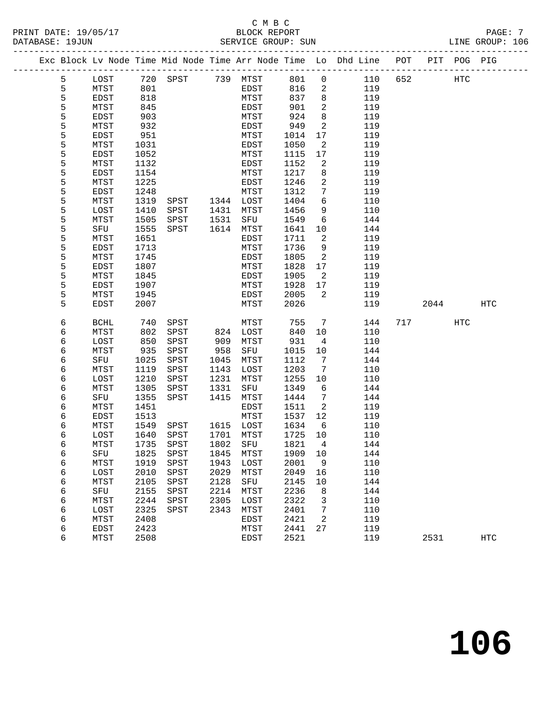# C M B C

------------------------------------------------------------------------------------------------- Exc Block Lv Node Time Mid Node Time Arr Node Time Lo Dhd Line POT PIT POG PIG

5 LOST 720 SPST 739 MTST 801 0 110 652 HTC

5 MTST 801 EDST 816 2 119

 6 MTST 1451 EDST 1511 2 119 6 EDST 1513 MTST 1537 12 119 6 MTST 1549 SPST 1615 LOST 1634 6 110 6 LOST 1640 SPST 1701 MTST 1725 10 110 6 MTST 1735 SPST 1802 SFU 1821 4 144 6 SFU 1825 SPST 1845 MTST 1909 10 144 6 MTST 1919 SPST 1943 LOST 2001 9 110 6 LOST 2010 SPST 2029 MTST 2049 16 110 6 MTST 2105 SPST 2128 SFU 2145 10 144 6 SFU 2155 SPST 2214 MTST 2236 8 144 6 MTST 2244 SPST 2305 LOST 2322 3 110 6 LOST 2325 SPST 2343 MTST 2401 7 110 6 MTST 2408 EDST 2421 2 119 6 EDST 2423 MTST 2441 27 119

-------------------------------------------------------------------------------------------------

PRINT DATE: 19/05/17 BLOCK REPORT PAGE: 7

DATABASE: 19JUN SERVICE GROUP: SUN LINE GROUP: 106

| 5 | <b>EDST</b> | 818  |      |      | MTST        | 837  | 8              | 119 |     |      |            |            |
|---|-------------|------|------|------|-------------|------|----------------|-----|-----|------|------------|------------|
| 5 | MTST        | 845  |      |      | <b>EDST</b> | 901  | 2              | 119 |     |      |            |            |
| 5 | <b>EDST</b> | 903  |      |      | <b>MTST</b> | 924  | 8              | 119 |     |      |            |            |
| 5 | MTST        | 932  |      |      | <b>EDST</b> | 949  | 2              | 119 |     |      |            |            |
| 5 | EDST        | 951  |      |      | MTST        | 1014 | 17             | 119 |     |      |            |            |
| 5 | MTST        | 1031 |      |      | <b>EDST</b> | 1050 | 2              | 119 |     |      |            |            |
| 5 | <b>EDST</b> | 1052 |      |      | <b>MTST</b> | 1115 | 17             | 119 |     |      |            |            |
| 5 | MTST        | 1132 |      |      | EDST        | 1152 | $\sqrt{2}$     | 119 |     |      |            |            |
| 5 | <b>EDST</b> | 1154 |      |      | <b>MTST</b> | 1217 | 8              | 119 |     |      |            |            |
| 5 | MTST        | 1225 |      |      | <b>EDST</b> | 1246 | 2              | 119 |     |      |            |            |
| 5 | <b>EDST</b> | 1248 |      |      | <b>MTST</b> | 1312 | 7              | 119 |     |      |            |            |
| 5 | MTST        | 1319 | SPST | 1344 | LOST        | 1404 | 6              | 110 |     |      |            |            |
| 5 | LOST        | 1410 | SPST | 1431 | MTST        | 1456 | 9              | 110 |     |      |            |            |
| 5 | MTST        | 1505 | SPST | 1531 | SFU         | 1549 | 6              | 144 |     |      |            |            |
| 5 | SFU         | 1555 | SPST | 1614 | <b>MTST</b> | 1641 | 10             | 144 |     |      |            |            |
| 5 | MTST        | 1651 |      |      | EDST        | 1711 | $\sqrt{2}$     | 119 |     |      |            |            |
| 5 | <b>EDST</b> | 1713 |      |      | <b>MTST</b> | 1736 | 9              | 119 |     |      |            |            |
| 5 | MTST        | 1745 |      |      | <b>EDST</b> | 1805 | 2              | 119 |     |      |            |            |
| 5 | <b>EDST</b> | 1807 |      |      | <b>MTST</b> | 1828 | 17             | 119 |     |      |            |            |
| 5 | MTST        | 1845 |      |      | EDST        | 1905 | 2              | 119 |     |      |            |            |
| 5 | <b>EDST</b> | 1907 |      |      | <b>MTST</b> | 1928 | 17             | 119 |     |      |            |            |
| 5 | MTST        | 1945 |      |      | <b>EDST</b> | 2005 | $\overline{2}$ | 119 |     |      |            |            |
| 5 | <b>EDST</b> | 2007 |      |      | <b>MTST</b> | 2026 |                | 119 |     | 2044 |            | <b>HTC</b> |
|   |             |      |      |      |             |      |                |     |     |      |            |            |
| 6 | <b>BCHL</b> | 740  | SPST |      | <b>MTST</b> | 755  | 7              | 144 | 717 |      | <b>HTC</b> |            |
| 6 | MTST        | 802  | SPST | 824  | LOST        | 840  | 10             | 110 |     |      |            |            |
| 6 | LOST        | 850  | SPST | 909  | MTST        | 931  | 4              | 110 |     |      |            |            |
| 6 | MTST        | 935  | SPST | 958  | SFU         | 1015 | 10             | 144 |     |      |            |            |
| б | SFU         | 1025 | SPST | 1045 | MTST        | 1112 | 7              | 144 |     |      |            |            |
| 6 | MTST        | 1119 | SPST | 1143 | LOST        | 1203 | 7              | 110 |     |      |            |            |
| 6 | LOST        | 1210 | SPST | 1231 | MTST        | 1255 | 10             | 110 |     |      |            |            |
| 6 | MTST        | 1305 | SPST | 1331 | SFU         | 1349 | 6              | 144 |     |      |            |            |
| 6 | SFU         | 1355 | SPST | 1415 | MTST        | 1444 | 7              | 144 |     |      |            |            |

6 MTST 2408 EDST 2421 2<br>
6 MTST 2408 EDST 2421 2 119<br>
6 EDST 2423 MTST 2441 27 119<br>
6 MTST 2508 EDST 2521 119 2531 HTC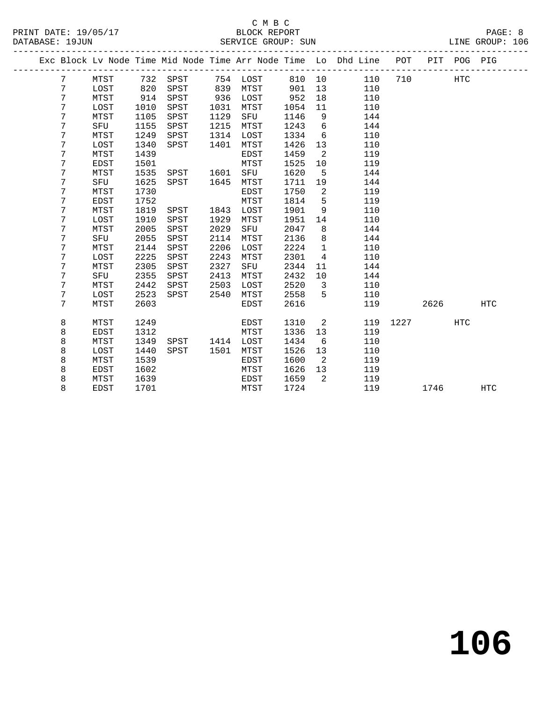### C M B C N B C N B C N B C C M B C DATABASE: 19JUN SERVICE GROUP: SUN LINE GROUP: 106

|  | תסתפתם איתת זם |  |
|--|----------------|--|

|  |                 |             |      |          |      |          |        |                         | Exc Block Lv Node Time Mid Node Time Arr Node Time Lo Dhd Line POT PIT POG PIG |      |      |     |            |
|--|-----------------|-------------|------|----------|------|----------|--------|-------------------------|--------------------------------------------------------------------------------|------|------|-----|------------|
|  | $7\overline{ }$ | MTST        |      | 732 SPST |      | 754 LOST | 810 10 |                         | 110                                                                            | 710  |      | HTC |            |
|  | 7               | LOST        | 820  | SPST     | 839  | MTST     | 901    | 13                      | 110                                                                            |      |      |     |            |
|  | 7               | MTST        | 914  | SPST     | 936  | LOST     | 952    | 18                      | 110                                                                            |      |      |     |            |
|  | 7               | LOST        | 1010 | SPST     | 1031 | MTST     | 1054   | 11                      | 110                                                                            |      |      |     |            |
|  | 7               | MTST        | 1105 | SPST     | 1129 | SFU      | 1146   | 9                       | 144                                                                            |      |      |     |            |
|  | 7               | SFU         | 1155 | SPST     | 1215 | MTST     | 1243   | $6\overline{6}$         | 144                                                                            |      |      |     |            |
|  | 7               | MTST        | 1249 | SPST     | 1314 | LOST     | 1334   | 6                       | 110                                                                            |      |      |     |            |
|  | 7               | LOST        | 1340 | SPST     | 1401 | MTST     | 1426   | 13                      | 110                                                                            |      |      |     |            |
|  | 7               | MTST        | 1439 |          |      | EDST     | 1459   | 2                       | 119                                                                            |      |      |     |            |
|  | 7               | <b>EDST</b> | 1501 |          |      | MTST     | 1525   | 10                      | 119                                                                            |      |      |     |            |
|  | 7               | MTST        | 1535 | SPST     | 1601 | SFU      | 1620   | 5                       | 144                                                                            |      |      |     |            |
|  | 7               | SFU         | 1625 | SPST     | 1645 | MTST     | 1711   | 19                      | 144                                                                            |      |      |     |            |
|  | 7               | MTST        | 1730 |          |      | EDST     | 1750   | 2                       | 119                                                                            |      |      |     |            |
|  | 7               | <b>EDST</b> | 1752 |          |      | MTST     | 1814   | 5                       | 119                                                                            |      |      |     |            |
|  | 7               | MTST        | 1819 | SPST     | 1843 | LOST     | 1901   | 9                       | 110                                                                            |      |      |     |            |
|  | 7               | LOST        | 1910 | SPST     | 1929 | MTST     | 1951   | 14                      | 110                                                                            |      |      |     |            |
|  | 7               | MTST        | 2005 | SPST     | 2029 | SFU      | 2047   | 8                       | 144                                                                            |      |      |     |            |
|  | 7               | SFU         | 2055 | SPST     | 2114 | MTST     | 2136   | 8                       | 144                                                                            |      |      |     |            |
|  | 7               | MTST        | 2144 | SPST     | 2206 | LOST     | 2224   | $\mathbf{1}$            | 110                                                                            |      |      |     |            |
|  | 7               | LOST        | 2225 | SPST     | 2243 | MTST     | 2301   | 4                       | 110                                                                            |      |      |     |            |
|  | 7               | MTST        | 2305 | SPST     | 2327 | SFU      | 2344   | 11                      | 144                                                                            |      |      |     |            |
|  | 7               | SFU         | 2355 | SPST     | 2413 | MTST     | 2432   | 10                      | 144                                                                            |      |      |     |            |
|  | 7               | MTST        | 2442 | SPST     | 2503 | LOST     | 2520   | $\overline{\mathbf{3}}$ | 110                                                                            |      |      |     |            |
|  | 7               | LOST        | 2523 | SPST     | 2540 | MTST     | 2558   | 5                       | 110                                                                            |      |      |     |            |
|  | 7               | MTST        | 2603 |          |      | EDST     | 2616   |                         | 119                                                                            |      | 2626 |     | <b>HTC</b> |
|  | 8               | MTST        | 1249 |          |      | EDST     | 1310   | 2                       | 119                                                                            | 1227 |      | HTC |            |
|  | 8               | <b>EDST</b> | 1312 |          |      | MTST     | 1336   | 13                      | 119                                                                            |      |      |     |            |
|  | 8               | MTST        | 1349 | SPST     | 1414 | LOST     | 1434   | 6                       | 110                                                                            |      |      |     |            |
|  | 8               | LOST        | 1440 | SPST     | 1501 | MTST     | 1526   | 13                      | 110                                                                            |      |      |     |            |
|  | 8               | MTST        | 1539 |          |      | EDST     | 1600   | $\overline{2}$          | 119                                                                            |      |      |     |            |
|  | 8               | <b>EDST</b> | 1602 |          |      | MTST     | 1626   | 13                      | 119                                                                            |      |      |     |            |
|  | 8               | MTST        | 1639 |          |      | EDST     | 1659   | 2                       | 119                                                                            |      |      |     |            |
|  | 8               | <b>EDST</b> | 1701 |          |      | MTST     | 1724   |                         | 119                                                                            |      | 1746 |     | <b>HTC</b> |
|  |                 |             |      |          |      |          |        |                         |                                                                                |      |      |     |            |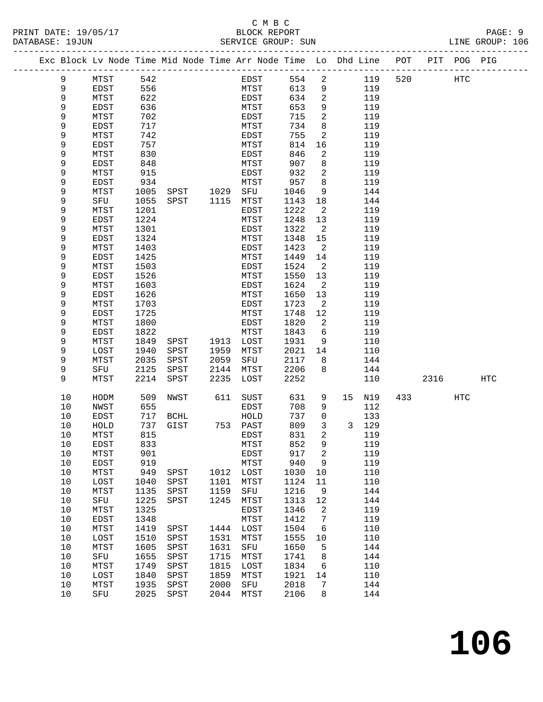## C M B C<br>BLOCK REPORT

|  | PRINT DATE: 19/05/17<br>DATABASE: 19JUN |              |            |  |              | BLOCK REPORT | SERVICE GROUP: SUN |  |         |                                                                                |      | PAGE: 9<br>LINE GROUP: 106 |  |
|--|-----------------------------------------|--------------|------------|--|--------------|--------------|--------------------|--|---------|--------------------------------------------------------------------------------|------|----------------------------|--|
|  |                                         |              |            |  |              |              |                    |  |         | Exc Block Ly Node Time Mid Node Time Arr Node Time Lo Dhd Line POT PIT POG PIG |      |                            |  |
|  |                                         | MTST<br>EDST | 542<br>556 |  | EDST<br>MTST |              | 554 2<br>613       |  | 119 520 |                                                                                | HTC. |                            |  |

| 9    | EDST        | 556  |             |      | MTST         | 613  | 9              |              | 119 |     |      |     |             |
|------|-------------|------|-------------|------|--------------|------|----------------|--------------|-----|-----|------|-----|-------------|
| 9    | MTST        | 622  |             |      | EDST         | 634  | 2              |              | 119 |     |      |     |             |
| 9    | EDST        | 636  |             |      | MTST         | 653  | 9              |              | 119 |     |      |     |             |
| 9    | MTST        | 702  |             |      | EDST         | 715  | 2              |              | 119 |     |      |     |             |
| 9    | EDST        | 717  |             |      | MTST         | 734  | 8              |              | 119 |     |      |     |             |
| 9    | MTST        | 742  |             |      | EDST         | 755  | $\mathbf{2}$   |              | 119 |     |      |     |             |
| 9    | EDST        | 757  |             |      | MTST         | 814  | 16             |              | 119 |     |      |     |             |
| 9    |             | 830  |             |      | EDST         | 846  | $\mathbf{2}$   |              | 119 |     |      |     |             |
| 9    | MTST        | 848  |             |      | MTST         | 907  |                |              | 119 |     |      |     |             |
|      | EDST        |      |             |      |              | 932  | 8              |              | 119 |     |      |     |             |
| 9    | MTST        | 915  |             |      | ${\tt EDST}$ |      | $\mathbf{2}$   |              |     |     |      |     |             |
| 9    | EDST        | 934  |             |      | MTST         | 957  | 8              |              | 119 |     |      |     |             |
| 9    | MTST        | 1005 | SPST        | 1029 | SFU          | 1046 | 9              |              | 144 |     |      |     |             |
| 9    | SFU         | 1055 | SPST        | 1115 | MTST         | 1143 | 18             |              | 144 |     |      |     |             |
| 9    | MTST        | 1201 |             |      | EDST         | 1222 | $\mathbf{2}$   |              | 119 |     |      |     |             |
| 9    | EDST        | 1224 |             |      | MTST         | 1248 | 13             |              | 119 |     |      |     |             |
| 9    | MTST        | 1301 |             |      | EDST         | 1322 | $\overline{a}$ |              | 119 |     |      |     |             |
| 9    | <b>EDST</b> | 1324 |             |      | MTST         | 1348 | 15             |              | 119 |     |      |     |             |
| 9    | MTST        | 1403 |             |      | EDST         | 1423 | 2              |              | 119 |     |      |     |             |
| 9    | EDST        | 1425 |             |      | MTST         | 1449 | 14             |              | 119 |     |      |     |             |
| 9    | MTST        | 1503 |             |      | EDST         | 1524 | $\sqrt{2}$     |              | 119 |     |      |     |             |
| 9    | EDST        | 1526 |             |      | MTST         | 1550 | 13             |              | 119 |     |      |     |             |
| 9    | MTST        | 1603 |             |      | EDST         | 1624 | $\mathbf{2}$   |              | 119 |     |      |     |             |
| 9    | EDST        | 1626 |             |      | MTST         | 1650 | 13             |              | 119 |     |      |     |             |
| 9    | MTST        | 1703 |             |      | EDST         | 1723 | $\sqrt{2}$     |              | 119 |     |      |     |             |
| 9    | EDST        | 1725 |             |      | MTST         | 1748 | 12             |              | 119 |     |      |     |             |
| 9    | MTST        | 1800 |             |      | EDST         | 1820 | $\mathbf{2}$   |              | 119 |     |      |     |             |
| 9    | EDST        | 1822 |             |      | MTST         | 1843 | 6              |              | 119 |     |      |     |             |
| 9    | MTST        | 1849 | SPST        | 1913 | LOST         | 1931 | 9              |              | 110 |     |      |     |             |
| 9    | LOST        | 1940 | SPST        | 1959 | MTST         | 2021 | 14             |              | 110 |     |      |     |             |
| 9    | MTST        | 2035 | SPST        | 2059 | SFU          | 2117 | 8              |              | 144 |     |      |     |             |
| 9    | SFU         | 2125 | SPST        | 2144 | MTST         | 2206 | 8              |              | 144 |     |      |     |             |
| 9    | MTST        | 2214 | SPST        | 2235 | LOST         | 2252 |                |              | 110 |     | 2316 |     | ${\tt HTC}$ |
| $10$ | HODM        | 509  | NWST        | 611  | SUST         | 631  | 9              | 15           | N19 | 433 |      | HTC |             |
| $10$ | NWST        | 655  |             |      | EDST         | 708  | 9              |              | 112 |     |      |     |             |
| $10$ | EDST        | 717  | <b>BCHL</b> |      | ${\tt HOLD}$ | 737  | 0              |              | 133 |     |      |     |             |
| $10$ | HOLD        | 737  | GIST        | 753  | PAST         | 809  | 3              | $\mathbf{3}$ | 129 |     |      |     |             |
| $10$ | MTST        | 815  |             |      | EDST         | 831  | 2              |              | 119 |     |      |     |             |
| $10$ | EDST        | 833  |             |      | MTST         | 852  | 9              |              | 119 |     |      |     |             |
| $10$ | MTST        | 901  |             |      | EDST         | 917  | $\sqrt{2}$     |              | 119 |     |      |     |             |
| $10$ | EDST        | 919  |             |      | MTST         | 940  | 9              |              | 119 |     |      |     |             |
| 10   | MTST        | 949  | SPST        | 1012 | LOST         | 1030 | 10             |              | 110 |     |      |     |             |
| 10   | LOST        | 1040 | SPST        | 1101 | MTST         | 1124 | 11             |              | 110 |     |      |     |             |
| 10   | MTST        | 1135 | SPST        | 1159 | SFU          | 1216 | 9              |              | 144 |     |      |     |             |
| 10   | SFU         | 1225 | SPST        | 1245 | MTST         | 1313 | 12             |              | 144 |     |      |     |             |
| 10   | MTST        | 1325 |             |      | EDST         | 1346 | 2              |              | 119 |     |      |     |             |
| 10   | EDST        | 1348 |             |      | MTST         | 1412 | 7              |              | 119 |     |      |     |             |
| 10   | MTST        | 1419 | SPST        | 1444 | LOST         | 1504 | 6              |              | 110 |     |      |     |             |
| 10   | LOST        | 1510 | SPST        | 1531 | MTST         | 1555 | $10$           |              | 110 |     |      |     |             |
| 10   | MTST        | 1605 | SPST        | 1631 | SFU          | 1650 | 5              |              | 144 |     |      |     |             |
| 10   | SFU         | 1655 | SPST        | 1715 | MTST         | 1741 | 8              |              | 144 |     |      |     |             |
| $10$ | MTST        | 1749 | SPST        | 1815 | LOST         | 1834 | 6              |              | 110 |     |      |     |             |
| 10   | LOST        | 1840 | SPST        | 1859 | MTST         | 1921 | 14             |              | 110 |     |      |     |             |
| 10   | MTST        | 1935 | SPST        | 2000 | SFU          | 2018 | 7              |              | 144 |     |      |     |             |
| 10   | SFU         | 2025 | SPST        | 2044 | MTST         | 2106 | 8              |              | 144 |     |      |     |             |
|      |             |      |             |      |              |      |                |              |     |     |      |     |             |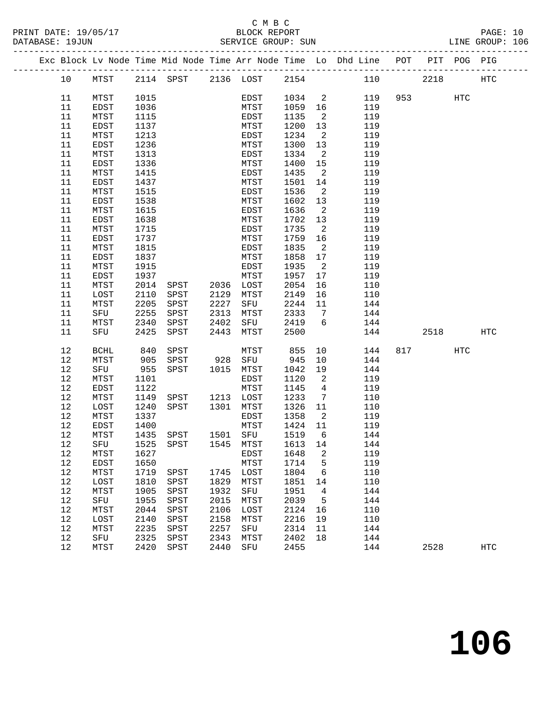|  |          |              |              |                                    |      |              |                 |                            | Exc Block Lv Node Time Mid Node Time Arr Node Time Lo Dhd Line POT PIT POG PIG |          |     |            |
|--|----------|--------------|--------------|------------------------------------|------|--------------|-----------------|----------------------------|--------------------------------------------------------------------------------|----------|-----|------------|
|  | 10       | MTST         |              | 2114 SPST 2136 LOST 2154           |      |              |                 |                            | 110                                                                            | 2218     |     | HTC        |
|  | 11       | MTST         | 1015         |                                    |      | EDST         | 1034 2          |                            |                                                                                | 119 953  | HTC |            |
|  | 11       | EDST         | 1036         |                                    |      | MTST         | 1059 16         |                            | 119                                                                            |          |     |            |
|  | 11       | MTST         | 1115         |                                    |      | EDST         | 1135            | $\overline{2}$             | 119                                                                            |          |     |            |
|  | 11       | EDST         | 1137         |                                    |      | MTST         | 1200            | 13                         | 119                                                                            |          |     |            |
|  | 11       | MTST         | 1213         |                                    |      | EDST         | 1234            | $\overline{\phantom{0}}^2$ | 119                                                                            |          |     |            |
|  | 11       | EDST         | 1236         |                                    |      | MTST         | 1300            | 13                         | 119                                                                            |          |     |            |
|  | 11       | MTST         | 1313         |                                    |      | EDST         | 1334            | $\overline{\mathbf{2}}$    | 119                                                                            |          |     |            |
|  | 11       | EDST         | 1336         |                                    |      | MTST         | 1400            | 15                         | 119                                                                            |          |     |            |
|  | 11       | MTST         | 1415         |                                    |      | EDST         | 1435            | $\overline{\phantom{a}}^2$ | 119                                                                            |          |     |            |
|  | 11       | EDST         | 1437         |                                    |      | MTST         | 1501            | 14                         | 119                                                                            |          |     |            |
|  | 11       | MTST         | 1515         |                                    |      | EDST         | 1536            | $\overline{\phantom{0}}^2$ | 119                                                                            |          |     |            |
|  | 11       | EDST         | 1538         |                                    |      | MTST         | 1602            | 13                         | 119                                                                            |          |     |            |
|  | 11       | MTST         | 1615         |                                    |      | EDST         | 1636            | $\overline{\phantom{0}}^2$ | 119                                                                            |          |     |            |
|  | 11       | EDST         | 1638         |                                    |      | MTST         | 1702            | 13                         | 119                                                                            |          |     |            |
|  | 11<br>11 | MTST<br>EDST | 1715<br>1737 |                                    |      | EDST<br>MTST | 1735<br>1759 16 | $\overline{\phantom{a}}^2$ | 119<br>119                                                                     |          |     |            |
|  | 11       | MTST         | 1815         |                                    |      | EDST         | 1835            | $\overline{\mathbf{c}}$    | 119                                                                            |          |     |            |
|  | 11       | EDST         | 1837         |                                    |      | MTST         | 1858            | 17                         | 119                                                                            |          |     |            |
|  | 11       | MTST         | 1915         |                                    |      | EDST         | 1935            | $\overline{\phantom{0}}^2$ | 119                                                                            |          |     |            |
|  | 11       | EDST         | 1937         |                                    |      | MTST         | 1957            | 17                         | 119                                                                            |          |     |            |
|  | 11       | MTST         | 2014         | SPST 2036 LOST                     |      |              | 2054            | 16                         | 110                                                                            |          |     |            |
|  | 11       | LOST         | 2110         | SPST                               |      | 2129 MTST    | 2149            | 16                         | 110                                                                            |          |     |            |
|  | 11       | MTST         | 2205         | SPST                               | 2227 | SFU          | 2244            | 11                         | 144                                                                            |          |     |            |
|  | 11       | SFU          | 2255         | SPST                               | 2313 | MTST         | 2333            | $\overline{7}$             | 144                                                                            |          |     |            |
|  | 11       | MTST         | 2340         | SPST                               | 2402 | SFU 2419     |                 | $6\overline{6}$            | 144                                                                            |          |     |            |
|  | 11       | SFU          | 2425         | SPST                               | 2443 | <b>MTST</b>  | 2500            |                            | 144                                                                            | 2518     |     | HTC        |
|  | 12       | BCHL         | 840          | SPST                               |      | MTST         | 855             | 10                         | 144                                                                            | 817 — 10 | HTC |            |
|  | 12       | MTST         | 905          | SPST                               |      | 928 SFU      | 945             | 10                         | 144                                                                            |          |     |            |
|  | 12       | SFU          | 955          | SPST                               |      | 1015 MTST    | 1042            | 19                         | 144                                                                            |          |     |            |
|  | 12       | MTST         | 1101         |                                    |      | EDST         | 1120            | $\overline{\phantom{a}}$   | 119                                                                            |          |     |            |
|  | 12       | EDST         | 1122         |                                    |      | MTST         | 1145            | $\overline{4}$             | 119                                                                            |          |     |            |
|  | 12       | MTST         | 1149         | SPST 1213 LOST                     |      |              | 1233            | $\overline{7}$             | 110                                                                            |          |     |            |
|  | 12       | LOST         | 1240         | SPST 1301                          |      | MTST         | 1326 11         |                            | 110                                                                            |          |     |            |
|  | 12       | MTST         | 1337         |                                    |      | EDST         | 1358            | $\overline{\mathbf{c}}$    | 119                                                                            |          |     |            |
|  | 12       | EDST         | 1400         |                                    |      | MTST         | 1424 11         |                            | 119                                                                            |          |     |            |
|  | 12       | MTST         |              | 1435 SPST                          |      | 1501 SFU     | 1519            | 6                          | 144                                                                            |          |     |            |
|  | 12       | MTST         | 1627         | 12 SFU 1525 SPST 1545 MTST 1613 14 |      | EDST         | 1648            | 2                          | 144<br>119                                                                     |          |     |            |
|  | 12       | EDST         | 1650         |                                    |      | MTST         | 1714            | 5                          | 119                                                                            |          |     |            |
|  | 12       | MTST         | 1719         | SPST                               | 1745 | LOST         | 1804            | 6                          | 110                                                                            |          |     |            |
|  | 12       | LOST         | 1810         | SPST                               | 1829 | MTST         | 1851            | 14                         | 110                                                                            |          |     |            |
|  | 12       | MTST         | 1905         | SPST                               | 1932 | SFU          | 1951            | 4                          | 144                                                                            |          |     |            |
|  | 12       | SFU          | 1955         | SPST                               | 2015 | MTST         | 2039            | 5                          | 144                                                                            |          |     |            |
|  | 12       | MTST         | 2044         | SPST                               | 2106 | LOST         | 2124            | 16                         | 110                                                                            |          |     |            |
|  | 12       | LOST         | 2140         | SPST                               | 2158 | MTST         | 2216            | 19                         | 110                                                                            |          |     |            |
|  | 12       | MTST         | 2235         | SPST                               | 2257 | SFU          | 2314            | 11                         | 144                                                                            |          |     |            |
|  | 12       | SFU          | 2325         | SPST                               | 2343 | MTST         | 2402            | 18                         | 144                                                                            |          |     |            |
|  | 12       | MTST         | 2420         | SPST                               | 2440 | SFU          | 2455            |                            | 144                                                                            | 2528     |     | <b>HTC</b> |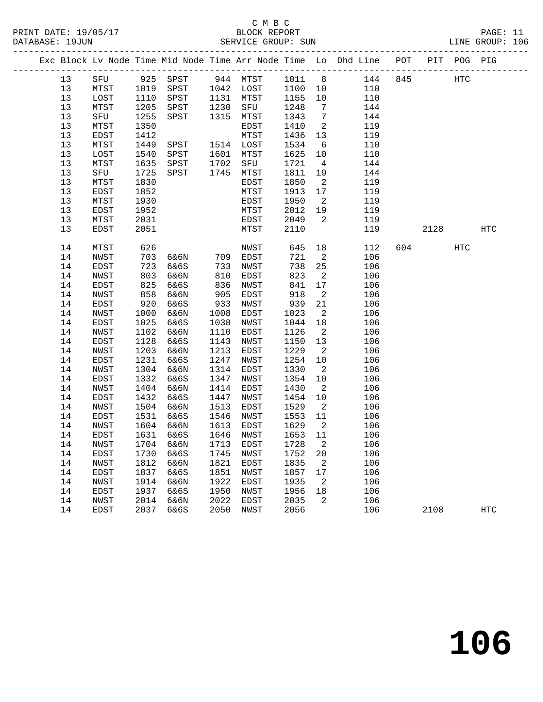#### C M B C<br>BLOCK REPORT PRINT DATE: 19/05/17 BLOCK REPORT PAGE: 11 SERVICE GROUP: SUN

|  |          |              |              |          |              |           |              |                            | Exc Block Lv Node Time Mid Node Time Arr Node Time Lo Dhd Line POT |     |      | PIT POG PIG |                   |
|--|----------|--------------|--------------|----------|--------------|-----------|--------------|----------------------------|--------------------------------------------------------------------|-----|------|-------------|-------------------|
|  | 13       | SFU          |              | 925 SPST |              | 944 MTST  | 1011         | 8 <sup>8</sup>             | 144                                                                | 845 |      | HTC         |                   |
|  | 13       | MTST         | 1019         | SPST     |              | 1042 LOST | 1100         | 10                         | 110                                                                |     |      |             |                   |
|  | 13       | LOST         | 1110         | SPST     | 1131         | MTST      | 1155         | 10                         | 110                                                                |     |      |             |                   |
|  | 13       | MTST         | 1205         | SPST     | 1230         | SFU       | 1248         | $7\overline{ }$            | 144                                                                |     |      |             |                   |
|  | 13       | SFU          | 1255         | SPST     | 1315         | MTST      | 1343         | $\overline{7}$             | 144                                                                |     |      |             |                   |
|  | 13       | MTST         | 1350         |          |              | EDST      | 1410         | 2                          | 119                                                                |     |      |             |                   |
|  | 13       | EDST         | 1412         |          |              | MTST      | 1436         | 13                         | 119                                                                |     |      |             |                   |
|  | 13       | ${\tt MTST}$ | 1449         | SPST     |              | 1514 LOST | 1534         | 6                          | 110                                                                |     |      |             |                   |
|  | 13       | LOST         | 1540         | SPST     | 1601         | MTST      | 1625         | 10                         | 110                                                                |     |      |             |                   |
|  | 13       | MTST         | 1635         | SPST     | 1702         | SFU       | 1721         | $\overline{4}$             | 144                                                                |     |      |             |                   |
|  | 13       | SFU          | 1725         | SPST     | 1745         | MTST      | 1811         | 19                         | 144                                                                |     |      |             |                   |
|  | 13       | MTST         | 1830         |          |              | EDST      | 1850         | $\overline{\phantom{a}}^2$ | 119                                                                |     |      |             |                   |
|  | 13       | EDST         | 1852         |          |              | MTST      | 1913         | 17                         | 119                                                                |     |      |             |                   |
|  | 13       | MTST         | 1930         |          |              | EDST      | 1950         | $\overline{\phantom{a}}^2$ | 119                                                                |     |      |             |                   |
|  | 13       | EDST         | 1952         |          |              | MTST      | 2012         | 19                         | 119                                                                |     |      |             |                   |
|  | 13       | MTST         | 2031         |          |              | EDST      | 2049         | 2                          | 119                                                                |     |      |             |                   |
|  | 13       | EDST         | 2051         |          |              | MTST      | 2110         |                            | 119                                                                |     | 2128 |             | $_{\mathrm{HTC}}$ |
|  | 14       | MTST         | 626          |          |              | NWST      | 645          | 18                         | 112                                                                | 604 |      | HTC         |                   |
|  | 14       | NWST         | 703          | 6&6N     | 709          | EDST      | 721          | $\overline{2}$             | 106                                                                |     |      |             |                   |
|  | 14       | EDST         | 723          | 6&6S     | 733          | NWST      | 738          | 25                         | 106                                                                |     |      |             |                   |
|  | 14       | NWST         | 803          | 6&6N     | 810          | EDST      | 823          | $\overline{\phantom{a}}^2$ | 106                                                                |     |      |             |                   |
|  | 14       | EDST         | 825          | 6&6S     | 836          | NWST      | 841          | 17                         | 106                                                                |     |      |             |                   |
|  | 14       | NWST         | 858          | 6&6N     | 905          | EDST      | 918          | $\overline{a}$             | 106                                                                |     |      |             |                   |
|  | 14       | EDST         | 920          | 6&6S     | 933          | NWST      | 939          | 21                         | 106                                                                |     |      |             |                   |
|  | 14       | NWST         | 1000         | 6&6N     | 1008         | EDST      | 1023         | $\overline{\phantom{a}}^2$ | 106                                                                |     |      |             |                   |
|  | 14       | EDST         | 1025         | 6&6S     | 1038         | NWST      | 1044         | 18                         | 106                                                                |     |      |             |                   |
|  | 14       | NWST         | 1102         | 6&6N     | 1110         | EDST      | 1126         | $\overline{2}$             | 106                                                                |     |      |             |                   |
|  | 14       | EDST         | 1128         | 6&6S     | 1143         | NWST      | 1150         | 13                         | 106                                                                |     |      |             |                   |
|  | 14       | NWST         | 1203         | 6&6N     | 1213         | EDST      | 1229         | $\overline{\phantom{a}}$   | 106                                                                |     |      |             |                   |
|  | 14       | EDST         | 1231         | 6&6S     | 1247         | NWST      | 1254         | 10                         | 106                                                                |     |      |             |                   |
|  | 14       | NWST         | 1304         | 6&6N     | 1314         | EDST      | 1330         | $\overline{2}$             | 106                                                                |     |      |             |                   |
|  | 14       | EDST         | 1332         | 6&6S     | 1347         | NWST      | 1354         | 10                         | 106                                                                |     |      |             |                   |
|  | 14       | NWST         | 1404         | 6&6N     | 1414         | EDST      | 1430         | $\overline{2}$             | 106                                                                |     |      |             |                   |
|  | 14       | EDST         | 1432         | 6&6S     | 1447         | NWST      | 1454         | 10                         | 106                                                                |     |      |             |                   |
|  | 14       | NWST         | 1504         | 6&6N     | 1513         | EDST      | 1529         | $\overline{2}$             | 106                                                                |     |      |             |                   |
|  | 14       | EDST         | 1531         | 6&6S     | 1546         | NWST      | 1553         | 11                         | 106                                                                |     |      |             |                   |
|  | 14       | NWST         | 1604         | 6&6N     | 1613         | EDST      | 1629         | $\overline{\phantom{a}}^2$ | 106                                                                |     |      |             |                   |
|  | 14       | EDST         | 1631         | 6&6S     | 1646         | NWST      | 1653 11      |                            | 106                                                                |     |      |             |                   |
|  | 14       | NWST         | 1704         | 6&6N     |              | 1713 EDST | 1728 2       |                            | 106                                                                |     |      |             |                   |
|  | 14       | EDST         | 1730         | 6&6S     | 1745         | NWST      | 1752         | 20                         | 106                                                                |     |      |             |                   |
|  | 14       | NWST         | 1812         | 6&6N     | 1821         | EDST      | 1835         | 2                          | 106                                                                |     |      |             |                   |
|  | 14       | EDST         | 1837         | 6&6S     | 1851         | NWST      | 1857         | 17                         | 106                                                                |     |      |             |                   |
|  | 14       | NWST         | 1914         | 6&6N     | 1922<br>1950 | EDST      | 1935<br>1956 | 2                          | 106<br>106                                                         |     |      |             |                   |
|  | 14<br>14 | EDST<br>NWST | 1937<br>2014 | 6&6S     | 2022         | NWST      | 2035         | 18<br>2                    | 106                                                                |     |      |             |                   |
|  | 14       |              | 2037         | 6&6N     | 2050         | EDST      | 2056         |                            | 106                                                                |     |      |             |                   |
|  |          | EDST         |              | 6&6S     |              | NWST      |              |                            |                                                                    |     | 2108 |             | $_{\mathrm{HTC}}$ |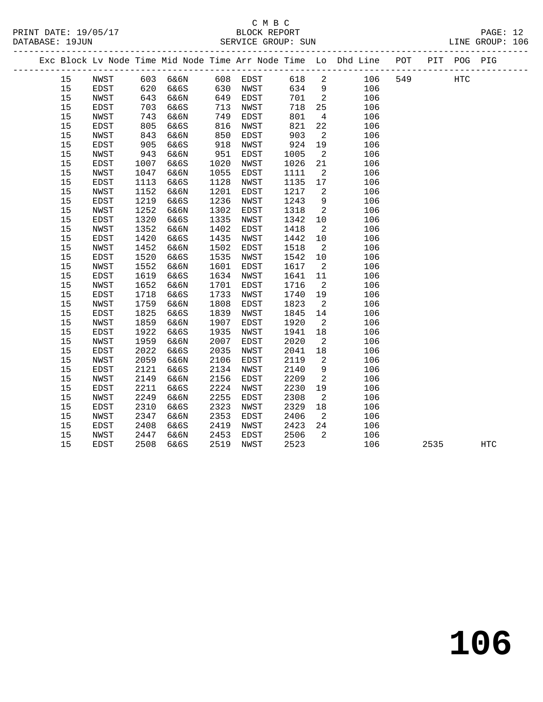|  |    |             |      |          |      |             |      |                            | Exc Block Lv Node Time Mid Node Time Arr Node Time Lo Dhd Line POT |     |      | PIT POG PIG |            |  |
|--|----|-------------|------|----------|------|-------------|------|----------------------------|--------------------------------------------------------------------|-----|------|-------------|------------|--|
|  | 15 | NWST        |      | 603 6&6N |      | 608 EDST    | 618  | 2                          | 106                                                                | 549 |      | <b>HTC</b>  |            |  |
|  | 15 | EDST        | 620  | 6&6S     | 630  | NWST        | 634  | 9                          | 106                                                                |     |      |             |            |  |
|  | 15 | NWST        | 643  | 6&6N     | 649  | EDST        | 701  | $\overline{\phantom{a}}^2$ | 106                                                                |     |      |             |            |  |
|  | 15 | EDST        | 703  | 6&6S     | 713  | NWST        | 718  | 25                         | 106                                                                |     |      |             |            |  |
|  | 15 | NWST        | 743  | 6&6N     | 749  | EDST        | 801  | $4\overline{4}$            | 106                                                                |     |      |             |            |  |
|  | 15 | EDST        | 805  | 6&6S     | 816  | NWST        | 821  | 22                         | 106                                                                |     |      |             |            |  |
|  | 15 | NWST        | 843  | 6&6N     | 850  | EDST        | 903  | 2                          | 106                                                                |     |      |             |            |  |
|  | 15 | EDST        | 905  | 6&6S     | 918  | NWST        | 924  | 19                         | 106                                                                |     |      |             |            |  |
|  | 15 | NWST        | 943  | 6&6N     | 951  | EDST        | 1005 | $\overline{2}$             | 106                                                                |     |      |             |            |  |
|  | 15 | EDST        | 1007 | 6&6S     | 1020 | NWST        | 1026 | 21                         | 106                                                                |     |      |             |            |  |
|  | 15 | NWST        | 1047 | 6&6N     | 1055 | EDST        | 1111 | 2                          | 106                                                                |     |      |             |            |  |
|  | 15 | EDST        | 1113 | 6&6S     | 1128 | NWST        | 1135 | 17                         | 106                                                                |     |      |             |            |  |
|  | 15 | NWST        | 1152 | 6&6N     | 1201 | EDST        | 1217 | $\overline{2}$             | 106                                                                |     |      |             |            |  |
|  | 15 | EDST        | 1219 | 6&6S     | 1236 | NWST        | 1243 | 9                          | 106                                                                |     |      |             |            |  |
|  | 15 | NWST        | 1252 | 6&6N     | 1302 | EDST        | 1318 | 2                          | 106                                                                |     |      |             |            |  |
|  | 15 | EDST        | 1320 | 6&6S     | 1335 | NWST        | 1342 | 10                         | 106                                                                |     |      |             |            |  |
|  | 15 | NWST        | 1352 | 6&6N     | 1402 | EDST        | 1418 | $\overline{a}$             | 106                                                                |     |      |             |            |  |
|  | 15 | EDST        | 1420 | 6&6S     | 1435 | NWST        | 1442 | 10                         | 106                                                                |     |      |             |            |  |
|  | 15 | NWST        | 1452 | 6&6N     | 1502 | EDST        | 1518 | $\overline{\phantom{a}}$   | 106                                                                |     |      |             |            |  |
|  | 15 | EDST        | 1520 | 6&6S     | 1535 | NWST        | 1542 | 10                         | 106                                                                |     |      |             |            |  |
|  | 15 | NWST        | 1552 | 6&6N     | 1601 | EDST        | 1617 | $\overline{2}$             | 106                                                                |     |      |             |            |  |
|  | 15 | EDST        | 1619 | 6&6S     | 1634 | NWST        | 1641 | 11                         | 106                                                                |     |      |             |            |  |
|  | 15 | NWST        | 1652 | 6&6N     | 1701 | EDST        | 1716 | 2                          | 106                                                                |     |      |             |            |  |
|  | 15 | EDST        | 1718 | 6&6S     | 1733 | NWST        | 1740 | 19                         | 106                                                                |     |      |             |            |  |
|  | 15 | NWST        | 1759 | 6&6N     | 1808 | EDST        | 1823 | $\overline{2}$             | 106                                                                |     |      |             |            |  |
|  | 15 | EDST        | 1825 | 6&6S     | 1839 | NWST        | 1845 | 14                         | 106                                                                |     |      |             |            |  |
|  | 15 | NWST        | 1859 | 6&6N     | 1907 | EDST        | 1920 | 2                          | 106                                                                |     |      |             |            |  |
|  | 15 | EDST        | 1922 | 6&6S     | 1935 | NWST        | 1941 | 18                         | 106                                                                |     |      |             |            |  |
|  | 15 | NWST        | 1959 | 6&6N     | 2007 | EDST        | 2020 | 2                          | 106                                                                |     |      |             |            |  |
|  | 15 | EDST        | 2022 | 6&6S     | 2035 | NWST        | 2041 | 18                         | 106                                                                |     |      |             |            |  |
|  | 15 | NWST        | 2059 | 6&6N     | 2106 | EDST        | 2119 | 2                          | 106                                                                |     |      |             |            |  |
|  | 15 | EDST        | 2121 | 6&6S     | 2134 | NWST        | 2140 | 9                          | 106                                                                |     |      |             |            |  |
|  | 15 | NWST        | 2149 | 6&6N     | 2156 | EDST        | 2209 | 2                          | 106                                                                |     |      |             |            |  |
|  | 15 | EDST        | 2211 | 6&6S     | 2224 | NWST        | 2230 | 19                         | 106                                                                |     |      |             |            |  |
|  | 15 | NWST        | 2249 | 6&6N     | 2255 | <b>EDST</b> | 2308 | 2                          | 106                                                                |     |      |             |            |  |
|  | 15 | EDST        | 2310 | 6&6S     | 2323 | NWST        | 2329 | 18                         | 106                                                                |     |      |             |            |  |
|  | 15 | NWST        | 2347 | 6&6N     | 2353 | EDST        | 2406 | 2                          | 106                                                                |     |      |             |            |  |
|  | 15 | EDST        | 2408 | 6&6S     | 2419 | NWST        | 2423 | 24                         | 106                                                                |     |      |             |            |  |
|  | 15 | NWST        | 2447 | 6&6N     | 2453 | EDST        | 2506 | 2                          | 106                                                                |     |      |             |            |  |
|  | 15 | <b>EDST</b> | 2508 | 6&6S     | 2519 | NWST        | 2523 |                            | 106                                                                |     | 2535 |             | <b>HTC</b> |  |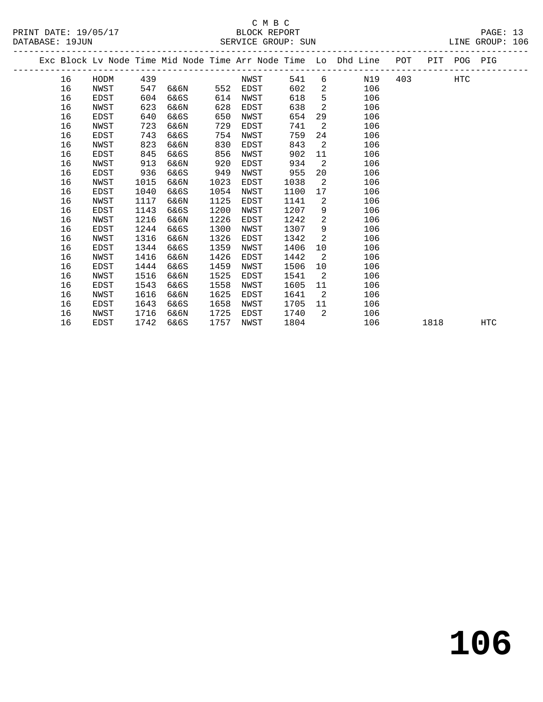#### C M B C<br>BLOCK REPORT PRINT DATE: 19/05/17 BLOCK REPORT PAGE: 13 SERVICE GROUP: SUN

|  |    |      |      |      |      |      |      |                | Exc Block Lv Node Time Mid Node Time Arr Node Time Lo Dhd Line | POT |      | PIT POG PIG |            |
|--|----|------|------|------|------|------|------|----------------|----------------------------------------------------------------|-----|------|-------------|------------|
|  | 16 | HODM | 439  |      |      | NWST | 541  | 6              | N19                                                            | 403 |      | <b>HTC</b>  |            |
|  | 16 | NWST | 547  | 6&6N | 552  | EDST | 602  | $\overline{2}$ | 106                                                            |     |      |             |            |
|  | 16 | EDST | 604  | 6&6S | 614  | NWST | 618  | 5              | 106                                                            |     |      |             |            |
|  | 16 | NWST | 623  | 6&6N | 628  | EDST | 638  | 2              | 106                                                            |     |      |             |            |
|  | 16 | EDST | 640  | 6&6S | 650  | NWST | 654  | 29             | 106                                                            |     |      |             |            |
|  | 16 | NWST | 723  | 6&6N | 729  | EDST | 741  | 2              | 106                                                            |     |      |             |            |
|  | 16 | EDST | 743  | 6&6S | 754  | NWST | 759  | 24             | 106                                                            |     |      |             |            |
|  | 16 | NWST | 823  | 6&6N | 830  | EDST | 843  | 2              | 106                                                            |     |      |             |            |
|  | 16 | EDST | 845  | 6&6S | 856  | NWST | 902  | 11             | 106                                                            |     |      |             |            |
|  | 16 | NWST | 913  | 6&6N | 920  | EDST | 934  | 2              | 106                                                            |     |      |             |            |
|  | 16 | EDST | 936  | 6&6S | 949  | NWST | 955  | 20             | 106                                                            |     |      |             |            |
|  | 16 | NWST | 1015 | 6&6N | 1023 | EDST | 1038 | 2              | 106                                                            |     |      |             |            |
|  | 16 | EDST | 1040 | 6&6S | 1054 | NWST | 1100 | 17             | 106                                                            |     |      |             |            |
|  | 16 | NWST | 1117 | 6&6N | 1125 | EDST | 1141 | 2              | 106                                                            |     |      |             |            |
|  | 16 | EDST | 1143 | 6&6S | 1200 | NWST | 1207 | 9              | 106                                                            |     |      |             |            |
|  | 16 | NWST | 1216 | 6&6N | 1226 | EDST | 1242 | $\overline{2}$ | 106                                                            |     |      |             |            |
|  | 16 | EDST | 1244 | 6&6S | 1300 | NWST | 1307 | 9              | 106                                                            |     |      |             |            |
|  | 16 | NWST | 1316 | 6&6N | 1326 | EDST | 1342 | 2              | 106                                                            |     |      |             |            |
|  | 16 | EDST | 1344 | 6&6S | 1359 | NWST | 1406 | 10             | 106                                                            |     |      |             |            |
|  | 16 | NWST | 1416 | 6&6N | 1426 | EDST | 1442 | $\overline{2}$ | 106                                                            |     |      |             |            |
|  | 16 | EDST | 1444 | 6&6S | 1459 | NWST | 1506 | 10             | 106                                                            |     |      |             |            |
|  | 16 | NWST | 1516 | 6&6N | 1525 | EDST | 1541 | $\overline{2}$ | 106                                                            |     |      |             |            |
|  | 16 | EDST | 1543 | 6&6S | 1558 | NWST | 1605 | 11             | 106                                                            |     |      |             |            |
|  | 16 | NWST | 1616 | 6&6N | 1625 | EDST | 1641 | $\overline{2}$ | 106                                                            |     |      |             |            |
|  | 16 | EDST | 1643 | 6&6S | 1658 | NWST | 1705 | 11             | 106                                                            |     |      |             |            |
|  | 16 | NWST | 1716 | 6&6N | 1725 | EDST | 1740 | 2              | 106                                                            |     |      |             |            |
|  | 16 | EDST | 1742 | 6&6S | 1757 | NWST | 1804 |                | 106                                                            |     | 1818 |             | <b>HTC</b> |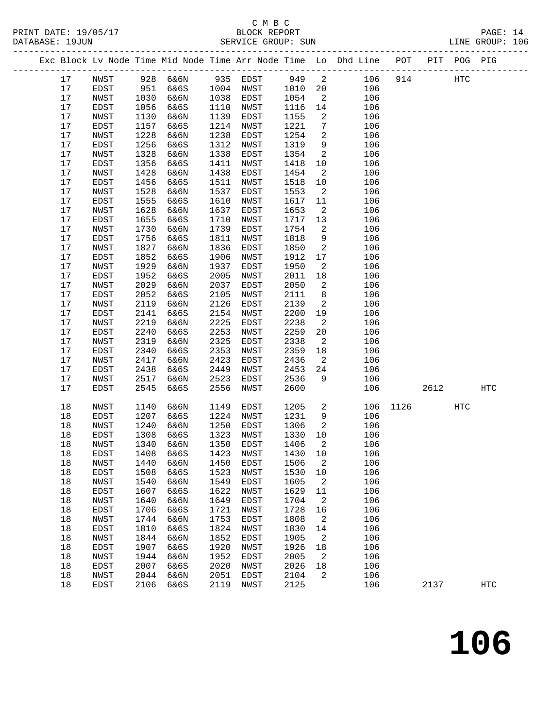#### C M B C<br>BLOCK REPORT SERVICE GROUP: SUN

|  |      |             |      |           |      |           |        |                            | Exc Block Lv Node Time Mid Node Time Arr Node Time Lo Dhd Line POT |      |      | PIT POG PIG |     |
|--|------|-------------|------|-----------|------|-----------|--------|----------------------------|--------------------------------------------------------------------|------|------|-------------|-----|
|  | 17   | NWST        |      | 928 6&6N  |      | 935 EDST  | 949    | $\overline{\mathbf{2}}$    | 106                                                                | 914  |      | HTC         |     |
|  | 17   | EDST        | 951  | 6&6S      | 1004 | NWST      | 1010   | 20                         | 106                                                                |      |      |             |     |
|  | 17   | NWST        | 1030 | 6&6N      | 1038 | EDST      | 1054   | $\overline{2}$             | 106                                                                |      |      |             |     |
|  | 17   | EDST        | 1056 | 6&6S      | 1110 | NWST      | 1116   | 14                         | 106                                                                |      |      |             |     |
|  | 17   | NWST        | 1130 | 6&6N      | 1139 | EDST      | 1155   | 2                          | 106                                                                |      |      |             |     |
|  | 17   | EDST        | 1157 | 6&6S      | 1214 | NWST      | 1221   | $7\phantom{.0}$            | 106                                                                |      |      |             |     |
|  | 17   | NWST        | 1228 | 6&6N      | 1238 | EDST      | 1254   | 2                          | 106                                                                |      |      |             |     |
|  | 17   | EDST        | 1256 | 6&6S      | 1312 | NWST      | 1319   | 9                          | 106                                                                |      |      |             |     |
|  | 17   | NWST        | 1328 | 6&6N      | 1338 | EDST      | 1354   | $\overline{2}$             | 106                                                                |      |      |             |     |
|  | 17   | EDST        | 1356 | 6&6S      | 1411 | NWST      | 1418   | 10                         | 106                                                                |      |      |             |     |
|  | 17   | NWST        | 1428 | 6&6N      | 1438 | EDST      | 1454   | $\overline{a}$             | 106                                                                |      |      |             |     |
|  | 17   | EDST        | 1456 | 6&6S      | 1511 | NWST      | 1518   | 10                         | 106                                                                |      |      |             |     |
|  | 17   | NWST        | 1528 | 6&6N      | 1537 | EDST      | 1553   | $\overline{2}$             | 106                                                                |      |      |             |     |
|  | 17   | EDST        | 1555 | 6&6S      | 1610 | NWST      | 1617   | 11                         | 106                                                                |      |      |             |     |
|  | 17   | NWST        | 1628 | 6&6N      | 1637 | EDST      | 1653   | $\overline{a}$             | 106                                                                |      |      |             |     |
|  | 17   | EDST        | 1655 | 6&6S      | 1710 | NWST      | 1717   | 13                         | 106                                                                |      |      |             |     |
|  | 17   | NWST        | 1730 | 6&6N      | 1739 | EDST      | 1754   | 2                          | 106                                                                |      |      |             |     |
|  | 17   | EDST        | 1756 | 6&6S      | 1811 | NWST      | 1818   | 9                          | 106                                                                |      |      |             |     |
|  | 17   | NWST        | 1827 | 6&6N      | 1836 | EDST      | 1850   | 2                          | 106                                                                |      |      |             |     |
|  | 17   | EDST        | 1852 | 6&6S      | 1906 | NWST      | 1912   | 17                         | 106                                                                |      |      |             |     |
|  | 17   | NWST        | 1929 | 6&6N      | 1937 | EDST      | 1950   | 2                          | 106                                                                |      |      |             |     |
|  | 17   | EDST        | 1952 | 6&6S      | 2005 | NWST      | 2011   | 18                         | 106                                                                |      |      |             |     |
|  | 17   | NWST        | 2029 | 6&6N      | 2037 | EDST      | 2050   | 2                          | 106                                                                |      |      |             |     |
|  | $17$ | EDST        | 2052 | 6&6S      | 2105 | NWST      | 2111   | 8                          | 106                                                                |      |      |             |     |
|  | 17   | NWST        | 2119 | 6&6N      | 2126 | EDST      | 2139   | 2                          | 106                                                                |      |      |             |     |
|  | 17   | EDST        | 2141 | 6&6S      | 2154 | NWST      | 2200   | 19                         | 106                                                                |      |      |             |     |
|  | 17   | NWST        | 2219 | 6&6N      | 2225 | EDST      | 2238   | 2                          | 106                                                                |      |      |             |     |
|  | 17   | EDST        | 2240 | 6&6S      | 2253 | NWST      | 2259   | 20                         | 106                                                                |      |      |             |     |
|  | 17   | NWST        | 2319 | 6&6N      | 2325 | EDST      | 2338   | 2                          | 106                                                                |      |      |             |     |
|  | 17   | EDST        | 2340 | 6&6S      | 2353 | NWST      | 2359   | 18                         | 106                                                                |      |      |             |     |
|  | 17   | NWST        | 2417 | 6&6N      | 2423 | EDST      | 2436   | 2                          | 106                                                                |      |      |             |     |
|  | 17   | EDST        | 2438 | 6&6S      | 2449 | NWST      | 2453   | 24                         | 106                                                                |      |      |             |     |
|  | 17   | NWST        | 2517 | 6&6N      | 2523 | EDST      | 2536   | 9                          | 106                                                                |      |      |             |     |
|  | 17   | EDST        | 2545 | 6&6S      | 2556 | NWST      | 2600   |                            | 106                                                                |      | 2612 |             | HTC |
|  | 18   | NWST        | 1140 | 6&6N      | 1149 | EDST      | 1205   | $\overline{a}$             | 106                                                                | 1126 |      | HTC         |     |
|  | 18   | EDST        | 1207 | 6&6S      | 1224 | NWST      | 1231   | 9                          | 106                                                                |      |      |             |     |
|  | 18   | NWST        | 1240 | 6&6N      | 1250 | EDST      | 1306   | $\overline{2}$             | 106                                                                |      |      |             |     |
|  | 18   | <b>EDST</b> | 1308 | 6&6S      | 1323 | NWST      | 1330   | 10                         | 106                                                                |      |      |             |     |
|  | 18   | NWST        |      | 1340 6&6N |      | 1350 EDST | 1406 2 |                            | 106                                                                |      |      |             |     |
|  | 18   | EDST        | 1408 | 6&6S      | 1423 | NWST      | 1430   | 10                         | 106                                                                |      |      |             |     |
|  | 18   | NWST        | 1440 | 6&6N      | 1450 | EDST      | 1506   | $\overline{\phantom{a}}^2$ | 106                                                                |      |      |             |     |
|  | 18   | EDST        | 1508 | 6&6S      | 1523 | NWST      | 1530   | 10                         | 106                                                                |      |      |             |     |
|  | 18   | NWST        | 1540 | 6&6N      | 1549 | EDST      | 1605   | 2                          | 106                                                                |      |      |             |     |
|  | 18   | EDST        | 1607 | 6&6S      | 1622 | NWST      | 1629   | 11                         | 106                                                                |      |      |             |     |
|  | 18   | NWST        | 1640 | 6&6N      | 1649 | EDST      | 1704   | 2                          | 106                                                                |      |      |             |     |
|  | 18   | EDST        | 1706 | 6&6S      | 1721 | NWST      | 1728   | 16                         | 106                                                                |      |      |             |     |
|  | 18   | NWST        | 1744 | 6&6N      | 1753 | EDST      | 1808   | 2                          | 106                                                                |      |      |             |     |
|  | 18   | EDST        | 1810 | 6&6S      | 1824 | NWST      | 1830   | 14                         | 106                                                                |      |      |             |     |
|  | 18   | NWST        | 1844 | 6&6N      | 1852 | EDST      | 1905   | 2                          | 106                                                                |      |      |             |     |
|  | 18   | EDST        | 1907 | 6&6S      | 1920 | NWST      | 1926   | 18                         | 106                                                                |      |      |             |     |
|  | 18   | NWST        | 1944 | 6&6N      | 1952 | EDST      | 2005   | 2                          | 106                                                                |      |      |             |     |
|  | 18   | EDST        | 2007 | 6&6S      | 2020 | NWST      | 2026   | 18                         | 106                                                                |      |      |             |     |
|  | 18   | NWST        | 2044 | 6&6N      | 2051 | EDST      | 2104   | 2                          | 106                                                                |      |      |             |     |

18 EDST 2106 6&6S 2119 NWST 2125 106 2137 HTC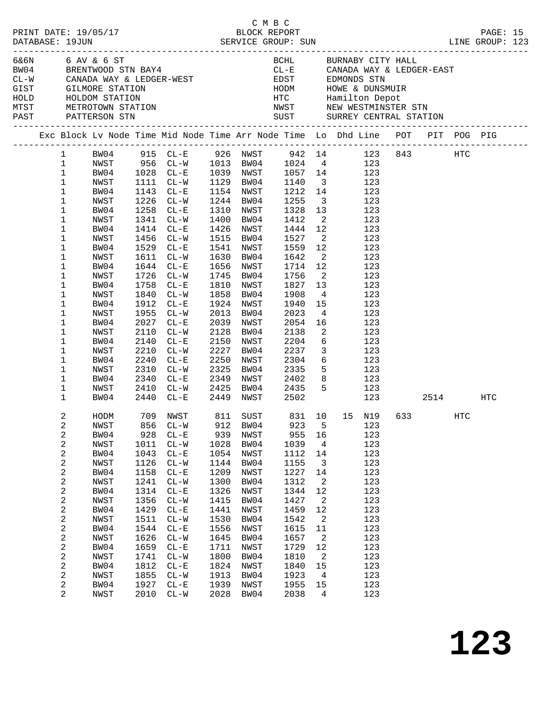|  | DATABASE: 19JUN                                                                                                                                                                                             | PRINT DATE: 19/05/17                                                                                                                                                                         |                                                                                                                                                    |                                                                                                                                                                                                                                                                                                                         |                                                                                                                                                    | смвс<br>BLOCK REPORT                                                                                                                                                                                                                    |                                                                                                                                                                                                |                                                                                                                                                                                                                       |                                                                                                                                                                                                                                                                                                                                                                                                                                                         |  |                   | PAGE: 15 |  |
|--|-------------------------------------------------------------------------------------------------------------------------------------------------------------------------------------------------------------|----------------------------------------------------------------------------------------------------------------------------------------------------------------------------------------------|----------------------------------------------------------------------------------------------------------------------------------------------------|-------------------------------------------------------------------------------------------------------------------------------------------------------------------------------------------------------------------------------------------------------------------------------------------------------------------------|----------------------------------------------------------------------------------------------------------------------------------------------------|-----------------------------------------------------------------------------------------------------------------------------------------------------------------------------------------------------------------------------------------|------------------------------------------------------------------------------------------------------------------------------------------------------------------------------------------------|-----------------------------------------------------------------------------------------------------------------------------------------------------------------------------------------------------------------------|---------------------------------------------------------------------------------------------------------------------------------------------------------------------------------------------------------------------------------------------------------------------------------------------------------------------------------------------------------------------------------------------------------------------------------------------------------|--|-------------------|----------|--|
|  |                                                                                                                                                                                                             | 6&6N 6 AV & 6 ST                                                                                                                                                                             |                                                                                                                                                    |                                                                                                                                                                                                                                                                                                                         |                                                                                                                                                    |                                                                                                                                                                                                                                         |                                                                                                                                                                                                |                                                                                                                                                                                                                       | BCHL BURNABY CITY HALL<br>$CL-E$ CANADA WAY & LEDGER-EAST                                                                                                                                                                                                                                                                                                                                                                                               |  |                   |          |  |
|  |                                                                                                                                                                                                             |                                                                                                                                                                                              |                                                                                                                                                    |                                                                                                                                                                                                                                                                                                                         |                                                                                                                                                    |                                                                                                                                                                                                                                         |                                                                                                                                                                                                |                                                                                                                                                                                                                       | Exc Block Lv Node Time Mid Node Time Arr Node Time Lo Dhd Line POT PIT POG PIG                                                                                                                                                                                                                                                                                                                                                                          |  |                   |          |  |
|  | $\mathbf{1}$<br>$\mathbf{1}$<br>$\mathbf{1}$<br>$\mathbf{1}$<br>$\mathbf{1}$<br>$\mathbf{1}$<br>1<br>1<br>1<br>1<br>1<br>1<br>1<br>1<br>1<br>1<br>1<br>1<br>1<br>1<br>1<br>1<br>1<br>1<br>1<br>$\mathbf{1}$ | NWST<br>BW04<br>NWST<br>BW04<br>NWST<br>BW04<br>NWST<br>BW04<br>NWST<br>BW04<br>NWST<br>BW04<br>NWST<br>BW04<br>NWST<br>BW04<br>NWST<br>BW04<br>NWST<br>BW04<br>NWST<br>BW04<br>NWST<br>BW04 | 1912<br>1955<br>2027<br>2110<br>2210<br>2240                                                                                                       | 1111 CL-W<br>1143 CL-E<br>1226 CL-W<br>1258 CL-E<br>1341 CL-W<br>1414 CL-E<br>1456 CL-W<br>1529 CL-E<br>1611 CL-W<br>1644 CL-E<br>1726 CL-W<br>1758 CL-E<br>1840 CL-W<br>$CL-E$<br>$CL-W$<br>$CL - E$<br>$CL-W$<br>2140 CL-E<br>$CL - W$<br>$CL - E$<br>2310 CL-W<br>2340 CL-E<br>2410 CL-W 2425 BW04 2435<br>2440 CL-E | 1630<br>2013<br>2150<br>2227<br>2250                                                                                                               | 1154 NWST<br>1244 BW04<br>1310 NWST<br>1400 BW04<br>1426 NWST<br>1515 BW04<br>1541 NWST<br>BW04<br>1656 NWST<br>1745 BW04<br>1810 NWST<br>1858 BW04<br>1924 NWST<br>BW04<br>2039 NWST<br>2128 BW04<br>NWST<br>BW04<br>NWST<br>2325 BW04 | 1129 BW04 1140<br>1255<br>1328<br>1412<br>1444 12<br>1527<br>1559<br>1642<br>1714 12<br>1756<br>1827<br>1908<br>1940<br>2023<br>2054<br>2138<br>2204<br>2237<br>2304<br>2335<br>2449 NWST 2502 | 13<br>$\overline{\mathbf{2}}$<br>$\overline{\mathbf{2}}$<br>12<br>$\overline{\phantom{a}}$ 2<br>$\overline{\phantom{a}}$<br>13<br>$4\overline{4}$<br>16<br>$\overline{\phantom{a}}^2$<br>$\overline{\mathbf{3}}$      | 1 BW04 915 CL-E 926 NWST 942 14 123 843 HTC<br>NWST 956 CL-W 1013 BW04 1024 4 123<br>BW04 1028 CL-E 1039 NWST 1057 14 123<br>3 123<br>1212 14 123<br>$\overline{\mathbf{3}}$<br>123<br>123<br>123<br>123<br>123<br>123<br>123<br>123<br>123<br>123<br>123<br>15<br>123<br>$4\overline{ }$<br>123<br>123<br>123<br>$6\overline{6}$<br>123<br>123<br>$\begin{array}{ccc} 6 & & 123 \\ 5 & & 123 \end{array}$<br>2349 NWST 2402 8 123<br>5 123<br>123 2514 |  |                   | HTC      |  |
|  | 2<br>2<br>2<br>2<br>2<br>2<br>2<br>2<br>2<br>2<br>2<br>2<br>2<br>2<br>2<br>2<br>2<br>2<br>2<br>$\overline{2}$                                                                                               | NWST<br>BW04<br>NWST<br>BW04<br>NWST<br>BW04<br>NWST<br>BW04<br>NWST<br>BW04<br>NWST<br>BW04<br>NWST<br>BW04<br>NWST<br>BW04<br>NWST<br>BW04<br>NWST                                         | 856<br>928<br>1011<br>1043<br>1126<br>1158<br>1241<br>1314<br>1356<br>1429<br>1511<br>1544<br>1626<br>1659<br>1741<br>1812<br>1855<br>1927<br>2010 | $CL-W$<br>$CL - E$<br>$CL-W$<br>$CL - E$<br>$CL - W$<br>$CL - E$<br>$CL - W$<br>$CL - E$<br>$CL - W$<br>$CL - E$<br>$CL-W$<br>$CL - E$<br>$CL - W$<br>$CL - E$<br>$CL-W$<br>$CL - E$<br>$CL-W$<br>$CL - E$<br>$CL-W$                                                                                                    | 912<br>939<br>1028<br>1054<br>1144<br>1209<br>1300<br>1326<br>1415<br>1441<br>1530<br>1556<br>1645<br>1711<br>1800<br>1824<br>1913<br>1939<br>2028 | BW04<br>NWST<br>BW04<br>NWST<br>BW04<br>NWST<br>BW04<br>NWST<br>BW04<br>NWST<br>BW04<br>NWST<br>BW04<br>NWST<br>BW04<br>NWST<br>BW04<br>NWST<br>BW04                                                                                    | 923<br>955<br>1039<br>1112<br>1155<br>1227<br>1312<br>1344<br>1427<br>1459<br>1542<br>1615<br>1657<br>1729<br>1810<br>1840<br>1923<br>1955<br>2038                                             | 5<br>16<br>$\overline{4}$<br>14<br>$\overline{3}$<br>14<br>$\overline{a}$<br>12<br>$\overline{\phantom{a}}^2$<br>12<br>$\overline{2}$<br>11<br>$\overline{\phantom{a}}$<br>12<br>2<br>15<br>$\overline{4}$<br>15<br>4 | HODM 709 NWST 811 SUST 831 10 15 N19 633<br>123<br>123<br>123<br>123<br>123<br>123<br>123<br>123<br>123<br>123<br>123<br>123<br>123<br>123<br>123<br>123<br>123<br>123<br>123                                                                                                                                                                                                                                                                           |  | $_{\mathrm{HTC}}$ |          |  |

**123**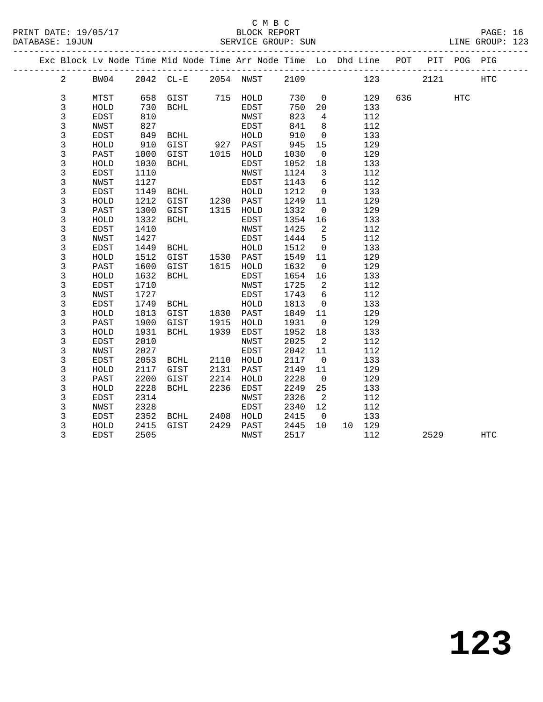|  |                |             |      | Exc Block Lv Node Time Mid Node Time Arr Node Time Lo Dhd Line POT |      |           |      |                            |        |        | PIT POG PIG |            |  |
|--|----------------|-------------|------|--------------------------------------------------------------------|------|-----------|------|----------------------------|--------|--------|-------------|------------|--|
|  | $\overline{a}$ | BW04        |      | 2042 CL-E 2054 NWST 2109                                           |      |           |      |                            | 123    | 2121   |             | <b>HTC</b> |  |
|  |                |             |      |                                                                    |      |           |      |                            |        |        |             |            |  |
|  | 3              | MTST        |      | 658 GIST                                                           |      | 715 HOLD  | 730  | $\overline{0}$             | 129    | 636 70 | HTC         |            |  |
|  | 3              | HOLD        | 730  | BCHL                                                               |      | EDST      | 750  | 20                         | 133    |        |             |            |  |
|  | 3              | <b>EDST</b> | 810  |                                                                    |      | NWST      | 823  | $4\overline{ }$            | 112    |        |             |            |  |
|  | $\mathsf{3}$   | NWST        | 827  |                                                                    |      | EDST      | 841  | 8                          | 112    |        |             |            |  |
|  | $\mathsf 3$    | EDST        | 849  | BCHL                                                               |      | HOLD      | 910  | $\overline{0}$             | 133    |        |             |            |  |
|  | 3              | HOLD        | 910  | GIST 927 PAST                                                      |      |           | 945  | 15                         | 129    |        |             |            |  |
|  | 3              | PAST        | 1000 | GIST                                                               | 1015 | HOLD      | 1030 | $\overline{0}$             | 129    |        |             |            |  |
|  | 3              | HOLD        | 1030 | BCHL                                                               |      | EDST      | 1052 | 18                         | 133    |        |             |            |  |
|  | $\mathsf{3}$   | EDST        | 1110 |                                                                    |      | NWST      | 1124 | $\overline{\mathbf{3}}$    | 112    |        |             |            |  |
|  | 3              | NWST        | 1127 |                                                                    |      | EDST      | 1143 | $6\overline{6}$            | 112    |        |             |            |  |
|  | 3              | EDST        | 1149 | <b>BCHL</b>                                                        |      | HOLD      | 1212 | $\overline{0}$             | 133    |        |             |            |  |
|  | 3              | HOLD        | 1212 | GIST                                                               |      | 1230 PAST | 1249 | 11                         | 129    |        |             |            |  |
|  | 3              | PAST        | 1300 | GIST                                                               |      | 1315 HOLD | 1332 | $\overline{0}$             | 129    |        |             |            |  |
|  | $\mathsf{3}$   | HOLD        | 1332 | BCHL                                                               |      | EDST      | 1354 | 16                         | 133    |        |             |            |  |
|  | 3              | EDST        | 1410 |                                                                    |      | NWST      | 1425 | $\overline{\phantom{a}}$   | 112    |        |             |            |  |
|  | $\mathsf{3}$   | NWST        | 1427 |                                                                    |      | EDST      | 1444 | $5^{\circ}$                | 112    |        |             |            |  |
|  | $\mathsf{3}$   | EDST        | 1449 |                                                                    |      |           | 1512 | $\overline{0}$             | 133    |        |             |            |  |
|  | 3              | HOLD        | 1512 | BCHL HOLD<br>GIST 1530 PAST<br>GIST 1615 HOLD                      |      |           | 1549 | 11                         | 129    |        |             |            |  |
|  | 3              | PAST        | 1600 |                                                                    |      |           | 1632 | $\overline{0}$             | 129    |        |             |            |  |
|  | 3              | HOLD        | 1632 | BCHL                                                               |      | EDST      | 1654 | 16                         | 133    |        |             |            |  |
|  | 3              | EDST        | 1710 |                                                                    |      | NWST      | 1725 | $\overline{\phantom{0}}^2$ | 112    |        |             |            |  |
|  | 3              | NWST        | 1727 |                                                                    |      | EDST      | 1743 | 6                          | 112    |        |             |            |  |
|  | $\mathsf{3}$   | EDST        | 1749 | BCHL                                                               |      | HOLD      | 1813 | $\overline{0}$             | 133    |        |             |            |  |
|  | 3              | HOLD        | 1813 | GIST                                                               |      | 1830 PAST | 1849 | 11                         | 129    |        |             |            |  |
|  | 3              | PAST        | 1900 | GIST                                                               | 1915 | HOLD      | 1931 | $\overline{0}$             | 129    |        |             |            |  |
|  | 3              | HOLD        | 1931 | BCHL                                                               | 1939 | EDST      | 1952 | 18                         | 133    |        |             |            |  |
|  | 3              | <b>EDST</b> | 2010 |                                                                    |      | NWST      | 2025 | $\overline{2}$             | 112    |        |             |            |  |
|  | 3              | NWST        | 2027 |                                                                    |      | EDST      | 2042 | 11                         | 112    |        |             |            |  |
|  | 3              | EDST        | 2053 | BCHL                                                               |      | 2110 HOLD | 2117 | $\overline{0}$             | 133    |        |             |            |  |
|  | 3              | HOLD        | 2117 | GIST                                                               | 2131 | PAST      | 2149 | 11                         | 129    |        |             |            |  |
|  | 3              | PAST        | 2200 | GIST                                                               | 2214 | HOLD      | 2228 | $\overline{\phantom{0}}$   | 129    |        |             |            |  |
|  | $\mathsf{3}$   | HOLD        | 2228 | BCHL                                                               | 2236 | EDST      | 2249 | 25                         | 133    |        |             |            |  |
|  | 3              | EDST        | 2314 |                                                                    |      | NWST      | 2326 | $\overline{2}$             | 112    |        |             |            |  |
|  | 3              | NWST        | 2328 |                                                                    |      | EDST      | 2340 | 12                         | 112    |        |             |            |  |
|  | 3              | EDST        | 2352 | BCHL                                                               | 2408 | HOLD      | 2415 | $\overline{0}$             | 133    |        |             |            |  |
|  | 3              | HOLD        | 2415 | GIST                                                               | 2429 | PAST      | 2445 | 10                         | 10 129 |        |             |            |  |
|  | 3              | EDST        | 2505 |                                                                    |      | NWST      | 2517 |                            | 112    | 2529   |             | HTC        |  |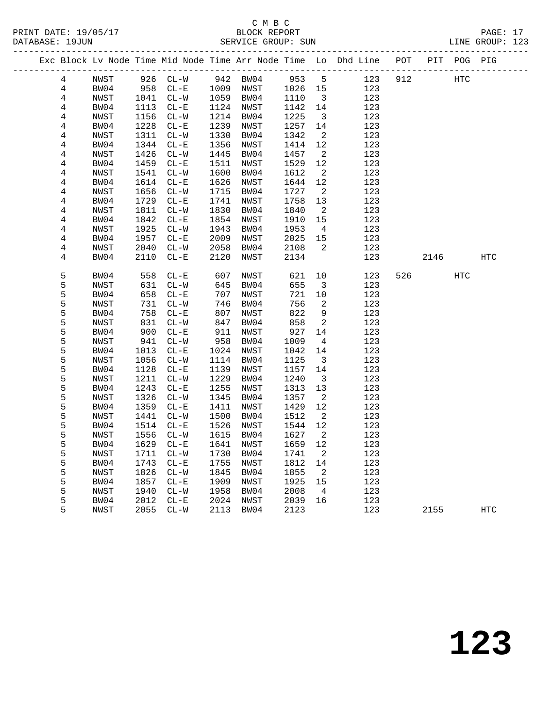# C M B C

| DATABASE: 19JUN |              |              |                    |              | SERVICE GROUP: SUN         |              |                               |                                                                                |        |      | LINE GROUP: 123 |  |
|-----------------|--------------|--------------|--------------------|--------------|----------------------------|--------------|-------------------------------|--------------------------------------------------------------------------------|--------|------|-----------------|--|
|                 |              |              |                    |              |                            |              |                               | Exc Block Lv Node Time Mid Node Time Arr Node Time Lo Dhd Line POT PIT POG PIG |        |      |                 |  |
| 4               | NWST         |              |                    |              | 926 CL-W 942 BW04 953 5    |              |                               | 123 912                                                                        | HTC    |      |                 |  |
| 4               | BW04         | 958          |                    |              | CL-E 1009 NWST 1026 15     |              |                               | 123                                                                            |        |      |                 |  |
| 4               | NWST         | 1041         | $CL-W$             |              | 1059 BW04                  | 1110         | $\overline{\mathbf{3}}$       | 123                                                                            |        |      |                 |  |
| 4               | BW04         | 1113         | $CL-E$             |              | 1124 NWST                  | 1142         | 14                            | 123                                                                            |        |      |                 |  |
| 4               | NWST         | 1156         | $CL-W$             | 1214         | BW04                       | 1225         | $\overline{\mathbf{3}}$       | 123                                                                            |        |      |                 |  |
| 4               | BW04         | 1228         | $CL - E$           | 1239         | NWST                       | 1257         | 14                            | 123                                                                            |        |      |                 |  |
| 4               | NWST         | 1311         | $CL-W$             | 1330         | BW04                       | 1342         | $\overline{\phantom{a}}^2$    | 123                                                                            |        |      |                 |  |
| 4               | BW04         | 1344         | $CL - E$           | 1356         | NWST                       | 1414         | 12                            | 123                                                                            |        |      |                 |  |
| 4               | NWST         | 1426         | $CL-W$             | 1445         | BW04                       | 1457         | $\overline{\phantom{a}}^2$    | 123                                                                            |        |      |                 |  |
| 4               | BW04         | 1459         | $CL - E$           | 1511<br>1600 | NWST                       | 1529         | 12                            | 123                                                                            |        |      |                 |  |
| 4               | NWST<br>BW04 | 1541<br>1614 | $CL-W$<br>$CL-E$   | 1626         | BW04<br>NWST               | 1612<br>1644 | $\overline{a}$<br>12          | 123<br>123                                                                     |        |      |                 |  |
| 4<br>4          | NWST         | 1656         | $CL - W$           | 1715         | BW04                       | 1727         | $\overline{\phantom{a}}^2$    | 123                                                                            |        |      |                 |  |
| 4               | BW04         | 1729         | $CL-E$             | 1741         | NWST                       | 1758         | 13                            | 123                                                                            |        |      |                 |  |
| 4               | NWST         | 1811         | $CL-W$             | 1830         | BW04                       | 1840         | $\overline{\phantom{a}}^2$    | 123                                                                            |        |      |                 |  |
| 4               | BW04         | 1842         | $CL - E$           | 1854         | NWST                       | 1910         | 15                            | 123                                                                            |        |      |                 |  |
| 4               | NWST         | 1925         | $CL-W$             | 1943         | BW04                       | 1953         | $\overline{4}$                | 123                                                                            |        |      |                 |  |
| 4               | BW04         | 1957         | $CL - E$           | 2009         | NWST                       | 2025         | 15                            | 123                                                                            |        |      |                 |  |
| 4               | NWST         | 2040         | $CL-W$             | 2058         | BW04                       | 2108         | $\overline{\phantom{a}}$      | 123                                                                            |        |      |                 |  |
| 4               | BW04         | 2110         | $CL - E$           | 2120         | NWST                       | 2134         |                               | 123                                                                            |        | 2146 | HTC             |  |
|                 |              |              |                    |              |                            |              |                               |                                                                                |        |      |                 |  |
| 5               | BW04         | 558          | $CL - E$           | 607          | NWST                       | 621          | 10                            | 123                                                                            | 526 32 | HTC  |                 |  |
| 5               | NWST         | 631          | $CL-W$             | 645          | BW04                       | 655          | $\overline{\mathbf{3}}$       | 123                                                                            |        |      |                 |  |
| 5               | BW04         | 658          | $CL - E$           | 707          | NWST                       | 721          | 10                            | 123                                                                            |        |      |                 |  |
| 5               | NWST         | 731          | $CL-W$             | 746          | BW04                       | 756          | 2                             | 123                                                                            |        |      |                 |  |
| 5               | BW04         | 758          | $CL - E$           | 807          | NWST                       | 822          | 9                             | 123                                                                            |        |      |                 |  |
| 5               | NWST         | 831          | $CL-W$             | 847          | BW04                       | 858          | $\overline{\phantom{a}}^2$    | 123                                                                            |        |      |                 |  |
| 5               | BW04         | 900          | $CL - E$           | 911          | NWST                       | 927          | 14                            | 123                                                                            |        |      |                 |  |
| 5               | NWST         | 941          | $CL-W$             | 958          | BW04                       | 1009         | $\overline{4}$                | 123                                                                            |        |      |                 |  |
| 5<br>5          | BW04<br>NWST | 1013<br>1056 | $CL - E$<br>$CL-W$ | 1024<br>1114 | NWST<br>BW04               | 1042<br>1125 | 14<br>$\overline{\mathbf{3}}$ | 123<br>123                                                                     |        |      |                 |  |
| 5               | BW04         | 1128         | $CL - E$           | 1139         | NWST                       | 1157         | 14                            | 123                                                                            |        |      |                 |  |
| 5               | NWST         | 1211         | $CL-W$             | 1229         | BW04                       | 1240         | $\overline{\mathbf{3}}$       | 123                                                                            |        |      |                 |  |
| 5               | BW04         | 1243         | $CL-E$             | 1255         | NWST                       | 1313         | 13                            | 123                                                                            |        |      |                 |  |
| 5               | NWST         | 1326         | $CL-W$             | 1345         | BW04                       | 1357         | $\overline{\phantom{a}}^2$    | 123                                                                            |        |      |                 |  |
| 5               | BW04         | 1359         | $CL - E$           | 1411         | NWST                       | 1429         | 12                            | 123                                                                            |        |      |                 |  |
| 5               | NWST         | 1441         | $CL - W$           | 1500         | BW04                       | 1512         | $\overline{\phantom{a}}^2$    | 123                                                                            |        |      |                 |  |
| 5               | BW04         |              | 1514 CL-E          |              | 1526 NWST                  | 1544 12      |                               | 123                                                                            |        |      |                 |  |
| 5               | NWST         |              |                    |              | 1556 CL-W 1615 BW04 1627 2 |              |                               | 123                                                                            |        |      |                 |  |
| 5               | BW04         | 1629         | $CL-E$             | 1641         | NWST                       | 1659 12      |                               | 123                                                                            |        |      |                 |  |
| 5               | NWST         | 1711         | $CL - W$           | 1730         | BW04                       | 1741         | $\overline{\phantom{a}}^2$    | 123                                                                            |        |      |                 |  |
| 5               | BW04         | 1743         | $CL - E$           | 1755         | NWST                       | 1812         | 14                            | 123                                                                            |        |      |                 |  |
| 5               | NWST         | 1826         | $CL-W$             | 1845         | BW04                       | 1855         | $\overline{2}$                | 123                                                                            |        |      |                 |  |
| 5               | BW04         | 1857         | $CL - E$           | 1909         | NWST                       | 1925         | 15                            | 123                                                                            |        |      |                 |  |
| 5               | NWST         | 1940         | $CL-W$             | 1958         | BW04                       | 2008         | $\overline{4}$                | 123                                                                            |        |      |                 |  |
| 5               | BW04         | 2012         | $CL - E$           | 2024         | NWST                       | 2039 16      |                               | 123                                                                            |        |      |                 |  |

5 NWST 2055 CL-W 2113 BW04 2123 123 2155 HTC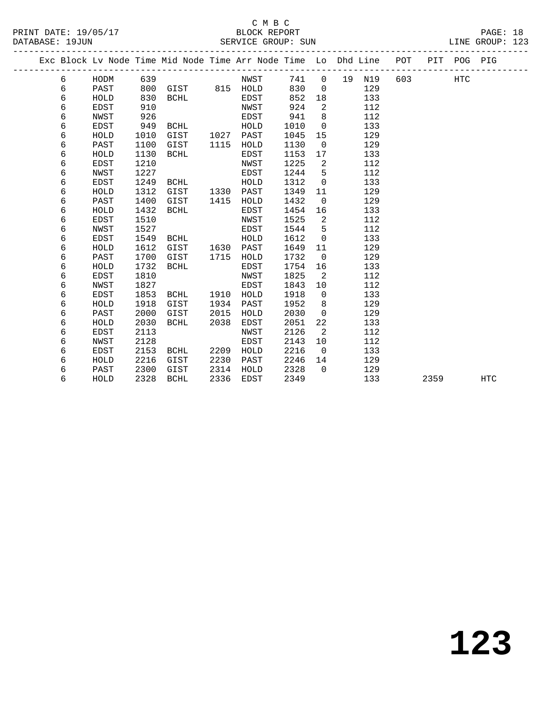#### C M B C<br>BLOCK REPORT PRINT DATE: 19/05/17 BLOCK REPORT PAGE: 18 SERVICE GROUP: SUN

|  |   |             |      | Exc Block Lv Node Time Mid Node Time Arr Node Time Lo Dhd Line |      |             |      |                |    |     | POT | PIT  | POG PIG    |            |
|--|---|-------------|------|----------------------------------------------------------------|------|-------------|------|----------------|----|-----|-----|------|------------|------------|
|  | 6 | HODM        | 639  |                                                                |      | NWST        | 741  | $\overline{0}$ | 19 | N19 | 603 |      | <b>HTC</b> |            |
|  | 6 | PAST        | 800  | GIST                                                           |      | 815 HOLD    | 830  | $\Omega$       |    | 129 |     |      |            |            |
|  | б | HOLD        | 830  | <b>BCHL</b>                                                    |      | <b>EDST</b> | 852  | 18             |    | 133 |     |      |            |            |
|  | 6 | <b>EDST</b> | 910  |                                                                |      | NWST        | 924  | 2              |    | 112 |     |      |            |            |
|  | б | NWST        | 926  |                                                                |      | EDST        | 941  | 8              |    | 112 |     |      |            |            |
|  | б | <b>EDST</b> | 949  | <b>BCHL</b>                                                    |      | HOLD        | 1010 | $\mathbf 0$    |    | 133 |     |      |            |            |
|  | б | HOLD        | 1010 | GIST                                                           | 1027 | PAST        | 1045 | 15             |    | 129 |     |      |            |            |
|  | б | PAST        | 1100 | GIST                                                           | 1115 | HOLD        | 1130 | $\mathbf 0$    |    | 129 |     |      |            |            |
|  | 6 | HOLD        | 1130 | <b>BCHL</b>                                                    |      | <b>EDST</b> | 1153 | 17             |    | 133 |     |      |            |            |
|  | 6 | <b>EDST</b> | 1210 |                                                                |      | NWST        | 1225 | 2              |    | 112 |     |      |            |            |
|  | 6 | <b>NWST</b> | 1227 |                                                                |      | <b>EDST</b> | 1244 | 5              |    | 112 |     |      |            |            |
|  | б | <b>EDST</b> | 1249 | <b>BCHL</b>                                                    |      | HOLD        | 1312 | $\mathbf 0$    |    | 133 |     |      |            |            |
|  | 6 | HOLD        | 1312 | GIST                                                           | 1330 | PAST        | 1349 | 11             |    | 129 |     |      |            |            |
|  | 6 | PAST        | 1400 | GIST                                                           | 1415 | HOLD        | 1432 | $\overline{0}$ |    | 129 |     |      |            |            |
|  | 6 | HOLD        | 1432 | <b>BCHL</b>                                                    |      | <b>EDST</b> | 1454 | 16             |    | 133 |     |      |            |            |
|  | 6 | EDST        | 1510 |                                                                |      | NWST        | 1525 | 2              |    | 112 |     |      |            |            |
|  | 6 | NWST        | 1527 |                                                                |      | EDST        | 1544 | 5              |    | 112 |     |      |            |            |
|  | 6 | EDST        | 1549 | BCHL                                                           |      | HOLD        | 1612 | $\mathbf 0$    |    | 133 |     |      |            |            |
|  | 6 | HOLD        | 1612 | GIST                                                           | 1630 | PAST        | 1649 | 11             |    | 129 |     |      |            |            |
|  | 6 | PAST        | 1700 | GIST                                                           | 1715 | HOLD        | 1732 | $\overline{0}$ |    | 129 |     |      |            |            |
|  | 6 | HOLD        | 1732 | BCHL                                                           |      | EDST        | 1754 | 16             |    | 133 |     |      |            |            |
|  | 6 | <b>EDST</b> | 1810 |                                                                |      | NWST        | 1825 | 2              |    | 112 |     |      |            |            |
|  | 6 | <b>NWST</b> | 1827 |                                                                |      | EDST        | 1843 | 10             |    | 112 |     |      |            |            |
|  | 6 | <b>EDST</b> | 1853 | <b>BCHL</b>                                                    | 1910 | HOLD        | 1918 | $\Omega$       |    | 133 |     |      |            |            |
|  | 6 | HOLD        | 1918 | GIST                                                           | 1934 | PAST        | 1952 | 8              |    | 129 |     |      |            |            |
|  | 6 | PAST        | 2000 | GIST                                                           | 2015 | HOLD        | 2030 | $\mathbf 0$    |    | 129 |     |      |            |            |
|  | 6 | HOLD        | 2030 | <b>BCHL</b>                                                    | 2038 | EDST        | 2051 | 22             |    | 133 |     |      |            |            |
|  | 6 | EDST        | 2113 |                                                                |      | NWST        | 2126 | 2              |    | 112 |     |      |            |            |
|  | 6 | <b>NWST</b> | 2128 |                                                                |      | <b>EDST</b> | 2143 | 10             |    | 112 |     |      |            |            |
|  | 6 | EDST        | 2153 | <b>BCHL</b>                                                    | 2209 | HOLD        | 2216 | $\mathbf 0$    |    | 133 |     |      |            |            |
|  | 6 | HOLD        | 2216 | GIST                                                           | 2230 | PAST        | 2246 | 14             |    | 129 |     |      |            |            |
|  | 6 | PAST        | 2300 | GIST                                                           | 2314 | HOLD        | 2328 | $\Omega$       |    | 129 |     |      |            |            |
|  | 6 | HOLD        | 2328 | <b>BCHL</b>                                                    | 2336 | <b>EDST</b> | 2349 |                |    | 133 |     | 2359 |            | <b>HTC</b> |
|  |   |             |      |                                                                |      |             |      |                |    |     |     |      |            |            |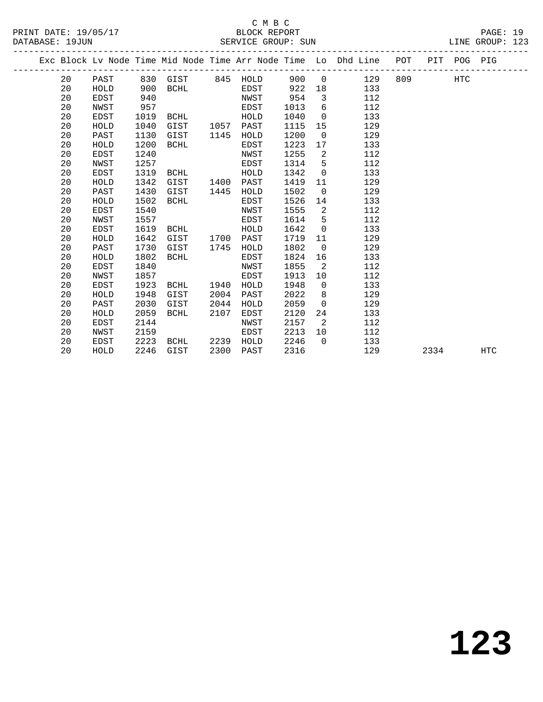# C M B C

|  | DATABASE: 19JUN |             |      |                   |      | SERVICE GROUP: SUN |      |                |                                                                                |     |      |            | LINE GROUP: 123 |  |
|--|-----------------|-------------|------|-------------------|------|--------------------|------|----------------|--------------------------------------------------------------------------------|-----|------|------------|-----------------|--|
|  |                 |             |      |                   |      |                    |      |                | Exc Block Lv Node Time Mid Node Time Arr Node Time Lo Dhd Line POT PIT POG PIG |     |      |            |                 |  |
|  | 20              | PAST        |      | 830 GIST 845 HOLD |      |                    | 900  | $\overline{0}$ | 129                                                                            | 809 |      | <b>HTC</b> |                 |  |
|  | 20              | HOLD        | 900  | BCHL              |      | EDST               | 922  | 18             | 133                                                                            |     |      |            |                 |  |
|  | 20              | EDST        | 940  |                   |      | NWST               | 954  | $\mathbf{3}$   | 112                                                                            |     |      |            |                 |  |
|  | 20              | NWST        | 957  |                   |      | EDST               | 1013 | 6              | 112                                                                            |     |      |            |                 |  |
|  | 20              | EDST        | 1019 | BCHL              |      | HOLD               | 1040 | $\mathbf 0$    | 133                                                                            |     |      |            |                 |  |
|  | 20              | HOLD        | 1040 | GIST              | 1057 | PAST               | 1115 | 15             | 129                                                                            |     |      |            |                 |  |
|  | 20              | PAST        | 1130 | GIST              | 1145 | HOLD               | 1200 | $\overline{0}$ | 129                                                                            |     |      |            |                 |  |
|  | 20              | HOLD        | 1200 | BCHL              |      | EDST               | 1223 | 17             | 133                                                                            |     |      |            |                 |  |
|  | 20              | EDST        | 1240 |                   |      | NWST               | 1255 | 2              | 112                                                                            |     |      |            |                 |  |
|  | 20              | NWST        | 1257 |                   |      | <b>EDST</b>        | 1314 | 5              | 112                                                                            |     |      |            |                 |  |
|  | 20              | EDST        | 1319 | BCHL              |      | HOLD               | 1342 | $\overline{0}$ | 133                                                                            |     |      |            |                 |  |
|  | 20              | HOLD        | 1342 | GIST              | 1400 | PAST               | 1419 | 11             | 129                                                                            |     |      |            |                 |  |
|  | 20              | PAST        | 1430 | GIST              | 1445 | HOLD               | 1502 | $\mathbf 0$    | 129                                                                            |     |      |            |                 |  |
|  | 20              | HOLD        | 1502 | BCHL              |      | EDST               | 1526 | 14             | 133                                                                            |     |      |            |                 |  |
|  | 20              | <b>EDST</b> | 1540 |                   |      | NWST               | 1555 | 2              | 112                                                                            |     |      |            |                 |  |
|  | 20              | NWST        | 1557 |                   |      | EDST               | 1614 | 5              | 112                                                                            |     |      |            |                 |  |
|  | 20              | EDST        | 1619 | BCHL              |      | HOLD               | 1642 | $\mathbf 0$    | 133                                                                            |     |      |            |                 |  |
|  | 20              | HOLD        | 1642 | GIST              | 1700 | PAST               | 1719 | 11             | 129                                                                            |     |      |            |                 |  |
|  | 20              | PAST        | 1730 | GIST              | 1745 | HOLD               | 1802 | $\mathbf 0$    | 129                                                                            |     |      |            |                 |  |
|  | 20              | HOLD        | 1802 | <b>BCHL</b>       |      | EDST               | 1824 | 16             | 133                                                                            |     |      |            |                 |  |
|  | 20              | EDST        | 1840 |                   |      | NWST               | 1855 | $\overline{2}$ | 112                                                                            |     |      |            |                 |  |
|  | 20              | NWST        | 1857 |                   |      | EDST               | 1913 | 10             | 112                                                                            |     |      |            |                 |  |
|  | 20              | EDST        | 1923 | BCHL              | 1940 | HOLD               | 1948 | $\mathbf 0$    | 133                                                                            |     |      |            |                 |  |
|  | 20              | HOLD        | 1948 | GIST              | 2004 | PAST               | 2022 | 8              | 129                                                                            |     |      |            |                 |  |
|  | 20              | PAST        | 2030 | GIST              | 2044 | HOLD               | 2059 | $\mathsf{O}$   | 129                                                                            |     |      |            |                 |  |
|  | 20              | HOLD        | 2059 | BCHL              | 2107 | EDST               | 2120 | 24             | 133                                                                            |     |      |            |                 |  |
|  | 20              | EDST        | 2144 |                   |      | NWST               | 2157 | 2              | 112                                                                            |     |      |            |                 |  |
|  | 20              | NWST        | 2159 |                   |      | EDST               | 2213 | 10             | 112                                                                            |     |      |            |                 |  |
|  | 20              | EDST        | 2223 | BCHL              | 2239 | HOLD               | 2246 | $\Omega$       | 133                                                                            |     |      |            |                 |  |
|  | 20              | HOLD        | 2246 | GIST              | 2300 | PAST               | 2316 |                | 129                                                                            |     | 2334 |            | <b>HTC</b>      |  |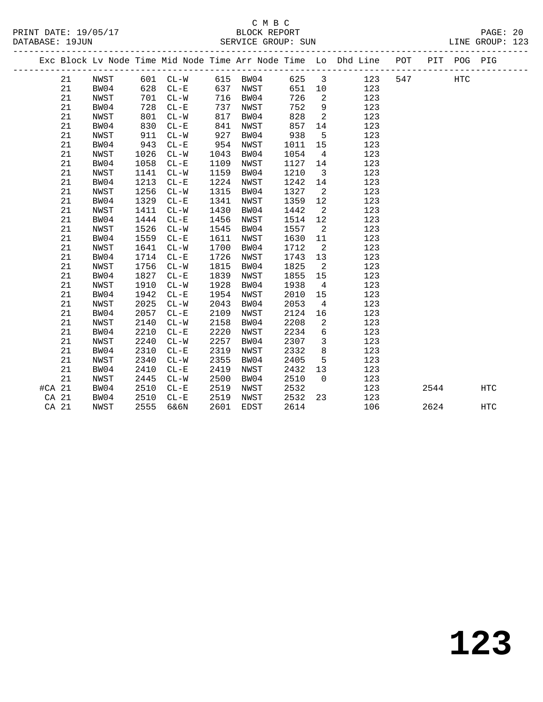### C M B C N B C N B C N B C N B C N B C N B C N B C N B C N B C N B C N B C N B C N B C N B C N B C N B C N B C N B C N B C N B C N B C N B C N B C N B C N B C N B C N B C N B C N B C N B C N B C N B C N B C N B C N B C N B DATABASE: 19JUN SERVICE GROUP: SUN LINE GROUP: 123

| PRINT DATE: 19/05/17 | BLOCK REPORT | PAGE: | 20 |
|----------------------|--------------|-------|----|
|                      |              |       |    |

|        |       |      |      |          |      |          |       |                         | Exc Block Lv Node Time Mid Node Time Arr Node Time Lo Dhd Line POT |     |      | PIT POG PIG |            |
|--------|-------|------|------|----------|------|----------|-------|-------------------------|--------------------------------------------------------------------|-----|------|-------------|------------|
|        | 21    | NWST |      | 601 CL-W |      | 615 BW04 | 625 3 |                         | 123                                                                | 547 |      | <b>HTC</b>  |            |
|        | 21    | BW04 | 628  | $CL - E$ | 637  | NWST     | 651   | 10                      | 123                                                                |     |      |             |            |
|        | 21    | NWST | 701  | $CL-W$   | 716  | BW04     | 726   | 2                       | 123                                                                |     |      |             |            |
|        | 21    | BW04 | 728  | $CL - E$ | 737  | NWST     | 752   | 9                       | 123                                                                |     |      |             |            |
|        | 21    | NWST | 801  | $CL - W$ | 817  | BW04     | 828   | 2                       | 123                                                                |     |      |             |            |
|        | 21    | BW04 | 830  | $CL - E$ | 841  | NWST     | 857   | 14                      | 123                                                                |     |      |             |            |
|        | 21    | NWST | 911  | $CL - W$ | 927  | BW04     | 938   | $5^{\circ}$             | 123                                                                |     |      |             |            |
|        | 21    | BW04 | 943  | $CL - E$ | 954  | NWST     | 1011  | 15                      | 123                                                                |     |      |             |            |
|        | 21    | NWST | 1026 | $CL-W$   | 1043 | BW04     | 1054  | $\overline{4}$          | 123                                                                |     |      |             |            |
|        | 21    | BW04 | 1058 | $CL - E$ | 1109 | NWST     | 1127  | 14                      | 123                                                                |     |      |             |            |
|        | 21    | NWST | 1141 | $CL - W$ | 1159 | BW04     | 1210  | $\overline{\mathbf{3}}$ | 123                                                                |     |      |             |            |
|        | 21    | BW04 | 1213 | $CL - E$ | 1224 | NWST     | 1242  | 14                      | 123                                                                |     |      |             |            |
|        | 21    | NWST | 1256 | $CL-W$   | 1315 | BW04     | 1327  | $\overline{2}$          | 123                                                                |     |      |             |            |
|        | 21    | BW04 | 1329 | $CL - E$ | 1341 | NWST     | 1359  | 12                      | 123                                                                |     |      |             |            |
|        | 21    | NWST | 1411 | $CL-W$   | 1430 | BW04     | 1442  | $\overline{2}$          | 123                                                                |     |      |             |            |
|        | 21    | BW04 | 1444 | $CL - E$ | 1456 | NWST     | 1514  | 12                      | 123                                                                |     |      |             |            |
|        | 21    | NWST | 1526 | $CL-W$   | 1545 | BW04     | 1557  | 2                       | 123                                                                |     |      |             |            |
|        | 21    | BW04 | 1559 | $CL - E$ | 1611 | NWST     | 1630  | 11                      | 123                                                                |     |      |             |            |
|        | 21    | NWST | 1641 | $CL - W$ | 1700 | BW04     | 1712  | $\overline{2}$          | 123                                                                |     |      |             |            |
|        | 21    | BW04 | 1714 | $CL-E$   | 1726 | NWST     | 1743  | 13                      | 123                                                                |     |      |             |            |
|        | 21    | NWST | 1756 | $CL-W$   | 1815 | BW04     | 1825  | $\overline{2}$          | 123                                                                |     |      |             |            |
|        | 21    | BW04 | 1827 | $CL - E$ | 1839 | NWST     | 1855  | 15                      | 123                                                                |     |      |             |            |
|        | 21    | NWST | 1910 | $CL - W$ | 1928 | BW04     | 1938  | $\overline{4}$          | 123                                                                |     |      |             |            |
|        | 21    | BW04 | 1942 | $CL - E$ | 1954 | NWST     | 2010  | 15                      | 123                                                                |     |      |             |            |
|        | 21    | NWST | 2025 | $CL - W$ | 2043 | BW04     | 2053  | $\overline{4}$          | 123                                                                |     |      |             |            |
|        | 21    | BW04 | 2057 | $CL - E$ | 2109 | NWST     | 2124  | 16                      | 123                                                                |     |      |             |            |
|        | 21    | NWST | 2140 | $CL-W$   | 2158 | BW04     | 2208  | 2                       | 123                                                                |     |      |             |            |
|        | 21    | BW04 | 2210 | $CL - E$ | 2220 | NWST     | 2234  | 6                       | 123                                                                |     |      |             |            |
|        | 21    | NWST | 2240 | $CL-W$   | 2257 | BW04     | 2307  | $\overline{3}$          | 123                                                                |     |      |             |            |
|        | 21    | BW04 | 2310 | $CL - E$ | 2319 | NWST     | 2332  | 8                       | 123                                                                |     |      |             |            |
|        | 21    | NWST | 2340 | $CL-W$   | 2355 | BW04     | 2405  | 5                       | 123                                                                |     |      |             |            |
|        | 21    | BW04 | 2410 | $CL - E$ | 2419 | NWST     | 2432  | 13                      | 123                                                                |     |      |             |            |
|        | 21    | NWST | 2445 | $CL - W$ | 2500 | BW04     | 2510  | $\overline{0}$          | 123                                                                |     |      |             |            |
| #CA 21 |       | BW04 | 2510 | $CL - E$ | 2519 | NWST     | 2532  |                         | 123                                                                |     | 2544 |             | <b>HTC</b> |
|        | CA 21 | BW04 | 2510 | $CL - E$ | 2519 | NWST     | 2532  | 23                      | 123                                                                |     |      |             |            |
| CA 21  |       | NWST | 2555 | 6&6N     | 2601 | EDST     | 2614  |                         | 106                                                                |     | 2624 |             | <b>HTC</b> |
|        |       |      |      |          |      |          |       |                         |                                                                    |     |      |             |            |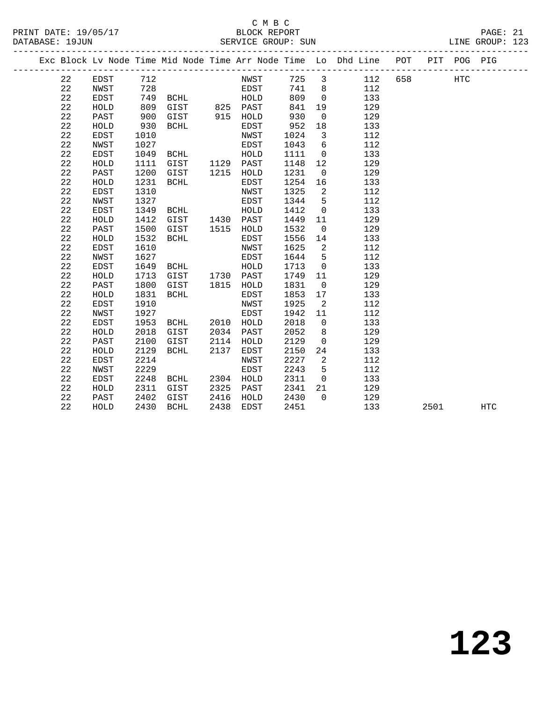### C M B C<br>BLOCK REPORT SERVICE GROUP: SUN

PRINT DATE: 19/05/17 BLOCK REPORT PAGE: 21

| Exc Block Lv Node Time Mid Node Time Arr Node Time Lo Dhd Line POT<br>PIT POG PIG<br>725 3<br>22<br>712<br>658<br>EDST<br>NWST<br>112<br>HTC<br>728<br>741<br>22<br>NWST<br>EDST<br>8 <sup>8</sup><br>112<br>22<br>809<br>EDST<br>749 BCHL<br>$\overline{0}$<br>133<br>HOLD<br>22<br>809<br>GIST<br>825 PAST<br>841<br>19<br>129<br>HOLD<br>22<br>930<br>129<br>PAST<br>900<br>915 HOLD<br>$\mathbf 0$<br>GIST<br>22<br>930<br>952<br>18<br>133<br>HOLD<br>BCHL<br>EDST<br>22<br>$\overline{\mathbf{3}}$<br>EDST<br>1010<br>NWST<br>1024<br>112<br>22<br>6<br>1027<br>1043<br>112<br>NWST<br>EDST<br>22<br>1049<br>1111<br>133<br>EDST<br>BCHL<br>HOLD<br>$\overline{0}$<br>1129 PAST<br>22<br>HOLD<br>1111<br>GIST<br>1148<br>12<br>129<br>22<br>1200<br>GIST<br>1215<br>1231<br>129<br>PAST<br>HOLD<br>$\overline{0}$<br>22<br>HOLD<br>1231<br>BCHL<br>EDST<br>1254<br>133<br>16<br>22<br>1310<br>1325<br>$\overline{a}$<br>EDST<br>NWST<br>112<br>22<br>1327<br>1344<br>5<br>112<br>NWST<br>EDST<br>22<br>EDST<br>1349<br>1412<br>$\overline{0}$<br>133<br>BCHL<br>HOLD<br>22<br>1412<br>1449<br>${\tt HOLD}$<br>GIST<br>1430 PAST<br>129<br>11<br>22<br>1500<br>1532<br>129<br>PAST<br>GIST<br>1515 HOLD<br>$\overline{0}$<br>22<br>1532<br>HOLD<br>1556<br>14<br>133<br>BCHL<br>EDST<br>22<br>1610<br>1625<br>$\overline{2}$<br>112<br>EDST<br>NWST<br>22<br>1644<br>$5^{\circ}$<br>112<br>NWST<br>1627<br>EDST<br>22<br>133<br>EDST<br>1649<br>HOLD<br>1713<br>$\overline{0}$<br>BCHL<br>22<br>1713<br>1730 PAST<br>1749<br>129<br>HOLD<br>GIST<br>11 |            |  |
|-------------------------------------------------------------------------------------------------------------------------------------------------------------------------------------------------------------------------------------------------------------------------------------------------------------------------------------------------------------------------------------------------------------------------------------------------------------------------------------------------------------------------------------------------------------------------------------------------------------------------------------------------------------------------------------------------------------------------------------------------------------------------------------------------------------------------------------------------------------------------------------------------------------------------------------------------------------------------------------------------------------------------------------------------------------------------------------------------------------------------------------------------------------------------------------------------------------------------------------------------------------------------------------------------------------------------------------------------------------------------------------------------------------------------------------------------------------------------------------------------------------------------------------------------------------|------------|--|
|                                                                                                                                                                                                                                                                                                                                                                                                                                                                                                                                                                                                                                                                                                                                                                                                                                                                                                                                                                                                                                                                                                                                                                                                                                                                                                                                                                                                                                                                                                                                                             |            |  |
|                                                                                                                                                                                                                                                                                                                                                                                                                                                                                                                                                                                                                                                                                                                                                                                                                                                                                                                                                                                                                                                                                                                                                                                                                                                                                                                                                                                                                                                                                                                                                             |            |  |
|                                                                                                                                                                                                                                                                                                                                                                                                                                                                                                                                                                                                                                                                                                                                                                                                                                                                                                                                                                                                                                                                                                                                                                                                                                                                                                                                                                                                                                                                                                                                                             |            |  |
|                                                                                                                                                                                                                                                                                                                                                                                                                                                                                                                                                                                                                                                                                                                                                                                                                                                                                                                                                                                                                                                                                                                                                                                                                                                                                                                                                                                                                                                                                                                                                             |            |  |
|                                                                                                                                                                                                                                                                                                                                                                                                                                                                                                                                                                                                                                                                                                                                                                                                                                                                                                                                                                                                                                                                                                                                                                                                                                                                                                                                                                                                                                                                                                                                                             |            |  |
|                                                                                                                                                                                                                                                                                                                                                                                                                                                                                                                                                                                                                                                                                                                                                                                                                                                                                                                                                                                                                                                                                                                                                                                                                                                                                                                                                                                                                                                                                                                                                             |            |  |
|                                                                                                                                                                                                                                                                                                                                                                                                                                                                                                                                                                                                                                                                                                                                                                                                                                                                                                                                                                                                                                                                                                                                                                                                                                                                                                                                                                                                                                                                                                                                                             |            |  |
|                                                                                                                                                                                                                                                                                                                                                                                                                                                                                                                                                                                                                                                                                                                                                                                                                                                                                                                                                                                                                                                                                                                                                                                                                                                                                                                                                                                                                                                                                                                                                             |            |  |
|                                                                                                                                                                                                                                                                                                                                                                                                                                                                                                                                                                                                                                                                                                                                                                                                                                                                                                                                                                                                                                                                                                                                                                                                                                                                                                                                                                                                                                                                                                                                                             |            |  |
|                                                                                                                                                                                                                                                                                                                                                                                                                                                                                                                                                                                                                                                                                                                                                                                                                                                                                                                                                                                                                                                                                                                                                                                                                                                                                                                                                                                                                                                                                                                                                             |            |  |
|                                                                                                                                                                                                                                                                                                                                                                                                                                                                                                                                                                                                                                                                                                                                                                                                                                                                                                                                                                                                                                                                                                                                                                                                                                                                                                                                                                                                                                                                                                                                                             |            |  |
|                                                                                                                                                                                                                                                                                                                                                                                                                                                                                                                                                                                                                                                                                                                                                                                                                                                                                                                                                                                                                                                                                                                                                                                                                                                                                                                                                                                                                                                                                                                                                             |            |  |
|                                                                                                                                                                                                                                                                                                                                                                                                                                                                                                                                                                                                                                                                                                                                                                                                                                                                                                                                                                                                                                                                                                                                                                                                                                                                                                                                                                                                                                                                                                                                                             |            |  |
|                                                                                                                                                                                                                                                                                                                                                                                                                                                                                                                                                                                                                                                                                                                                                                                                                                                                                                                                                                                                                                                                                                                                                                                                                                                                                                                                                                                                                                                                                                                                                             |            |  |
|                                                                                                                                                                                                                                                                                                                                                                                                                                                                                                                                                                                                                                                                                                                                                                                                                                                                                                                                                                                                                                                                                                                                                                                                                                                                                                                                                                                                                                                                                                                                                             |            |  |
|                                                                                                                                                                                                                                                                                                                                                                                                                                                                                                                                                                                                                                                                                                                                                                                                                                                                                                                                                                                                                                                                                                                                                                                                                                                                                                                                                                                                                                                                                                                                                             |            |  |
|                                                                                                                                                                                                                                                                                                                                                                                                                                                                                                                                                                                                                                                                                                                                                                                                                                                                                                                                                                                                                                                                                                                                                                                                                                                                                                                                                                                                                                                                                                                                                             |            |  |
|                                                                                                                                                                                                                                                                                                                                                                                                                                                                                                                                                                                                                                                                                                                                                                                                                                                                                                                                                                                                                                                                                                                                                                                                                                                                                                                                                                                                                                                                                                                                                             |            |  |
|                                                                                                                                                                                                                                                                                                                                                                                                                                                                                                                                                                                                                                                                                                                                                                                                                                                                                                                                                                                                                                                                                                                                                                                                                                                                                                                                                                                                                                                                                                                                                             |            |  |
|                                                                                                                                                                                                                                                                                                                                                                                                                                                                                                                                                                                                                                                                                                                                                                                                                                                                                                                                                                                                                                                                                                                                                                                                                                                                                                                                                                                                                                                                                                                                                             |            |  |
|                                                                                                                                                                                                                                                                                                                                                                                                                                                                                                                                                                                                                                                                                                                                                                                                                                                                                                                                                                                                                                                                                                                                                                                                                                                                                                                                                                                                                                                                                                                                                             |            |  |
|                                                                                                                                                                                                                                                                                                                                                                                                                                                                                                                                                                                                                                                                                                                                                                                                                                                                                                                                                                                                                                                                                                                                                                                                                                                                                                                                                                                                                                                                                                                                                             |            |  |
|                                                                                                                                                                                                                                                                                                                                                                                                                                                                                                                                                                                                                                                                                                                                                                                                                                                                                                                                                                                                                                                                                                                                                                                                                                                                                                                                                                                                                                                                                                                                                             |            |  |
| 22<br>PAST<br>1800<br>GIST<br>1815 HOLD<br>1831<br>129<br>$\overline{0}$                                                                                                                                                                                                                                                                                                                                                                                                                                                                                                                                                                                                                                                                                                                                                                                                                                                                                                                                                                                                                                                                                                                                                                                                                                                                                                                                                                                                                                                                                    |            |  |
| 22<br>1853<br>HOLD<br>1831<br>BCHL<br>EDST<br>17<br>133                                                                                                                                                                                                                                                                                                                                                                                                                                                                                                                                                                                                                                                                                                                                                                                                                                                                                                                                                                                                                                                                                                                                                                                                                                                                                                                                                                                                                                                                                                     |            |  |
| 22<br>1925<br>EDST<br>1910<br>112<br>NWST<br>2                                                                                                                                                                                                                                                                                                                                                                                                                                                                                                                                                                                                                                                                                                                                                                                                                                                                                                                                                                                                                                                                                                                                                                                                                                                                                                                                                                                                                                                                                                              |            |  |
| 22<br><b>NWST</b><br>1927<br>EDST<br>1942<br>112<br>11                                                                                                                                                                                                                                                                                                                                                                                                                                                                                                                                                                                                                                                                                                                                                                                                                                                                                                                                                                                                                                                                                                                                                                                                                                                                                                                                                                                                                                                                                                      |            |  |
| 22<br>1953<br>2018<br>EDST<br>BCHL<br>2010 HOLD<br>$\mathbf 0$<br>133                                                                                                                                                                                                                                                                                                                                                                                                                                                                                                                                                                                                                                                                                                                                                                                                                                                                                                                                                                                                                                                                                                                                                                                                                                                                                                                                                                                                                                                                                       |            |  |
| 22<br>2018<br>2034<br>2052<br>129<br>HOLD<br>GIST<br>PAST<br>8                                                                                                                                                                                                                                                                                                                                                                                                                                                                                                                                                                                                                                                                                                                                                                                                                                                                                                                                                                                                                                                                                                                                                                                                                                                                                                                                                                                                                                                                                              |            |  |
| 22<br>2100<br>2114<br>2129<br>$\mathbf 0$<br>129<br>PAST<br>GIST<br>HOLD                                                                                                                                                                                                                                                                                                                                                                                                                                                                                                                                                                                                                                                                                                                                                                                                                                                                                                                                                                                                                                                                                                                                                                                                                                                                                                                                                                                                                                                                                    |            |  |
| 22<br>2129<br>2137<br>2150<br>BCHL<br>24<br>133<br>HOLD<br>EDST                                                                                                                                                                                                                                                                                                                                                                                                                                                                                                                                                                                                                                                                                                                                                                                                                                                                                                                                                                                                                                                                                                                                                                                                                                                                                                                                                                                                                                                                                             |            |  |
| 22<br>2227<br>2214<br>$\overline{\phantom{0}}^2$<br>112<br>EDST<br>NWST                                                                                                                                                                                                                                                                                                                                                                                                                                                                                                                                                                                                                                                                                                                                                                                                                                                                                                                                                                                                                                                                                                                                                                                                                                                                                                                                                                                                                                                                                     |            |  |
| 22<br>2229<br>2243<br>5<br>NWST<br>EDST<br>112                                                                                                                                                                                                                                                                                                                                                                                                                                                                                                                                                                                                                                                                                                                                                                                                                                                                                                                                                                                                                                                                                                                                                                                                                                                                                                                                                                                                                                                                                                              |            |  |
| 22<br>2311<br>EDST<br>2248<br>2304 HOLD<br>$\overline{0}$<br>133<br>BCHL                                                                                                                                                                                                                                                                                                                                                                                                                                                                                                                                                                                                                                                                                                                                                                                                                                                                                                                                                                                                                                                                                                                                                                                                                                                                                                                                                                                                                                                                                    |            |  |
| 22<br>2311<br>GIST<br>2325<br>2341<br>129<br>HOLD<br>PAST<br>21                                                                                                                                                                                                                                                                                                                                                                                                                                                                                                                                                                                                                                                                                                                                                                                                                                                                                                                                                                                                                                                                                                                                                                                                                                                                                                                                                                                                                                                                                             |            |  |
| 22<br>PAST<br>2402<br>GIST<br>2416<br>HOLD<br>2430<br>$\Omega$<br>129                                                                                                                                                                                                                                                                                                                                                                                                                                                                                                                                                                                                                                                                                                                                                                                                                                                                                                                                                                                                                                                                                                                                                                                                                                                                                                                                                                                                                                                                                       |            |  |
| 22<br>2430<br>2438<br>2451<br>133<br>2501<br>HOLD<br>BCHL<br>EDST                                                                                                                                                                                                                                                                                                                                                                                                                                                                                                                                                                                                                                                                                                                                                                                                                                                                                                                                                                                                                                                                                                                                                                                                                                                                                                                                                                                                                                                                                           | <b>HTC</b> |  |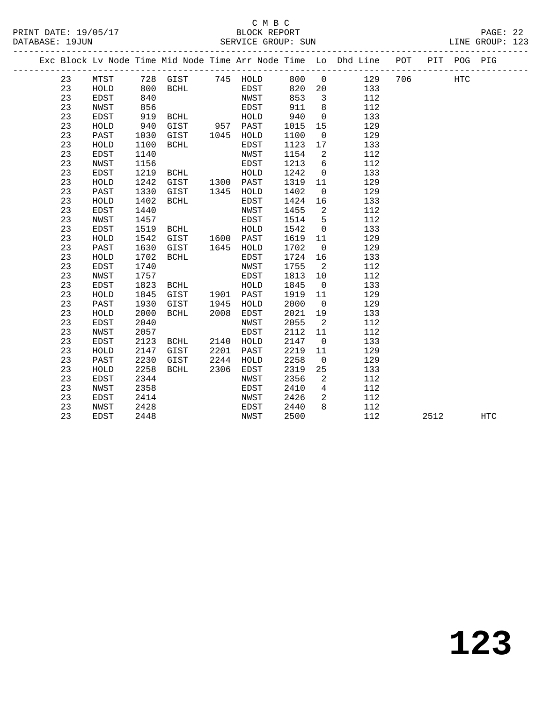#### C M B C<br>BLOCK REPORT PRINT DATE: 19/05/17 BLOCK REPORT PAGE: 22 SERVICE GROUP: SUN

|  |    |              |      |          |      |           |      |                         | Exc Block Lv Node Time Mid Node Time Arr Node Time Lo Dhd Line POT |     |      | PIT POG PIG |            |  |
|--|----|--------------|------|----------|------|-----------|------|-------------------------|--------------------------------------------------------------------|-----|------|-------------|------------|--|
|  | 23 | MTST         |      | 728 GIST |      | 745 HOLD  | 800  | $\overline{0}$          | 129                                                                | 706 |      | HTC         |            |  |
|  | 23 | HOLD         | 800  | BCHL     |      | EDST      | 820  | 20                      | 133                                                                |     |      |             |            |  |
|  | 23 | EDST         | 840  |          |      | NWST      | 853  | $\overline{\mathbf{3}}$ | 112                                                                |     |      |             |            |  |
|  | 23 | NWST         | 856  |          |      | EDST      | 911  | 8                       | 112                                                                |     |      |             |            |  |
|  | 23 | EDST         | 919  | BCHL     |      | HOLD      | 940  | $\overline{0}$          | 133                                                                |     |      |             |            |  |
|  | 23 | HOLD         | 940  | GIST     |      | 957 PAST  | 1015 | 15                      | 129                                                                |     |      |             |            |  |
|  | 23 | PAST         | 1030 | GIST     | 1045 | HOLD      | 1100 | $\overline{0}$          | 129                                                                |     |      |             |            |  |
|  | 23 | HOLD         | 1100 | BCHL     |      | EDST      | 1123 | 17                      | 133                                                                |     |      |             |            |  |
|  | 23 | <b>EDST</b>  | 1140 |          |      | NWST      | 1154 | 2                       | 112                                                                |     |      |             |            |  |
|  | 23 | NWST         | 1156 |          |      | EDST      | 1213 | 6                       | 112                                                                |     |      |             |            |  |
|  | 23 | EDST         | 1219 | BCHL     |      | HOLD      | 1242 | $\overline{0}$          | 133                                                                |     |      |             |            |  |
|  | 23 | HOLD         | 1242 | GIST     |      | 1300 PAST | 1319 | 11                      | 129                                                                |     |      |             |            |  |
|  | 23 | PAST         | 1330 | GIST     | 1345 | HOLD      | 1402 | $\mathbf 0$             | 129                                                                |     |      |             |            |  |
|  | 23 | HOLD         | 1402 | BCHL     |      | EDST      | 1424 | 16                      | 133                                                                |     |      |             |            |  |
|  | 23 | EDST         | 1440 |          |      | NWST      | 1455 | 2                       | 112                                                                |     |      |             |            |  |
|  | 23 | NWST         | 1457 |          |      | EDST      | 1514 | 5                       | 112                                                                |     |      |             |            |  |
|  | 23 | EDST         | 1519 | BCHL     |      | HOLD      | 1542 | $\overline{0}$          | 133                                                                |     |      |             |            |  |
|  | 23 | HOLD         | 1542 | GIST     | 1600 | PAST      | 1619 | 11                      | 129                                                                |     |      |             |            |  |
|  | 23 | PAST         | 1630 | GIST     | 1645 | HOLD      | 1702 | $\overline{0}$          | 129                                                                |     |      |             |            |  |
|  | 23 | HOLD         | 1702 | BCHL     |      | EDST      | 1724 | 16                      | 133                                                                |     |      |             |            |  |
|  | 23 | <b>EDST</b>  | 1740 |          |      | NWST      | 1755 | 2                       | 112                                                                |     |      |             |            |  |
|  | 23 | NWST         | 1757 |          |      | EDST      | 1813 | 10                      | 112                                                                |     |      |             |            |  |
|  | 23 | EDST         | 1823 | BCHL     |      | HOLD      | 1845 | $\overline{0}$          | 133                                                                |     |      |             |            |  |
|  | 23 | HOLD         | 1845 | GIST     |      | 1901 PAST | 1919 | 11                      | 129                                                                |     |      |             |            |  |
|  | 23 | PAST         | 1930 | GIST     | 1945 | HOLD      | 2000 | $\overline{0}$          | 129                                                                |     |      |             |            |  |
|  | 23 | HOLD         | 2000 | BCHL     | 2008 | EDST      | 2021 | 19                      | 133                                                                |     |      |             |            |  |
|  | 23 | EDST         | 2040 |          |      | NWST      | 2055 | 2                       | 112                                                                |     |      |             |            |  |
|  | 23 | NWST         | 2057 |          |      | EDST      | 2112 | 11                      | 112                                                                |     |      |             |            |  |
|  | 23 | EDST         | 2123 | BCHL     | 2140 | HOLD      | 2147 | $\overline{0}$          | 133                                                                |     |      |             |            |  |
|  | 23 | ${\tt HOLD}$ | 2147 | GIST     | 2201 | PAST      | 2219 | 11                      | 129                                                                |     |      |             |            |  |
|  | 23 | PAST         | 2230 | GIST     | 2244 | HOLD      | 2258 | $\overline{0}$          | 129                                                                |     |      |             |            |  |
|  | 23 | HOLD         | 2258 | BCHL     | 2306 | EDST      | 2319 | 25                      | 133                                                                |     |      |             |            |  |
|  | 23 | EDST         | 2344 |          |      | NWST      | 2356 | 2                       | 112                                                                |     |      |             |            |  |
|  | 23 | NWST         | 2358 |          |      | EDST      | 2410 | $4\overline{ }$         | 112                                                                |     |      |             |            |  |
|  | 23 | EDST         | 2414 |          |      | NWST      | 2426 | $\overline{a}$          | 112                                                                |     |      |             |            |  |
|  | 23 | NWST         | 2428 |          |      | EDST      | 2440 | $\mathsf{R}$            | 112                                                                |     |      |             |            |  |
|  | 23 | EDST         | 2448 |          |      | NWST      | 2500 |                         | 112                                                                |     | 2512 |             | <b>HTC</b> |  |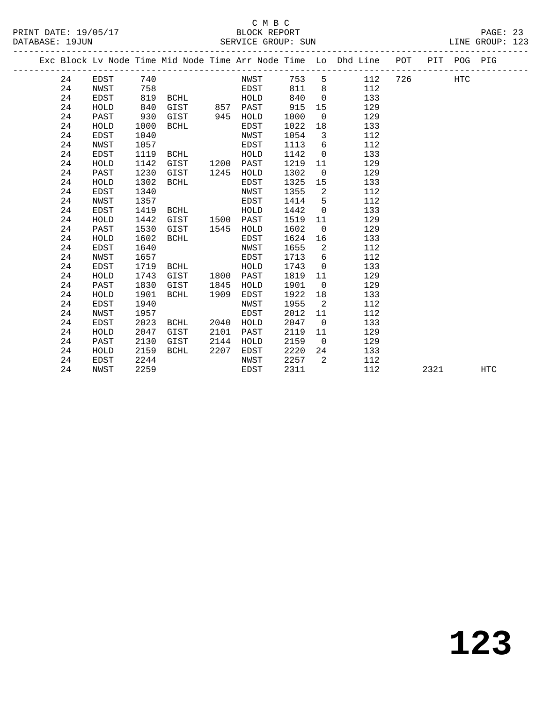#### C M B C<br>BLOCK REPORT SERVICE GROUP: SUN

PRINT DATE: 19/05/17 BLOCK REPORT PAGE: 23

|  |    |      |      |             |      |             |      |                | Exc Block Lv Node Time Mid Node Time Arr Node Time Lo Dhd Line POT |     |      | PIT POG PIG |            |
|--|----|------|------|-------------|------|-------------|------|----------------|--------------------------------------------------------------------|-----|------|-------------|------------|
|  | 24 | EDST | 740  |             |      | NWST        | 753  | 5              | 112                                                                | 726 |      | <b>HTC</b>  |            |
|  | 24 | NWST | 758  |             |      | EDST        | 811  | 8              | 112                                                                |     |      |             |            |
|  | 24 | EDST | 819  | BCHL        |      | HOLD        | 840  | $\Omega$       | 133                                                                |     |      |             |            |
|  | 24 | HOLD | 840  | GIST        |      | 857 PAST    | 915  | 15             | 129                                                                |     |      |             |            |
|  | 24 | PAST | 930  | GIST        | 945  | HOLD        | 1000 | $\overline{0}$ | 129                                                                |     |      |             |            |
|  | 24 | HOLD | 1000 | <b>BCHL</b> |      | EDST        | 1022 | 18             | 133                                                                |     |      |             |            |
|  | 24 | EDST | 1040 |             |      | NWST        | 1054 | 3              | 112                                                                |     |      |             |            |
|  | 24 | NWST | 1057 |             |      | EDST        | 1113 | 6              | 112                                                                |     |      |             |            |
|  | 24 | EDST | 1119 | <b>BCHL</b> |      | HOLD        | 1142 | $\mathbf 0$    | 133                                                                |     |      |             |            |
|  | 24 | HOLD | 1142 | GIST        | 1200 | PAST        | 1219 | 11             | 129                                                                |     |      |             |            |
|  | 24 | PAST | 1230 | GIST        | 1245 | HOLD        | 1302 | $\overline{0}$ | 129                                                                |     |      |             |            |
|  | 24 | HOLD | 1302 | BCHL        |      | EDST        | 1325 | 15             | 133                                                                |     |      |             |            |
|  | 24 | EDST | 1340 |             |      | NWST        | 1355 | 2              | 112                                                                |     |      |             |            |
|  | 24 | NWST | 1357 |             |      | EDST        | 1414 | 5              | 112                                                                |     |      |             |            |
|  | 24 | EDST | 1419 | <b>BCHL</b> |      | HOLD        | 1442 | $\mathbf 0$    | 133                                                                |     |      |             |            |
|  | 24 | HOLD | 1442 | GIST        | 1500 | PAST        | 1519 | 11             | 129                                                                |     |      |             |            |
|  | 24 | PAST | 1530 | GIST        | 1545 | HOLD        | 1602 | $\mathbf 0$    | 129                                                                |     |      |             |            |
|  | 24 | HOLD | 1602 | <b>BCHL</b> |      | EDST        | 1624 | 16             | 133                                                                |     |      |             |            |
|  | 24 | EDST | 1640 |             |      | NWST        | 1655 | 2              | 112                                                                |     |      |             |            |
|  | 24 | NWST | 1657 |             |      | EDST        | 1713 | 6              | 112                                                                |     |      |             |            |
|  | 24 | EDST | 1719 | <b>BCHL</b> |      | HOLD        | 1743 | $\mathbf 0$    | 133                                                                |     |      |             |            |
|  | 24 | HOLD | 1743 | GIST        | 1800 | PAST        | 1819 | 11             | 129                                                                |     |      |             |            |
|  | 24 | PAST | 1830 | GIST        | 1845 | HOLD        | 1901 | $\mathbf 0$    | 129                                                                |     |      |             |            |
|  | 24 | HOLD | 1901 | <b>BCHL</b> | 1909 | EDST        | 1922 | 18             | 133                                                                |     |      |             |            |
|  | 24 | EDST | 1940 |             |      | NWST        | 1955 | 2              | 112                                                                |     |      |             |            |
|  | 24 | NWST | 1957 |             |      | EDST        | 2012 | 11             | 112                                                                |     |      |             |            |
|  | 24 | EDST | 2023 | <b>BCHL</b> | 2040 | HOLD        | 2047 | $\mathbf 0$    | 133                                                                |     |      |             |            |
|  | 24 | HOLD | 2047 | GIST        | 2101 | PAST        | 2119 | 11             | 129                                                                |     |      |             |            |
|  | 24 | PAST | 2130 | GIST        | 2144 | HOLD        | 2159 | $\Omega$       | 129                                                                |     |      |             |            |
|  | 24 | HOLD | 2159 | <b>BCHL</b> | 2207 | EDST        | 2220 | 24             | 133                                                                |     |      |             |            |
|  | 24 | EDST | 2244 |             |      | NWST        | 2257 | $\overline{2}$ | 112                                                                |     |      |             |            |
|  | 24 | NWST | 2259 |             |      | <b>EDST</b> | 2311 |                | 112                                                                |     | 2321 |             | <b>HTC</b> |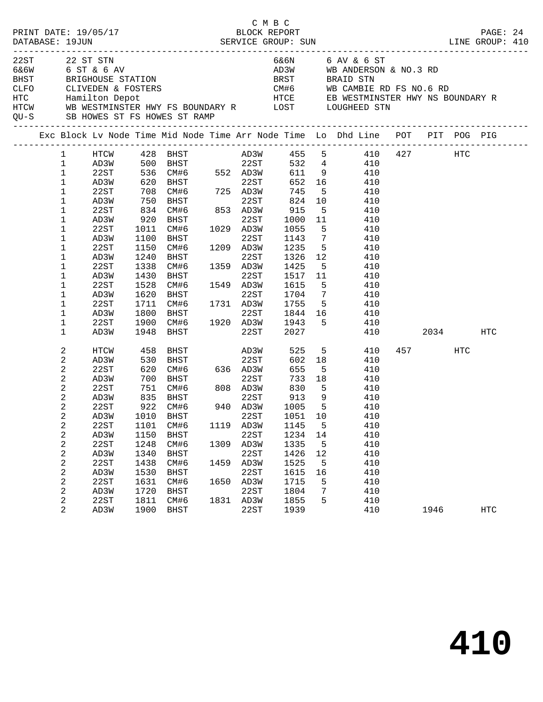|      | DATABASE: 19JUN                                                                                                                                                                                                                                                                                                           | PRINT DATE: 19/05/17                                                                                                                 |                                                                                                                 |                                                                                                                                                                                                                                                                                                |                              | C M B C<br>BLOCK REPORT                                                                           |                                                                                                                                       |                                                                                                                                                                  |                                                                                                                                                                                                                                                                                      |             |     | PAGE: 24   |  |
|------|---------------------------------------------------------------------------------------------------------------------------------------------------------------------------------------------------------------------------------------------------------------------------------------------------------------------------|--------------------------------------------------------------------------------------------------------------------------------------|-----------------------------------------------------------------------------------------------------------------|------------------------------------------------------------------------------------------------------------------------------------------------------------------------------------------------------------------------------------------------------------------------------------------------|------------------------------|---------------------------------------------------------------------------------------------------|---------------------------------------------------------------------------------------------------------------------------------------|------------------------------------------------------------------------------------------------------------------------------------------------------------------|--------------------------------------------------------------------------------------------------------------------------------------------------------------------------------------------------------------------------------------------------------------------------------------|-------------|-----|------------|--|
| 22ST |                                                                                                                                                                                                                                                                                                                           | 22 ST STN<br>6&6W 6 ST & 6 AV                                                                                                        |                                                                                                                 | QU-S SB HOWES ST FS HOWES ST RAMP                                                                                                                                                                                                                                                              |                              |                                                                                                   |                                                                                                                                       |                                                                                                                                                                  | 6&6N 6 AV & 6 ST<br>AD3W WB ANDERSON & NO.3 RD<br>BHST BRIGHOUSE STATION BRST BRAID STN<br>CLFO CLIVEDEN & FOSTERS CLEVED COME COME COME COMBIE RD FS NO.6 RD<br>HTC Hamilton Depot HTCE EB WESTMINSTER HWY NS BOUNDARY R<br>HTCW WB WESTMINSTER HWY FS BOUNDARY R LOST LOUGHEED STN |             |     |            |  |
|      |                                                                                                                                                                                                                                                                                                                           |                                                                                                                                      |                                                                                                                 |                                                                                                                                                                                                                                                                                                |                              |                                                                                                   |                                                                                                                                       |                                                                                                                                                                  | Exc Block Lv Node Time Mid Node Time Arr Node Time Lo Dhd Line POT PIT POG PIG                                                                                                                                                                                                       |             |     |            |  |
|      | $\mathbf{1}$<br>$\mathbf{1}$<br>$\mathbf{1}$<br>$\mathbf{1}$<br>$\mathbf{1}$<br>$\mathbf{1}$<br>$\mathbf{1}$<br>$\mathbf{1}$<br>$\mathbf{1}$<br>$\mathbf{1}$<br>$\mathbf{1}$<br>$\mathbf{1}$<br>$\mathbf{1}$<br>$\mathbf 1$<br>$\mathbf{1}$<br>$\mathbf{1}$<br>$\mathbf 1$<br>$\mathbf 1$<br>$\mathbf{1}$<br>$\mathbf{1}$ | 22ST<br>AD3W<br>22ST<br>AD3W<br>22ST<br>AD3W<br>22ST<br>AD3W<br>22ST<br>AD3W<br>22ST<br>AD3W<br>22ST<br>AD3W<br>22ST<br>AD3W         | 1011<br>1100<br>1150<br>1240<br>1338<br>1430<br>1528<br>1620<br>1711<br>1800<br>1900                            | AD3W 500 BHST 22ST<br>22ST 536 CM#6 552 AD3W<br>AD3W 620 BHST 22ST<br>708 CM#6 725 AD3W<br>750 BHST 22ST<br>834 CM#6 853 AD3W<br>920 BHST<br>CM#6 1029 AD3W<br>BHST<br>CM#6<br>BHST<br>CM#6<br>BHST<br>CM#6<br>BHST<br>CM#6 1731 AD3W<br>BHST 22ST<br>CM#6 1920 AD3W<br>BHST 22ST<br>1948 BHST | 1549                         | 22ST<br>22ST<br>1209 AD3W<br>22ST<br>1359 AD3W<br>22ST<br>1549 AD3W<br>22ST                       | 652<br>745<br>824<br>915<br>1000<br>1055<br>1143<br>1235<br>1326<br>1425<br>1517<br>1615<br>1704<br>1755<br>1943<br>2027              | $5^{\circ}$<br>10<br>5 <sub>5</sub><br>11<br>$5^{\circ}$<br>$7\overline{ }$<br>5 <sup>5</sup><br>12<br>11<br>5 <sup>5</sup><br>$7\overline{ }$<br>5 <sub>5</sub> | HTCW 428 BHST AD3W 455 5 410 427 HTC<br>532  4  410<br>611  9  410<br>16 410<br>410<br>410<br>410<br>410<br>410<br>410<br>410<br>410<br>$5^{\circ}$<br>410<br>410<br>410<br>410<br>$5^{\circ}$<br>410<br>1844 16<br>410<br>410<br>410                                                | 2034        |     | HTC        |  |
|      | 2<br>2<br>2<br>2<br>2<br>2<br>2<br>2<br>2<br>2<br>2<br>2<br>2<br>2<br>2<br>2<br>2<br>2                                                                                                                                                                                                                                    | HTCW<br>AD3W<br>22ST<br>AD3W<br>22ST<br>AD3W<br>22ST<br>22ST<br>AD3W<br>22ST<br>AD3W<br>22ST<br>AD3W<br>22ST<br>AD3W<br>22ST<br>AD3W | 458<br>530<br>620<br>700<br>751<br>1101<br>1150<br>1248<br>1340<br>1438<br>1530<br>1631<br>1720<br>1811<br>1900 | BHST AD3W<br>BHST<br>CM#6 808 AD3W<br>835 BHST 22ST<br>922 CM#6 940 AD3W<br>AD3W 1010 BHST 22ST<br>CM#6<br>BHST<br>CM#6<br>BHST<br>CM#6<br>BHST<br>CM#6<br><b>BHST</b><br>CM#6<br>BHST                                                                                                         | 1119<br>1309<br>1459<br>1831 | 22ST<br>22ST<br>AD3W<br>22ST<br>AD3W<br>22ST<br>AD3W<br>22ST<br>1650 AD3W<br>22ST<br>AD3W<br>22ST | 525<br>602<br>655<br>733<br>830<br>$\frac{0.30}{913}$<br>1145<br>1234<br>1335<br>1426<br>1525<br>1615<br>1715<br>1804<br>1855<br>1939 | 18<br>5 <sup>5</sup><br>18<br>5 <sup>5</sup><br>9<br>$5^{\circ}$<br>5<br>14<br>5<br>12<br>5<br>16<br>5<br>7<br>5                                                 | $5 - 5$<br>410<br>410<br>410<br>410<br>410<br>410<br>410<br>1051 10 410<br>410<br>410<br>410<br>410<br>410<br>410<br>410<br>410<br>410<br>410                                                                                                                                        | 457<br>1946 | HTC | <b>HTC</b> |  |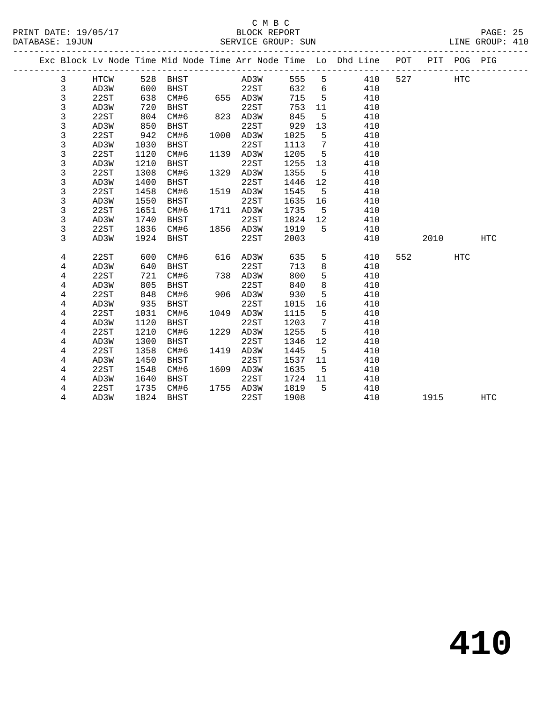#### C M B C<br>BLOCK REPORT PRINT DATE: 19/05/17 BLOCK REPORT PAGE: 25 SERVICE GROUP: SUN

|  |             |              |              |             |      |              |              |         | Exc Block Lv Node Time Mid Node Time Arr Node Time Lo Dhd Line POT |     |      | PIT POG PIG |            |
|--|-------------|--------------|--------------|-------------|------|--------------|--------------|---------|--------------------------------------------------------------------|-----|------|-------------|------------|
|  | 3           | HTCW         | 528          | BHST        |      | AD3W         | 555          | 5       | 410                                                                | 527 |      | HTC         |            |
|  | 3           | AD3W         | 600          | BHST        |      | 22ST         | 632          | 6       | 410                                                                |     |      |             |            |
|  | 3           | 22ST         | 638          | CM#6        |      | 655 AD3W     | 715          | 5       | 410                                                                |     |      |             |            |
|  | 3           | AD3W         | 720          | BHST        |      | 22ST         | 753          | 11      | 410                                                                |     |      |             |            |
|  | 3           | 22ST         | 804          | CM#6        |      | 823 AD3W     | 845          | 5       | 410                                                                |     |      |             |            |
|  | 3           | AD3W         | 850          | <b>BHST</b> |      | 22ST         | 929          | 13      | 410                                                                |     |      |             |            |
|  | 3           | 22ST         | 942          | CM#6        |      | 1000 AD3W    | 1025         | 5       | 410                                                                |     |      |             |            |
|  | 3           | AD3W         | 1030         | <b>BHST</b> |      | 22ST         | 1113         | 7       | 410                                                                |     |      |             |            |
|  | 3           | 22ST         | 1120         | CM#6        |      | 1139 AD3W    | 1205         | 5       | 410                                                                |     |      |             |            |
|  | 3           | AD3W         | 1210         | <b>BHST</b> |      | 22ST         | 1255         | 13      | 410                                                                |     |      |             |            |
|  | 3           | 22ST         | 1308         | CM#6        |      | 1329 AD3W    | 1355         | 5       | 410                                                                |     |      |             |            |
|  | $\mathsf 3$ | AD3W         | 1400         | <b>BHST</b> |      | 22ST         | 1446         | 12      | 410                                                                |     |      |             |            |
|  | 3           | 22ST         | 1458         | CM#6        |      | 1519 AD3W    | 1545         | 5       | 410                                                                |     |      |             |            |
|  | 3           | AD3W         | 1550         | <b>BHST</b> |      | 22ST         | 1635         | 16      | 410                                                                |     |      |             |            |
|  | $\mathsf 3$ | 22ST         | 1651         | CM#6        | 1711 | AD3W         | 1735         | 5       | 410                                                                |     |      |             |            |
|  | 3           | AD3W         | 1740         | BHST        |      | 22ST         | 1824         | 12      | 410                                                                |     |      |             |            |
|  | 3           | 22ST         | 1836         | CM#6        | 1856 | AD3W         | 1919         | 5       | 410                                                                |     |      |             |            |
|  | 3           | AD3W         | 1924         | <b>BHST</b> |      | 22ST         | 2003         |         | 410                                                                |     | 2010 |             | <b>HTC</b> |
|  |             |              |              |             |      |              |              |         |                                                                    |     |      |             |            |
|  | 4           | 22ST         | 600          | CM#6        | 616  | AD3W         | 635          | 5       | 410                                                                | 552 |      | <b>HTC</b>  |            |
|  | 4           | AD3W         | 640          | BHST        |      | 22ST         | 713          | 8       | 410                                                                |     |      |             |            |
|  | 4           | 22ST         | 721          | CM#6        | 738  | AD3W         | 800          | 5       | 410                                                                |     |      |             |            |
|  | 4           | AD3W         | 805          | <b>BHST</b> |      | 22ST         | 840          | 8       | 410                                                                |     |      |             |            |
|  | 4           | 22ST         | 848          | CM#6        | 906  | AD3W         | 930          | 5       | 410                                                                |     |      |             |            |
|  | 4           | AD3W         | 935          | <b>BHST</b> |      | 22ST         | 1015         | 16      | 410                                                                |     |      |             |            |
|  | $\,4$       | 22ST         | 1031         | CM#6        | 1049 | AD3W         | 1115         | 5       | 410                                                                |     |      |             |            |
|  | 4           | AD3W         | 1120         | <b>BHST</b> |      | 22ST         | 1203         | 7       | 410                                                                |     |      |             |            |
|  | 4           | 22ST         | 1210         | CM#6        | 1229 | AD3W         | 1255         | 5       | 410                                                                |     |      |             |            |
|  | 4           | AD3W         | 1300         | <b>BHST</b> |      | 22ST         | 1346         | 12      | 410                                                                |     |      |             |            |
|  | 4           | 22ST         | 1358         | CM#6        | 1419 | AD3W         | 1445         | 5       | 410                                                                |     |      |             |            |
|  | 4           | AD3W         | 1450         | <b>BHST</b> |      | 22ST         | 1537         | 11      | 410                                                                |     |      |             |            |
|  | 4           | 22ST         | 1548<br>1640 | CM#6        | 1609 | AD3W<br>22ST | 1635<br>1724 | 5<br>11 | 410<br>410                                                         |     |      |             |            |
|  | 4           | AD3W         |              | BHST        |      | 1755 AD3W    | 1819         | 5       | 410                                                                |     |      |             |            |
|  | 4           | 22ST<br>AD3W | 1735         | CM#6        |      |              | 1908         |         |                                                                    |     |      |             | <b>HTC</b> |
|  | 4           |              | 1824         | <b>BHST</b> |      | 22ST         |              |         | 410                                                                |     | 1915 |             |            |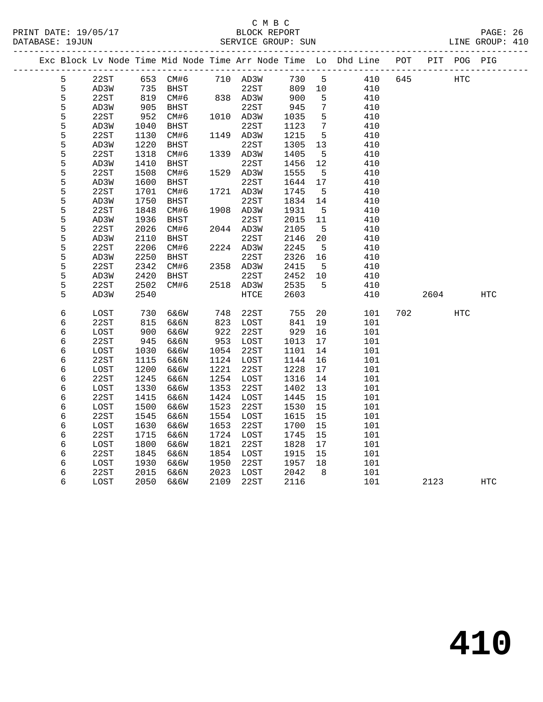|   |      |      |             |      |           |        |                 | Exc Block Lv Node Time Mid Node Time Arr Node Time Lo Dhd Line<br>-------------------------------- | POT |      | PIT POG PIG |            |
|---|------|------|-------------|------|-----------|--------|-----------------|----------------------------------------------------------------------------------------------------|-----|------|-------------|------------|
| 5 | 22ST |      | 653 CM#6    |      | 710 AD3W  | 730    | 5               | 410                                                                                                | 645 |      | <b>HTC</b>  |            |
| 5 | AD3W | 735  | BHST        |      | 22ST      | 809 10 |                 | 410                                                                                                |     |      |             |            |
| 5 | 22ST | 819  | CM#6        |      | 838 AD3W  | 900    | 5               | 410                                                                                                |     |      |             |            |
| 5 | AD3W | 905  | BHST        |      | 22ST      | 945    | $7\phantom{.0}$ | 410                                                                                                |     |      |             |            |
| 5 | 22ST | 952  | CM#6        |      | 1010 AD3W | 1035   | 5               | 410                                                                                                |     |      |             |            |
| 5 | AD3W | 1040 | <b>BHST</b> |      | 22ST      | 1123   | $7\phantom{.0}$ | 410                                                                                                |     |      |             |            |
| 5 | 22ST | 1130 | CM#6        |      | 1149 AD3W | 1215   | $5\overline{5}$ | 410                                                                                                |     |      |             |            |
| 5 | AD3W | 1220 | BHST        |      | 22ST      | 1305   | 13              | 410                                                                                                |     |      |             |            |
| 5 | 22ST | 1318 | CM#6        |      | 1339 AD3W | 1405   | 5               | 410                                                                                                |     |      |             |            |
| 5 | AD3W | 1410 | BHST        |      | 22ST      | 1456   | 12              | 410                                                                                                |     |      |             |            |
| 5 | 22ST | 1508 | CM#6        |      | 1529 AD3W | 1555   | $5\overline{5}$ | 410                                                                                                |     |      |             |            |
| 5 | AD3W | 1600 | BHST        |      | 22ST      | 1644   | 17              | 410                                                                                                |     |      |             |            |
| 5 | 22ST | 1701 | CM#6        |      | 1721 AD3W | 1745   | 5               | 410                                                                                                |     |      |             |            |
| 5 | AD3W | 1750 | BHST        |      | 22ST      | 1834   | 14              | 410                                                                                                |     |      |             |            |
| 5 | 22ST | 1848 | CM#6        |      | 1908 AD3W | 1931   | 5               | 410                                                                                                |     |      |             |            |
| 5 | AD3W | 1936 | <b>BHST</b> |      | 22ST      | 2015   | 11              | 410                                                                                                |     |      |             |            |
| 5 | 22ST | 2026 | CM#6        |      | 2044 AD3W | 2105   | $-5$            | 410                                                                                                |     |      |             |            |
| 5 | AD3W | 2110 | BHST        |      | 22ST      | 2146   | 20              | 410                                                                                                |     |      |             |            |
| 5 | 22ST | 2206 | CM#6        |      | 2224 AD3W | 2245   | $-5$            | 410                                                                                                |     |      |             |            |
| 5 | AD3W | 2250 | BHST        |      | 22ST      | 2326   | 16              | 410                                                                                                |     |      |             |            |
| 5 | 22ST | 2342 | CM#6        |      | 2358 AD3W | 2415   | 5               | 410                                                                                                |     |      |             |            |
| 5 | AD3W | 2420 | BHST        |      | 22ST      | 2452   | 10              | 410                                                                                                |     |      |             |            |
| 5 | 22ST | 2502 | CM#6        |      | 2518 AD3W | 2535   | 5               | 410                                                                                                |     |      |             |            |
| 5 | AD3W | 2540 |             |      | HTCE      | 2603   |                 | 410                                                                                                |     | 2604 |             | HTC        |
| 6 | LOST | 730  | 6&6W        | 748  | 22ST      | 755    | 20              | 101                                                                                                | 702 |      | HTC         |            |
| 6 | 22ST | 815  | 6&6N        | 823  | LOST      | 841    | 19              | 101                                                                                                |     |      |             |            |
| 6 | LOST | 900  | 6&6W        | 922  | 22ST      | 929    | 16              | 101                                                                                                |     |      |             |            |
| 6 | 22ST | 945  | 6&6N        | 953  | LOST      | 1013   | 17              | 101                                                                                                |     |      |             |            |
| 6 | LOST | 1030 | 6&6W        | 1054 | 22ST      | 1101   | 14              | 101                                                                                                |     |      |             |            |
| 6 | 22ST | 1115 | 6&6N        | 1124 | LOST      | 1144   | 16              | 101                                                                                                |     |      |             |            |
| 6 | LOST | 1200 | 6&6W        | 1221 | 22ST      | 1228   | 17              | 101                                                                                                |     |      |             |            |
| 6 | 22ST | 1245 | 6&6N        | 1254 | LOST      | 1316   | 14              | 101                                                                                                |     |      |             |            |
| 6 | LOST | 1330 | 6&6W        | 1353 | 22ST      | 1402   | 13              | 101                                                                                                |     |      |             |            |
| 6 | 22ST | 1415 | 6&6N        | 1424 | LOST      | 1445   | 15              | 101                                                                                                |     |      |             |            |
| 6 | LOST | 1500 | 6&6W        | 1523 | 22ST      | 1530   | 15              | 101                                                                                                |     |      |             |            |
| 6 | 22ST | 1545 | 6&6N        | 1554 | LOST      | 1615   | 15              | 101                                                                                                |     |      |             |            |
| 6 | LOST | 1630 | 6&6W        | 1653 | 22ST      | 1700   | 15              | 101                                                                                                |     |      |             |            |
| 6 | 22ST | 1715 | 6&6N        | 1724 | LOST      | 1745   | 15              | 101                                                                                                |     |      |             |            |
| 6 | LOST | 1800 | 6&6W        | 1821 | 22ST      | 1828   | 17              | 101                                                                                                |     |      |             |            |
| 6 | 22ST | 1845 | 6&6N        | 1854 | LOST      | 1915   | 15              | 101                                                                                                |     |      |             |            |
| 6 | LOST | 1930 | 6&6W        | 1950 | 22ST      | 1957   | 18              | 101                                                                                                |     |      |             |            |
| 6 | 22ST | 2015 | 6&6N        | 2023 | LOST      | 2042   | 8               | 101                                                                                                |     |      |             |            |
| 6 | LOST | 2050 | 6&6W        | 2109 | 22ST      | 2116   |                 | 101                                                                                                |     | 2123 |             | <b>HTC</b> |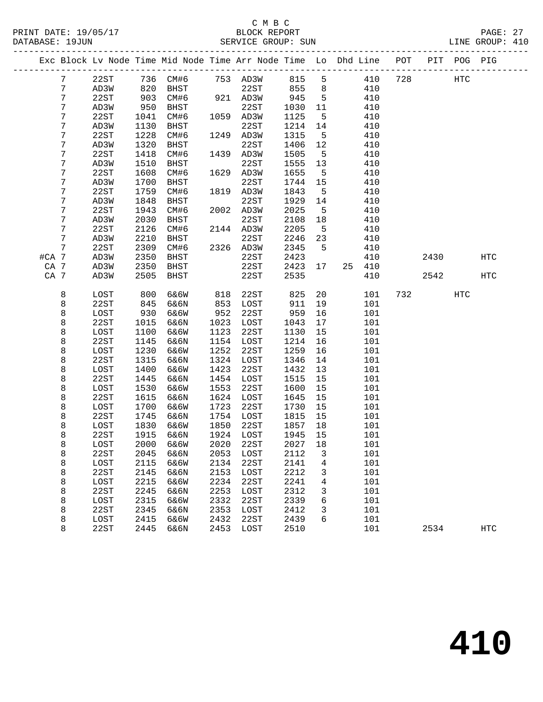|       |                 |              |              | Exc Block Lv Node Time Mid Node Time Arr Node Time Lo Dhd Line POT |              |                   |              |                |            |     |      | PIT POG PIG |            |
|-------|-----------------|--------------|--------------|--------------------------------------------------------------------|--------------|-------------------|--------------|----------------|------------|-----|------|-------------|------------|
|       | $7\phantom{.0}$ | 22ST         |              |                                                                    |              |                   | 815 5        |                | 410        | 728 |      | HTC         |            |
|       | 7               | AD3W         |              |                                                                    |              |                   |              | 8 <sup>8</sup> | 410        |     |      |             |            |
|       | 7               | 22ST         | 903          | CM#6                                                               |              | 921 AD3W          | 945          | $5^{\circ}$    | 410        |     |      |             |            |
|       | 7               | AD3W         | 950          | BHST                                                               |              | 22ST              | 1030         | 11             | 410        |     |      |             |            |
|       | 7               | 22ST         | 1041         | CM#6                                                               |              | 1059 AD3W         | 1125         | $5^{\circ}$    | 410        |     |      |             |            |
|       | 7               | AD3W         | 1130         | BHST                                                               |              | 22ST              | 1214         | 14             | 410        |     |      |             |            |
|       | 7               | 22ST         | 1228         | CM#6                                                               |              | 1249 AD3W         | 1315         | $5^{\circ}$    | 410        |     |      |             |            |
|       | 7               | AD3W         | 1320         | BHST                                                               |              | 22ST              | 1406         | 12             | 410        |     |      |             |            |
|       | 7               | 22ST         | 1418         | CM#6                                                               |              | 1439 AD3W         | 1505         | $-5$           | 410        |     |      |             |            |
|       | 7               | AD3W         | 1510         | BHST                                                               |              | 22ST              | 1555         | 13             | 410        |     |      |             |            |
|       | 7               | 22ST         | 1608         | CM#6                                                               |              | 1629 AD3W         | 1655         | $5^{\circ}$    | 410        |     |      |             |            |
|       | 7               | AD3W         | 1700         | BHST                                                               |              | 22ST              | 1744         | 15             | 410        |     |      |             |            |
|       | 7               | 22ST         | 1759         | CM#6                                                               |              | 1819 AD3W         | 1843         | $5^{\circ}$    | 410        |     |      |             |            |
|       | 7               | AD3W         | 1848         | BHST                                                               |              | 22ST              | 1929         | 14             | 410        |     |      |             |            |
|       | 7               | 22ST         | 1943         | CM#6                                                               |              | 2002 AD3W         | 2025         | $-5$           | 410        |     |      |             |            |
|       | 7               | AD3W         | 2030         | BHST                                                               |              | 22ST              | 2108         | 18             | 410        |     |      |             |            |
|       | 7               | 22ST         | 2126         | CM#6                                                               |              | 2144 AD3W         | 2205         | $-5$           | 410        |     |      |             |            |
|       | 7               | AD3W         | 2210         | BHST                                                               |              | 22ST              | 2246         | 23             | 410        |     |      |             |            |
|       | $\overline{7}$  | 22ST         | 2309         | CM#6                                                               |              | 2326 AD3W<br>22ST | 2345         | $5^{\circ}$    | 410        |     |      |             |            |
| #CA 7 |                 | AD3W         | 2350         | BHST                                                               |              |                   | 2423         |                | 410        |     | 2430 |             | <b>HTC</b> |
| CA 7  |                 | AD3W         | 2350         | BHST                                                               |              | 22ST              | 2423         | 17             | 25 410     |     | 2542 |             |            |
| CA 7  |                 | AD3W         | 2505         | BHST                                                               |              | 22ST              | 2535         |                | 410        |     |      |             | HTC        |
|       | 8               | LOST         | 800          | 6&6W                                                               | 818          | 22ST              | 825          | 20             | 101        |     | 732  | HTC         |            |
|       | 8               | 22ST         | 845          | 6&6N                                                               | 853          | LOST              | 911          | 19             | 101        |     |      |             |            |
|       | 8               | LOST         | 930          | 6&6W                                                               | 952          | 22ST              | 959          | 16             | 101        |     |      |             |            |
|       | 8               | 22ST         | 1015         | 6&6N                                                               | 1023         | LOST              | 1043         | 17             | 101        |     |      |             |            |
|       | 8               | LOST         | 1100         | 6&6W                                                               | 1123         | 22ST              | 1130         | 15             | 101        |     |      |             |            |
|       | 8               | 22ST         | 1145         | 6&6N                                                               | 1154         | LOST              | 1214         | 16             | 101        |     |      |             |            |
|       | 8               | LOST         | 1230         | 6&6W                                                               | 1252         | 22ST              | 1259         | 16             | 101        |     |      |             |            |
|       | 8               | 22ST         | 1315         | 6&6N                                                               | 1324         | LOST              | 1346         | 14             | 101        |     |      |             |            |
|       | 8               | LOST         | 1400         | 6&6W                                                               | 1423         | 22ST              | 1432         | 13             | 101        |     |      |             |            |
|       | 8               | 22ST         | 1445         | 6&6N                                                               | 1454         | LOST              | 1515         | 15             | 101        |     |      |             |            |
|       | 8               | LOST         | 1530         | 6&6W                                                               | 1553         | 22ST              | 1600         | 15             | 101        |     |      |             |            |
|       | 8               | 22ST         | 1615         | 6&6N                                                               | 1624         | LOST              | 1645         | 15             | 101        |     |      |             |            |
|       | 8               | LOST         | 1700         | 6&6W                                                               | 1723         | 22ST              | 1730         | 15             | 101        |     |      |             |            |
|       | 8               | 22ST         | 1745         | 6&6N                                                               |              | 1754 LOST         | 1815         | 15             | 101        |     |      |             |            |
|       | 8               | LOST         | 1830         | 6&6W                                                               | 1850         | 22ST              | 1857         | 18             | 101        |     |      |             |            |
|       | 8               | 22ST         | 1915         | 6&6N                                                               |              | 1924 LOST         | 1945         | 15             | 101        |     |      |             |            |
|       | 8               | LOST         |              | 2000 6&6W                                                          |              | 2020 22ST         | 2027 18      |                | 101        |     |      |             |            |
|       | 8               | 22ST         | 2045         | 6&6N                                                               | 2053         | LOST              | 2112         | 3              | 101        |     |      |             |            |
|       | 8               | LOST         | 2115         | 6&6W                                                               | 2134         | 22ST              | 2141         | 4              | 101        |     |      |             |            |
|       | 8               | 22ST         | 2145         | 6&6N                                                               | 2153         | LOST              | 2212         | 3              | 101        |     |      |             |            |
|       | 8               | LOST         | 2215         | 6&6W                                                               | 2234         | 22ST              | 2241         | 4              | 101        |     |      |             |            |
|       | 8               | 22ST         | 2245         | 6&6N                                                               | 2253         | LOST              | 2312         | 3              | 101        |     |      |             |            |
|       | 8               | LOST         | 2315<br>2345 | 6&6W                                                               | 2332<br>2353 | 22ST              | 2339<br>2412 | 6              | 101        |     |      |             |            |
|       | 8<br>8          | 22ST<br>LOST | 2415         | 6&6N<br>6&6W                                                       | 2432         | LOST<br>22ST      | 2439         | 3<br>6         | 101<br>101 |     |      |             |            |
|       | 8               | 22ST         | 2445         | 6&6N                                                               | 2453         | LOST              | 2510         |                | 101        |     | 2534 |             | <b>HTC</b> |
|       |                 |              |              |                                                                    |              |                   |              |                |            |     |      |             |            |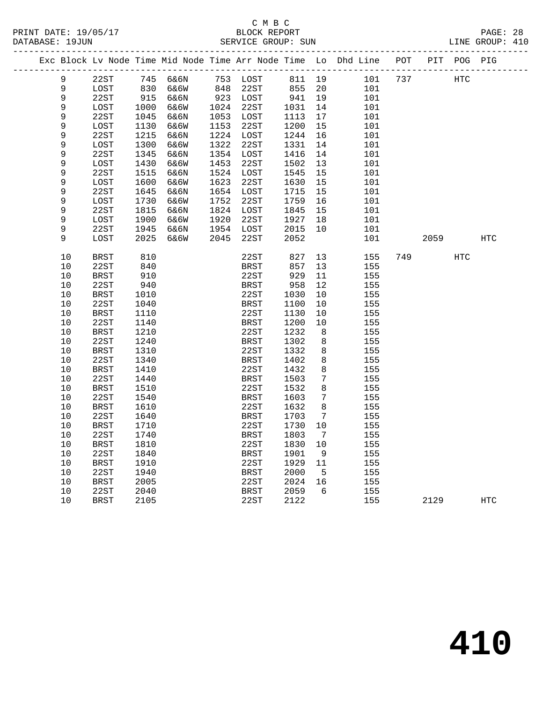|  |             | Exc Block Lv Node Time Mid Node Time Arr Node Time Lo Dhd Line |      |          |           |             |      |                 |     | POT |      | PIT POG PIG |            |
|--|-------------|----------------------------------------------------------------|------|----------|-----------|-------------|------|-----------------|-----|-----|------|-------------|------------|
|  | 9           | 22ST                                                           |      | 745 6&6N |           | 753 LOST    |      | 811 19          | 101 | 737 |      | <b>HTC</b>  |            |
|  | $\mathsf 9$ | LOST                                                           | 830  | 6&6W     | 848       | 22ST        | 855  | 20              | 101 |     |      |             |            |
|  | 9           | 22ST                                                           | 915  | 6&6N     | 923 LOST  |             | 941  | 19              | 101 |     |      |             |            |
|  | 9           | LOST                                                           | 1000 | 6&6W     | 1024 22ST |             | 1031 | 14              | 101 |     |      |             |            |
|  | 9           | 22ST                                                           | 1045 | 6&6N     | 1053      | LOST        | 1113 | 17              | 101 |     |      |             |            |
|  | 9           | LOST                                                           | 1130 | 6&6W     | 1153      | 22ST        | 1200 | 15              | 101 |     |      |             |            |
|  | 9           | 22ST                                                           | 1215 | 6&6N     | 1224 LOST |             | 1244 | 16              | 101 |     |      |             |            |
|  | 9           | LOST                                                           | 1300 | 6&6W     | 1322      | 22ST        | 1331 | 14              | 101 |     |      |             |            |
|  | 9           | 22ST                                                           | 1345 | 6&6N     | 1354      | LOST        | 1416 | 14              | 101 |     |      |             |            |
|  | $\mathsf 9$ | LOST                                                           | 1430 | 6&6W     | 1453      | 22ST        | 1502 | 13              | 101 |     |      |             |            |
|  | 9           | 22ST                                                           | 1515 | 6&6N     | 1524 LOST |             | 1545 | 15              | 101 |     |      |             |            |
|  | 9           | LOST                                                           | 1600 | 6&6W     | 1623      | 22ST        | 1630 | 15              | 101 |     |      |             |            |
|  | 9           | 22ST                                                           | 1645 | 6&6N     | 1654 LOST |             | 1715 | 15              | 101 |     |      |             |            |
|  | 9           | LOST                                                           | 1730 | 6&6W     | 1752      | 22ST        | 1759 | 16              | 101 |     |      |             |            |
|  | 9           | 22ST                                                           | 1815 | 6&6N     | 1824 LOST |             | 1845 | 15              | 101 |     |      |             |            |
|  | $\mathsf 9$ | LOST                                                           | 1900 | 6&6W     | 1920      | 22ST        | 1927 | 18              | 101 |     |      |             |            |
|  | 9           | 22ST                                                           | 1945 | 6&6N     | 1954 LOST |             | 2015 | 10              | 101 |     |      |             |            |
|  | 9           | LOST                                                           | 2025 | 6&6W     | 2045      | 22ST        | 2052 |                 | 101 |     | 2059 |             | <b>HTC</b> |
|  |             |                                                                |      |          |           |             |      |                 |     |     |      |             |            |
|  | 10          | <b>BRST</b>                                                    | 810  |          |           | 22ST        | 827  | 13              | 155 | 749 |      | HTC         |            |
|  | 10          | 22ST                                                           | 840  |          |           | BRST        | 857  | 13              | 155 |     |      |             |            |
|  | 10          | <b>BRST</b>                                                    | 910  |          |           | 22ST        | 929  | 11              | 155 |     |      |             |            |
|  | 10          | 22ST                                                           | 940  |          |           | BRST        | 958  | 12              | 155 |     |      |             |            |
|  | 10          | <b>BRST</b>                                                    | 1010 |          |           | 22ST        | 1030 | 10              | 155 |     |      |             |            |
|  | 10          | 22ST                                                           | 1040 |          |           | BRST        | 1100 | 10              | 155 |     |      |             |            |
|  | 10          | <b>BRST</b>                                                    | 1110 |          |           | 22ST        | 1130 | 10              | 155 |     |      |             |            |
|  | 10          | 22ST                                                           | 1140 |          |           | BRST        | 1200 | 10              | 155 |     |      |             |            |
|  | 10          | BRST                                                           | 1210 |          |           | 22ST        | 1232 | 8               | 155 |     |      |             |            |
|  | 10          | 22ST                                                           | 1240 |          |           | BRST        | 1302 | 8               | 155 |     |      |             |            |
|  | 10          | BRST                                                           | 1310 |          |           | 22ST        | 1332 | 8               | 155 |     |      |             |            |
|  | 10          | 22ST                                                           | 1340 |          |           | BRST        | 1402 | 8               | 155 |     |      |             |            |
|  | 10          | BRST                                                           | 1410 |          |           | 22ST        | 1432 | 8               | 155 |     |      |             |            |
|  | 10          | 22ST                                                           | 1440 |          |           | BRST        | 1503 | 7               | 155 |     |      |             |            |
|  | 10          | BRST                                                           | 1510 |          |           | 22ST        | 1532 | 8               | 155 |     |      |             |            |
|  | 10          | 22ST                                                           | 1540 |          |           | <b>BRST</b> | 1603 | 7               | 155 |     |      |             |            |
|  | 10          | <b>BRST</b>                                                    | 1610 |          |           | 22ST        | 1632 | 8               | 155 |     |      |             |            |
|  | 10          | 22ST                                                           | 1640 |          |           | BRST        | 1703 | $7\phantom{.0}$ | 155 |     |      |             |            |
|  | 10          | <b>BRST</b>                                                    | 1710 |          |           | 22ST        | 1730 | 10              | 155 |     |      |             |            |
|  | 10          | 22ST                                                           | 1740 |          |           | <b>BRST</b> | 1803 | $7\phantom{.0}$ | 155 |     |      |             |            |
|  | 10          | BRST                                                           | 1810 |          |           | 22ST        | 1830 | 10              | 155 |     |      |             |            |
|  | 10          | 22ST                                                           | 1840 |          |           | <b>BRST</b> | 1901 | 9               | 155 |     |      |             |            |
|  | 10          | BRST                                                           | 1910 |          |           | 22ST        | 1929 | 11              | 155 |     |      |             |            |
|  | 10          | 22ST                                                           | 1940 |          |           | BRST        | 2000 | $5^{\circ}$     | 155 |     |      |             |            |
|  | 10          | BRST                                                           | 2005 |          |           | 22ST        | 2024 | 16              | 155 |     |      |             |            |
|  | 10          | 22ST                                                           | 2040 |          |           | BRST        | 2059 | 6               | 155 |     |      |             |            |
|  | 10          | <b>BRST</b>                                                    | 2105 |          |           | 22ST        | 2122 |                 | 155 |     | 2129 |             | HTC        |
|  |             |                                                                |      |          |           |             |      |                 |     |     |      |             |            |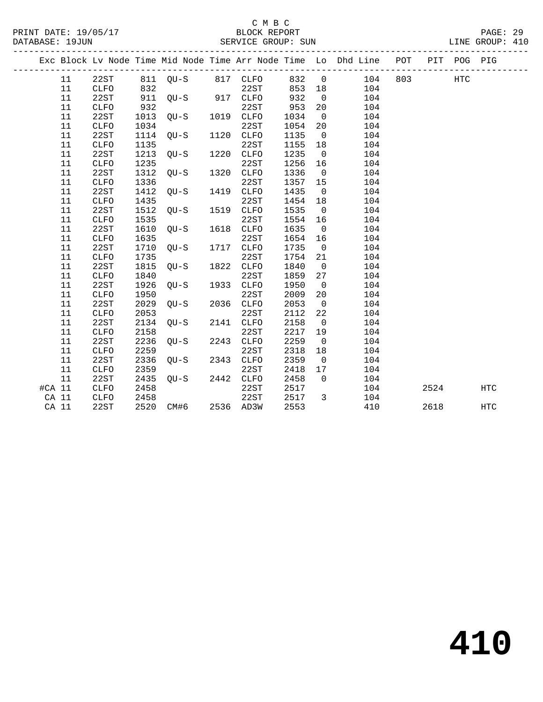|        |             |      |                     |           |         |                | Exc Block Lv Node Time Mid Node Time Arr Node Time Lo Dhd Line POT |     |      | PIT POG PIG |            |
|--------|-------------|------|---------------------|-----------|---------|----------------|--------------------------------------------------------------------|-----|------|-------------|------------|
| 11     | 22ST        |      | 811 QU-S 817 CLFO   |           |         |                | 832 0 104                                                          | 803 |      | <b>HTC</b>  |            |
| 11     | CLFO        | 832  |                     | 22ST      | 853 18  |                | 104                                                                |     |      |             |            |
| 11     | 22ST        |      | 911 QU-S 917 CLFO   |           | 932     | $\overline{0}$ | 104                                                                |     |      |             |            |
| 11     | CLFO        | 932  |                     | 22ST      | 953     | 20             | 104                                                                |     |      |             |            |
| 11     | 22ST        | 1013 | $QU-S$ 1019         | 1019 CLFO | 1034    | $\overline{0}$ | 104                                                                |     |      |             |            |
| 11     | <b>CLFO</b> | 1034 |                     | 22ST      | 1054    | 20             | 104                                                                |     |      |             |            |
| 11     | 22ST        | 1114 | $QU-S$ $1120$       | 1120 CLFO | 1135    | $\overline{0}$ | 104                                                                |     |      |             |            |
| 11     | <b>CLFO</b> | 1135 |                     | 22ST      | 1155    | 18             | 104                                                                |     |      |             |            |
| 11     | 22ST        | 1213 | $QU-S$              | 1220 CLFO | 1235    | $\overline{0}$ | 104                                                                |     |      |             |            |
| 11     | <b>CLFO</b> | 1235 |                     | 22ST      | 1256 16 |                | 104                                                                |     |      |             |            |
| 11     | 22ST        | 1312 | QU-S                | 1320 CLFO | 1336    | $\overline{0}$ | 104                                                                |     |      |             |            |
| 11     | CLFO        | 1336 |                     | 22ST      | 1357 15 |                | 104                                                                |     |      |             |            |
| 11     | 22ST        | 1412 | OU-S                | 1419 CLFO | 1435    | $\overline{0}$ | 104                                                                |     |      |             |            |
| 11     | CLFO        | 1435 |                     | 22ST      | 1454 18 |                | 104                                                                |     |      |             |            |
| 11     | 22ST        | 1512 | $QU-S$              | 1519 CLFO | 1535    | $\overline{0}$ | 104                                                                |     |      |             |            |
| 11     | <b>CLFO</b> | 1535 |                     | 22ST      | 1554 16 |                | 104                                                                |     |      |             |            |
| 11     | 22ST        | 1610 | $QU-S$              | 1618 CLFO | 1635    | $\overline{0}$ | 104                                                                |     |      |             |            |
| 11     | <b>CLFO</b> | 1635 |                     | 22ST      | 1654 16 |                | 104                                                                |     |      |             |            |
| 11     | 22ST        | 1710 | $OU-S$              | 1717 CLFO | 1735    | $\overline{0}$ | 104                                                                |     |      |             |            |
| 11     | CLFO        | 1735 |                     | 22ST      | 1754    | 21             | 104                                                                |     |      |             |            |
| 11     | 22ST        | 1815 | $QU-S$              | 1822 CLFO | 1840    | $\overline{0}$ | 104                                                                |     |      |             |            |
| 11     | <b>CLFO</b> | 1840 |                     | 22ST      | 1859    | 27             | 104                                                                |     |      |             |            |
| 11     | 22ST        | 1926 | $QU-S$              | 1933 CLFO | 1950    | $\overline{0}$ | 104                                                                |     |      |             |            |
| 11     | CLFO        | 1950 |                     | 22ST      | 2009    | 20             | 104                                                                |     |      |             |            |
| 11     | 22ST        | 2029 | $QU-S$              | 2036 CLFO | 2053    | $\overline{0}$ | 104                                                                |     |      |             |            |
| 11     | CLFO        | 2053 |                     | 22ST      | 2112    | 22             | 104                                                                |     |      |             |            |
| 11     | 22ST        | 2134 | $QU-S$              | 2141 CLFO | 2158    | $\overline{0}$ | 104                                                                |     |      |             |            |
| 11     | <b>CLFO</b> | 2158 |                     | 22ST      | 2217    | 19             | 104                                                                |     |      |             |            |
| 11     | 22ST        | 2236 | $QU-S$ 2243 $CLFO$  |           | 2259    | $\overline{0}$ | 104                                                                |     |      |             |            |
| 11     | <b>CLFO</b> | 2259 |                     | 22ST      | 2318    | 18             | 104                                                                |     |      |             |            |
| 11     | 22ST        | 2336 | $QU-S$              | 2343 CLFO | 2359    | $\overline{0}$ | 104                                                                |     |      |             |            |
| 11     | CLFO        | 2359 |                     | 22ST      | 2418    | 17             | 104                                                                |     |      |             |            |
| 11     | 22ST        | 2435 | QU-S 2442 CLFO      |           | 2458    | $\Omega$       | 104                                                                |     |      |             |            |
| #CA 11 | <b>CLFO</b> | 2458 |                     | 22ST      | 2517    |                | 104                                                                |     | 2524 |             | <b>HTC</b> |
| CA 11  | CLFO        | 2458 |                     | 22ST      | 2517    | $\overline{3}$ | 104                                                                |     |      |             |            |
| CA 11  | 22ST        |      | 2520 CM#6 2536 AD3W |           | 2553    |                | 410                                                                |     | 2618 |             | <b>HTC</b> |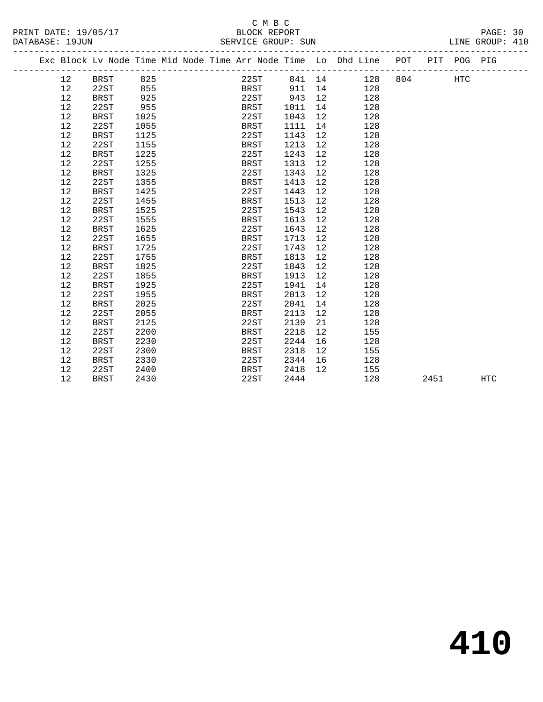|        | ب سینا<br>$\sim$ |  | $-$ |  |
|--------|------------------|--|-----|--|
|        |                  |  |     |  |
| ______ |                  |  |     |  |

|  |    |             |      |  |             |        |                 | Exc Block Lv Node Time Mid Node Time Arr Node Time Lo Dhd Line POT |     |      | PIT POG PIG |            |
|--|----|-------------|------|--|-------------|--------|-----------------|--------------------------------------------------------------------|-----|------|-------------|------------|
|  | 12 | BRST        | 825  |  | 22ST        | 841 14 |                 | 128                                                                | 804 |      | HTC         |            |
|  | 12 | 22ST        | 855  |  | BRST        | 911    | 14              | 128                                                                |     |      |             |            |
|  | 12 | <b>BRST</b> | 925  |  | 22ST        | 943    | 12              | 128                                                                |     |      |             |            |
|  | 12 | 22ST        | 955  |  | BRST        | 1011   | 14              | 128                                                                |     |      |             |            |
|  | 12 | <b>BRST</b> | 1025 |  | 22ST        | 1043   | 12              | 128                                                                |     |      |             |            |
|  | 12 | 22ST        | 1055 |  | BRST        | 1111   | 14              | 128                                                                |     |      |             |            |
|  | 12 | BRST        | 1125 |  | 22ST        | 1143   | 12              | 128                                                                |     |      |             |            |
|  | 12 | 22ST        | 1155 |  | BRST        | 1213   | 12              | 128                                                                |     |      |             |            |
|  | 12 | BRST        | 1225 |  | 22ST        | 1243   | 12              | 128                                                                |     |      |             |            |
|  | 12 | 22ST        | 1255 |  | BRST        | 1313   | 12              | 128                                                                |     |      |             |            |
|  | 12 | <b>BRST</b> | 1325 |  | 22ST        | 1343   | 12              | 128                                                                |     |      |             |            |
|  | 12 | 22ST        | 1355 |  | BRST        | 1413   | 12              | 128                                                                |     |      |             |            |
|  | 12 | <b>BRST</b> | 1425 |  | 22ST        | 1443   | 12              | 128                                                                |     |      |             |            |
|  | 12 | 22ST        | 1455 |  | BRST        | 1513   | 12              | 128                                                                |     |      |             |            |
|  | 12 | <b>BRST</b> | 1525 |  | 22ST        | 1543   | 12              | 128                                                                |     |      |             |            |
|  | 12 | 22ST        | 1555 |  | BRST        | 1613   | 12              | 128                                                                |     |      |             |            |
|  | 12 | <b>BRST</b> | 1625 |  | 22ST        | 1643   | 12              | 128                                                                |     |      |             |            |
|  | 12 | 22ST        | 1655 |  | BRST        | 1713   | 12              | 128                                                                |     |      |             |            |
|  | 12 | <b>BRST</b> | 1725 |  | 22ST        | 1743   | 12              | 128                                                                |     |      |             |            |
|  | 12 | 22ST        | 1755 |  | BRST        | 1813   | 12              | 128                                                                |     |      |             |            |
|  | 12 | <b>BRST</b> | 1825 |  | 22ST        | 1843   | 12              | 128                                                                |     |      |             |            |
|  | 12 | 22ST        | 1855 |  | BRST        | 1913   | 12              | 128                                                                |     |      |             |            |
|  | 12 | <b>BRST</b> | 1925 |  | 22ST        | 1941   | 14              | 128                                                                |     |      |             |            |
|  | 12 | 22ST        | 1955 |  | BRST        | 2013   | 12              | 128                                                                |     |      |             |            |
|  | 12 | <b>BRST</b> | 2025 |  | 22ST        | 2041   | 14              | 128                                                                |     |      |             |            |
|  | 12 | 22ST        | 2055 |  | <b>BRST</b> | 2113   | 12              | 128                                                                |     |      |             |            |
|  | 12 | <b>BRST</b> | 2125 |  | 22ST        | 2139   | 21              | 128                                                                |     |      |             |            |
|  | 12 | 22ST        | 2200 |  | BRST        | 2218   | 12 <sup>°</sup> | 155                                                                |     |      |             |            |
|  | 12 | <b>BRST</b> | 2230 |  | 22ST        | 2244   | 16              | 128                                                                |     |      |             |            |
|  | 12 | 22ST        | 2300 |  | <b>BRST</b> | 2318   | 12 <sup>°</sup> | 155                                                                |     |      |             |            |
|  | 12 | BRST        | 2330 |  | 22ST        | 2344   | 16              | 128                                                                |     |      |             |            |
|  | 12 | 22ST        | 2400 |  | <b>BRST</b> | 2418   | 12              | 155                                                                |     |      |             |            |
|  | 12 | <b>BRST</b> | 2430 |  | 22ST        | 2444   |                 | 128                                                                |     | 2451 |             | <b>HTC</b> |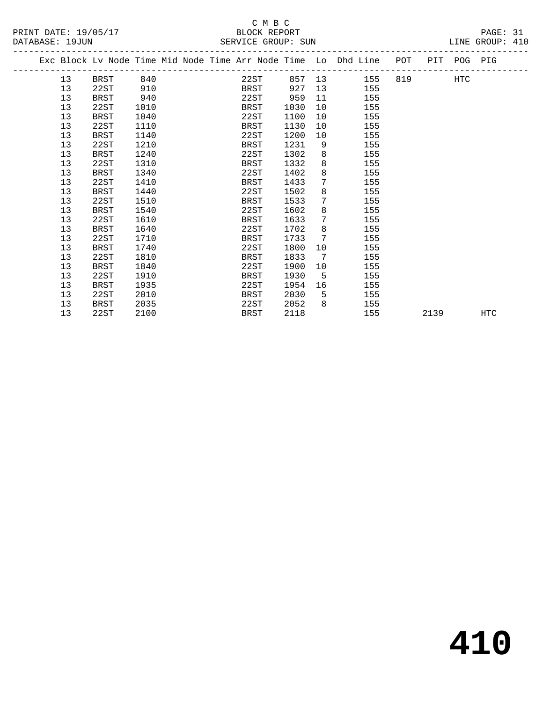# C M B C<br>BLOCK REPORT<br>DILLOT CROUD: CUN

|  |  | PА |  |
|--|--|----|--|
|  |  |    |  |

| PRINT DATE: 19/05/17<br>DATABASE: 19JUN |    |                    |  |      |  |  |  | C M B C<br>BLOCK REPORT |  | PAGE: 31<br>LINE GROUP: 410 |                |                                                                    |  |  |             |     |  |
|-----------------------------------------|----|--------------------|--|------|--|--|--|-------------------------|--|-----------------------------|----------------|--------------------------------------------------------------------|--|--|-------------|-----|--|
|                                         |    | SERVICE GROUP: SUN |  |      |  |  |  |                         |  |                             |                |                                                                    |  |  |             |     |  |
|                                         |    |                    |  |      |  |  |  |                         |  |                             |                | Exc Block Lv Node Time Mid Node Time Arr Node Time Lo Dhd Line POT |  |  | PIT POG PIG |     |  |
|                                         | 13 | BRST               |  | 840  |  |  |  | 22ST                    |  |                             |                | 857 13 155 819                                                     |  |  | <b>HTC</b>  |     |  |
|                                         | 13 | 22ST               |  | 910  |  |  |  | BRST                    |  | 927                         | 13             | 155                                                                |  |  |             |     |  |
|                                         | 13 | <b>BRST</b>        |  | 940  |  |  |  | 22ST                    |  | 959                         | 11             | 155                                                                |  |  |             |     |  |
|                                         | 13 | 22ST               |  | 1010 |  |  |  | BRST                    |  | 1030                        | 10             | 155                                                                |  |  |             |     |  |
|                                         | 13 | BRST               |  | 1040 |  |  |  | 22ST                    |  | 1100                        | 10             | 155                                                                |  |  |             |     |  |
|                                         | 13 | 22ST               |  | 1110 |  |  |  | BRST                    |  | 1130                        | 10             | 155                                                                |  |  |             |     |  |
|                                         | 13 | <b>BRST</b>        |  | 1140 |  |  |  | 22ST                    |  | 1200                        | 10             | 155                                                                |  |  |             |     |  |
|                                         | 13 | 22ST               |  | 1210 |  |  |  | BRST                    |  | 1231                        | 9              | 155                                                                |  |  |             |     |  |
|                                         | 13 | <b>BRST</b>        |  | 1240 |  |  |  | 22ST                    |  | 1302                        | 8              | 155                                                                |  |  |             |     |  |
|                                         | 13 | 22ST               |  | 1310 |  |  |  | BRST                    |  | 1332                        | 8              | 155                                                                |  |  |             |     |  |
|                                         | 13 | <b>BRST</b>        |  | 1340 |  |  |  | 22ST                    |  | 1402                        | 8              | 155                                                                |  |  |             |     |  |
|                                         | 13 | 22ST               |  | 1410 |  |  |  | BRST                    |  | 1433                        | 7              | 155                                                                |  |  |             |     |  |
|                                         | 13 | <b>BRST</b>        |  | 1440 |  |  |  | 22ST                    |  | 1502                        | 8              | 155                                                                |  |  |             |     |  |
|                                         | 13 | 22ST               |  | 1510 |  |  |  | BRST                    |  | 1533                        | 7              | 155                                                                |  |  |             |     |  |
|                                         | 13 | BRST               |  | 1540 |  |  |  | 22ST                    |  | 1602                        | 8              | 155                                                                |  |  |             |     |  |
|                                         | 13 | 22ST               |  | 1610 |  |  |  | BRST                    |  | 1633                        | $\overline{7}$ | 155                                                                |  |  |             |     |  |
|                                         | 13 | <b>BRST</b>        |  | 1640 |  |  |  | 22ST                    |  | 1702                        | 8              | 155                                                                |  |  |             |     |  |
|                                         | 13 | 22ST               |  | 1710 |  |  |  | BRST                    |  | 1733                        | 7              | 155                                                                |  |  |             |     |  |
|                                         | 13 | <b>BRST</b>        |  | 1740 |  |  |  | 22ST                    |  | 1800                        | 10             | 155                                                                |  |  |             |     |  |
|                                         | 13 | 22ST               |  | 1810 |  |  |  | BRST                    |  | 1833                        | $\overline{7}$ | 155                                                                |  |  |             |     |  |
|                                         | 13 | BRST               |  | 1840 |  |  |  | 22ST                    |  | 1900                        | 10             | 155                                                                |  |  |             |     |  |
|                                         | 13 | 22ST               |  | 1910 |  |  |  | BRST                    |  | 1930                        | $5^{\circ}$    | 155                                                                |  |  |             |     |  |
|                                         | 13 | <b>BRST</b>        |  | 1935 |  |  |  | 22ST                    |  | 1954                        | 16             | 155                                                                |  |  |             |     |  |
|                                         | 13 | 22ST               |  | 2010 |  |  |  | BRST                    |  | 2030                        | 5              | 155                                                                |  |  |             |     |  |
|                                         | 13 | BRST               |  | 2035 |  |  |  | 22ST                    |  | 2052                        | 8              | 155                                                                |  |  |             |     |  |
|                                         | 13 | 22ST               |  | 2100 |  |  |  | BRST                    |  | 2118                        |                | 155                                                                |  |  | 2139        | HTC |  |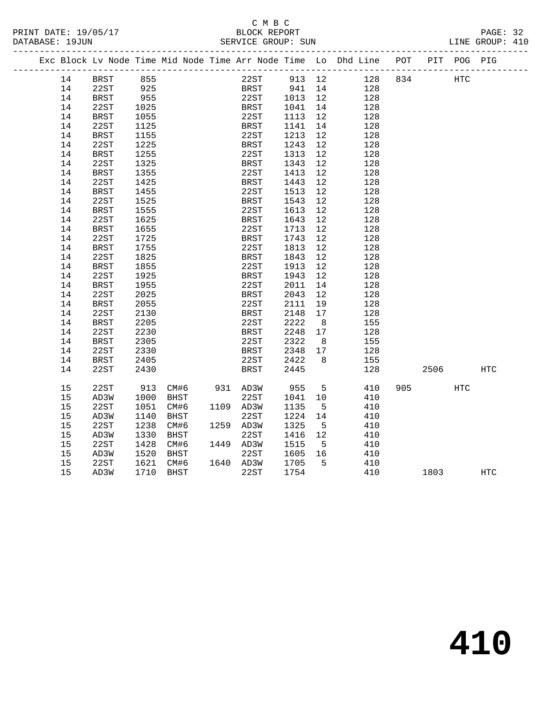#### C M B C<br>BLOCK REPORT SERVICE GROUP: SUN

|  |    | Exc Block Lv Node Time Mid Node Time Arr Node Time Lo Dhd Line POT |      |      |               |             |                                             |                |     |     |      | PIT POG PIG |     |
|--|----|--------------------------------------------------------------------|------|------|---------------|-------------|---------------------------------------------|----------------|-----|-----|------|-------------|-----|
|  | 14 | BRST                                                               | 855  |      |               |             | 22ST 913 12                                 |                | 128 | 834 |      | HTC         |     |
|  | 14 | 22ST                                                               | 925  |      |               |             | BRST 941 14<br>22ST 1013 12<br>BRST 1041 14 |                | 128 |     |      |             |     |
|  | 14 | BRST                                                               | 955  |      |               |             |                                             |                | 128 |     |      |             |     |
|  | 14 | 22ST                                                               | 1025 |      |               | BRST        | 1041 14                                     |                | 128 |     |      |             |     |
|  | 14 | <b>BRST</b>                                                        | 1055 |      |               | 22ST        | 1113 12                                     |                | 128 |     |      |             |     |
|  | 14 | 22ST                                                               | 1125 |      |               | <b>BRST</b> | 1141                                        | 14             | 128 |     |      |             |     |
|  | 14 | BRST                                                               | 1155 |      |               | 22ST        | 1213                                        | 12             | 128 |     |      |             |     |
|  | 14 | 22ST                                                               | 1225 |      |               | BRST        | 1243                                        | 12             | 128 |     |      |             |     |
|  | 14 | <b>BRST</b>                                                        | 1255 |      |               | 22ST        | 1313                                        | 12             | 128 |     |      |             |     |
|  | 14 | 22ST                                                               | 1325 |      |               | BRST        | 1343                                        | 12             | 128 |     |      |             |     |
|  | 14 | BRST                                                               | 1355 |      |               | 22ST        | 1413                                        | 12             | 128 |     |      |             |     |
|  | 14 | 22ST                                                               | 1425 |      |               | <b>BRST</b> | 1443                                        | 12             | 128 |     |      |             |     |
|  | 14 | BRST                                                               | 1455 |      |               | 22ST        | 1513                                        | 12             | 128 |     |      |             |     |
|  | 14 | 22ST                                                               | 1525 |      |               | BRST        | 1543                                        | 12             | 128 |     |      |             |     |
|  | 14 | BRST                                                               | 1555 |      |               | 22ST        | 1613                                        | 12             | 128 |     |      |             |     |
|  | 14 | 22ST                                                               | 1625 |      |               | BRST        | 1643                                        | 12             | 128 |     |      |             |     |
|  | 14 | BRST                                                               | 1655 |      |               | 22ST        | 1713                                        | 12             | 128 |     |      |             |     |
|  | 14 | 22ST                                                               | 1725 |      |               | <b>BRST</b> | 1743                                        | 12             | 128 |     |      |             |     |
|  | 14 | <b>BRST</b>                                                        | 1755 |      |               | 22ST        | 1813                                        | 12             | 128 |     |      |             |     |
|  | 14 | 22ST                                                               | 1825 |      |               | <b>BRST</b> | 1843                                        | 12             | 128 |     |      |             |     |
|  | 14 | <b>BRST</b>                                                        | 1855 |      |               | 22ST        | 1913                                        | 12             | 128 |     |      |             |     |
|  | 14 | 22ST                                                               | 1925 |      |               | BRST        | 1943                                        | 12             | 128 |     |      |             |     |
|  | 14 | <b>BRST</b>                                                        | 1955 |      |               | 22ST        | 2011                                        | 14             | 128 |     |      |             |     |
|  | 14 | 22ST                                                               | 2025 |      |               | BRST        | 2043                                        | 12             | 128 |     |      |             |     |
|  | 14 | <b>BRST</b>                                                        | 2055 |      |               | 22ST        | 2111                                        | 19             | 128 |     |      |             |     |
|  | 14 | 22ST                                                               | 2130 |      |               | BRST        | 2148                                        | 17             | 128 |     |      |             |     |
|  | 14 | <b>BRST</b>                                                        | 2205 |      |               | 22ST        | 2222                                        | 8 <sup>8</sup> | 155 |     |      |             |     |
|  | 14 | 22ST                                                               | 2230 |      |               | BRST        | 2248 17                                     |                | 128 |     |      |             |     |
|  | 14 | <b>BRST</b>                                                        | 2305 |      |               | 22ST        | 2322                                        | 8 <sup>8</sup> | 155 |     |      |             |     |
|  | 14 | 22ST                                                               | 2330 |      |               | BRST        | 2348<br>2422                                | 17             | 128 |     |      |             |     |
|  | 14 | BRST                                                               | 2405 |      |               | 22ST        |                                             | 8 <sup>8</sup> | 155 |     |      |             |     |
|  | 14 | 22ST                                                               | 2430 |      |               | BRST        | 2445                                        |                | 128 |     | 2506 |             | HTC |
|  | 15 | 22ST                                                               | 913  |      | CM#6 931 AD3W |             | 955                                         | 5              | 410 | 905 |      | HTC         |     |
|  | 15 | AD3W                                                               | 1000 | BHST |               | 22ST        | 1041                                        | 10             | 410 |     |      |             |     |
|  | 15 | 22ST                                                               | 1051 | CM#6 | 1109 AD3W     |             | 1135                                        | $5^{\circ}$    | 410 |     |      |             |     |
|  | 15 | AD3W                                                               | 1140 | BHST |               | 22ST        | 1224 14                                     |                | 410 |     |      |             |     |
|  | 15 | 22ST                                                               | 1238 | CM#6 | 1259 AD3W     |             | 1325                                        | 5              | 410 |     |      |             |     |
|  | 15 | AD3W                                                               | 1330 | BHST |               | 22ST        | 1416 12                                     |                | 410 |     |      |             |     |
|  | 15 | 22ST                                                               | 1428 | CM#6 | 1449 AD3W     |             | 1515                                        | $5^{\circ}$    | 410 |     |      |             |     |
|  | 15 | AD3W                                                               | 1520 | BHST |               | 22ST        | 1605 16                                     |                | 410 |     |      |             |     |
|  | 15 | 22ST                                                               | 1621 | CM#6 | 1640 AD3W     |             | 1705                                        | 5              | 410 |     |      |             |     |
|  |    |                                                                    |      |      |               |             |                                             |                |     |     |      |             |     |

15 AD3W 1710 BHST 22ST 1754 410 1803 HTC

**410**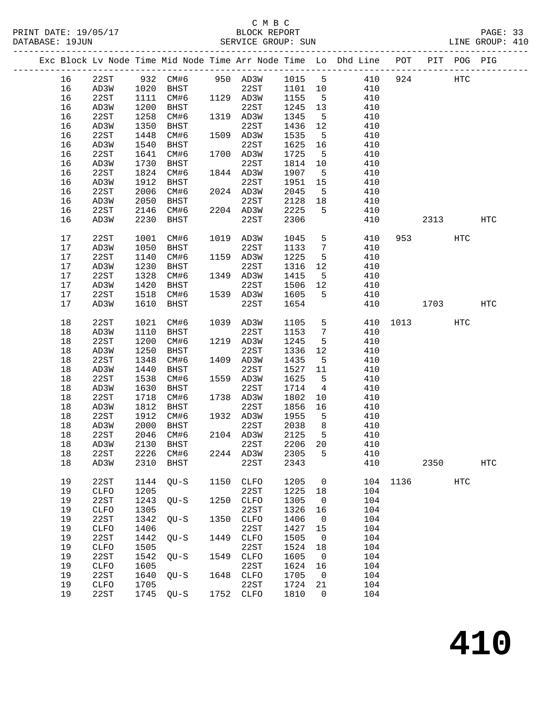## C M B C

| PRINT DATE: 19/05/17<br>DATABASE: 19JUN |      |              |      |             |      | C M B C<br>BLOCK REPORT<br>SERVICE GROUP: SUN |         |                 |                                                                    | PAGE: 33<br>LINE GROUP: 410 |      |            |            |  |
|-----------------------------------------|------|--------------|------|-------------|------|-----------------------------------------------|---------|-----------------|--------------------------------------------------------------------|-----------------------------|------|------------|------------|--|
|                                         |      |              |      |             |      | -------------------------------               |         |                 | Exc Block Lv Node Time Mid Node Time Arr Node Time Lo Dhd Line POT |                             | PIT  |            | POG PIG    |  |
|                                         | 16   | 22ST         | 932  | CM#6        |      |                                               |         |                 | 950 AD3W 1015 5 410                                                | 924                         |      | HTC        |            |  |
|                                         | 16   | AD3W         | 1020 | BHST        |      | 22ST                                          | 1101 10 |                 | 410                                                                |                             |      |            |            |  |
|                                         | 16   | 22ST         | 1111 | CM#6        |      | 1129 AD3W                                     | 1155    | 5               | 410                                                                |                             |      |            |            |  |
|                                         | 16   | AD3W         | 1200 | BHST        |      | 22ST                                          | 1245    | 13              | 410                                                                |                             |      |            |            |  |
|                                         | 16   | 22ST         | 1258 | CM#6        |      | 1319 AD3W                                     | 1345    | 5 <sub>5</sub>  | 410                                                                |                             |      |            |            |  |
|                                         | 16   | AD3W         | 1350 | BHST        |      | 22ST                                          | 1436    | 12              | 410                                                                |                             |      |            |            |  |
|                                         | 16   | 22ST         | 1448 | CM#6        |      | 1509 AD3W                                     | 1535    | 5               | 410                                                                |                             |      |            |            |  |
|                                         | 16   | AD3W         | 1540 | BHST        |      | 22ST                                          | 1625    | 16              | 410                                                                |                             |      |            |            |  |
|                                         | 16   | 22ST         | 1641 | CM#6        |      | 1700 AD3W                                     | 1725    | 5               | 410                                                                |                             |      |            |            |  |
|                                         | 16   | AD3W         | 1730 | BHST        |      | 22ST                                          | 1814    | 10              | 410                                                                |                             |      |            |            |  |
|                                         | 16   | 22ST         | 1824 | CM#6        |      | 1844 AD3W                                     | 1907    | 5               | 410                                                                |                             |      |            |            |  |
|                                         |      | AD3W         |      | BHST        |      | 22ST                                          | 1951    | 15              | 410                                                                |                             |      |            |            |  |
|                                         | 16   |              | 1912 |             |      |                                               | 2045    |                 |                                                                    |                             |      |            |            |  |
|                                         | 16   | 22ST         | 2006 | CM#6        |      | 2024 AD3W                                     |         | 5               | 410                                                                |                             |      |            |            |  |
|                                         | 16   | AD3W         | 2050 | BHST        |      | 22ST                                          | 2128    | 18              | 410                                                                |                             |      |            |            |  |
|                                         | 16   | 22ST         | 2146 | CM#6        |      | 2204 AD3W                                     | 2225    | 5               | 410                                                                |                             |      |            |            |  |
|                                         | 16   | AD3W         | 2230 | BHST        |      | 22ST                                          | 2306    |                 | 410                                                                |                             |      | 2313       | HTC        |  |
|                                         | 17   | 22ST         | 1001 | CM#6        |      | 1019 AD3W                                     | 1045    | $5 -$           | 410                                                                | 953                         |      | HTC        |            |  |
|                                         | 17   | AD3W         | 1050 | BHST        |      | 22ST                                          | 1133    | $7\phantom{.0}$ | 410                                                                |                             |      |            |            |  |
|                                         | 17   | 22ST         | 1140 | CM#6        |      | 1159 AD3W                                     | 1225    | 5               | 410                                                                |                             |      |            |            |  |
|                                         | 17   | AD3W         | 1230 | <b>BHST</b> |      | 22ST                                          | 1316    | 12              | 410                                                                |                             |      |            |            |  |
|                                         | $17$ | 22ST         | 1328 | CM#6        |      |                                               | 1415    | 5 <sub>5</sub>  | 410                                                                |                             |      |            |            |  |
|                                         |      |              |      |             |      | 1349 AD3W                                     |         |                 |                                                                    |                             |      |            |            |  |
|                                         | 17   | AD3W         | 1420 | BHST        |      | 22ST                                          | 1506    | 12              | 410                                                                |                             |      |            |            |  |
|                                         | 17   | 22ST         | 1518 | CM#6        |      | 1539 AD3W                                     | 1605    | 5               | 410                                                                |                             |      |            |            |  |
|                                         | 17   | AD3W         | 1610 | BHST        |      | 22ST                                          | 1654    |                 | 410                                                                |                             |      | 1703       | HTC        |  |
|                                         | 18   | 22ST         | 1021 | CM#6        |      | 1039 AD3W                                     | 1105    | 5               | 410                                                                | 1013                        |      | HTC        |            |  |
|                                         | 18   | AD3W         | 1110 | BHST        |      | 22ST                                          | 1153    | $7\overline{ }$ | 410                                                                |                             |      |            |            |  |
|                                         | 18   | 22ST         | 1200 | CM#6        | 1219 | AD3W                                          | 1245    | 5               | 410                                                                |                             |      |            |            |  |
|                                         | 18   | AD3W         | 1250 | BHST        |      | 22ST                                          | 1336    | 12              | 410                                                                |                             |      |            |            |  |
|                                         | 18   | 22ST         | 1348 | CM#6        |      | 1409 AD3W                                     | 1435    | 5               | 410                                                                |                             |      |            |            |  |
|                                         | 18   | AD3W         | 1440 | BHST        |      | 22ST                                          | 1527    | 11              | 410                                                                |                             |      |            |            |  |
|                                         | 18   | 22ST         | 1538 | CM#6        |      | 1559 AD3W                                     | 1625    | 5               | 410                                                                |                             |      |            |            |  |
|                                         | 18   | AD3W         | 1630 | BHST        |      | 22ST                                          | 1714    | $4\overline{ }$ | 410                                                                |                             |      |            |            |  |
|                                         | 18   | 22ST         | 1718 | CM#6        |      | 1738 AD3W                                     | 1802    | 10              | 410                                                                |                             |      |            |            |  |
|                                         | 18   | AD3W         | 1812 | BHST        |      | 22ST                                          | 1856    | 16              | 410                                                                |                             |      |            |            |  |
|                                         | 18   | 22ST         | 1912 | CM#6        | 1932 | AD3W                                          | 1955    | 5               | 410                                                                |                             |      |            |            |  |
|                                         | 18   | AD3W         | 2000 | <b>BHST</b> |      | 22ST                                          | 2038    | 8               | 410                                                                |                             |      |            |            |  |
|                                         | 18   | 22ST         | 2046 | CM#6        |      | 2104 AD3W                                     | 2125    | 5               | 410                                                                |                             |      |            |            |  |
|                                         | 18   | AD3W         | 2130 | BHST        |      | 22ST                                          | 2206    | 20              | 410                                                                |                             |      |            |            |  |
|                                         | 18   |              | 2226 | CM#6        |      | AD3W                                          | 2305    | 5               | 410                                                                |                             |      |            |            |  |
|                                         |      | 22ST         | 2310 |             | 2244 | 22ST                                          |         |                 |                                                                    |                             |      |            | <b>HTC</b> |  |
|                                         | 18   | AD3W         |      | <b>BHST</b> |      |                                               | 2343    |                 | 410                                                                |                             | 2350 |            |            |  |
|                                         | 19   | 22ST         | 1144 | $QU-S$      | 1150 | <b>CLFO</b>                                   | 1205    | $\mathbf 0$     | 104                                                                | 1136                        |      | <b>HTC</b> |            |  |
|                                         | 19   | ${\tt CLFO}$ | 1205 |             |      | 22ST                                          | 1225    | 18              | 104                                                                |                             |      |            |            |  |
|                                         | 19   | 22ST         | 1243 | $QU-S$      | 1250 | CLFO                                          | 1305    | 0               | 104                                                                |                             |      |            |            |  |
|                                         | 19   | ${\tt CLFO}$ | 1305 |             |      | 22ST                                          | 1326    | 16              | 104                                                                |                             |      |            |            |  |
|                                         | 19   | 22ST         | 1342 | $QU-S$      | 1350 | <b>CLFO</b>                                   | 1406    | $\mathbf 0$     | 104                                                                |                             |      |            |            |  |
|                                         | 19   | CLFO         | 1406 |             |      | 22ST                                          | 1427    | 15              | 104                                                                |                             |      |            |            |  |
|                                         | 19   | 22ST         | 1442 | $QU-S$      | 1449 | <b>CLFO</b>                                   | 1505    | 0               | 104                                                                |                             |      |            |            |  |
|                                         | 19   | ${\tt CLFO}$ | 1505 |             |      | 22ST                                          | 1524    | 18              | 104                                                                |                             |      |            |            |  |
|                                         | 19   | 22ST         | 1542 |             | 1549 | CLFO                                          | 1605    | $\mathbf 0$     | 104                                                                |                             |      |            |            |  |
|                                         |      |              |      | $QU-S$      |      |                                               |         |                 |                                                                    |                             |      |            |            |  |
|                                         | 19   | ${\tt CLFO}$ | 1605 |             |      | 22ST                                          | 1624    | 16              | 104                                                                |                             |      |            |            |  |
|                                         | 19   | 22ST         | 1640 | $QU-S$      | 1648 | CLFO                                          | 1705    | 0               | 104                                                                |                             |      |            |            |  |
|                                         | 19   | ${\tt CLFO}$ | 1705 |             |      | 22ST                                          | 1724    | 21              | 104                                                                |                             |      |            |            |  |
|                                         | 19   | 22ST         | 1745 | $QU-S$      | 1752 | CLFO                                          | 1810    | $\mathbf 0$     | 104                                                                |                             |      |            |            |  |